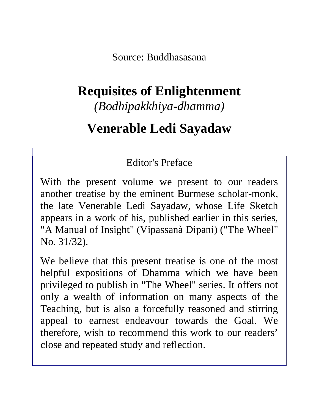Source: Buddhasasana

# **Requisites of Enlightenment**

*(Bodhipakkhiya-dhamma)*

# **Venerable Ledi Sayadaw**

### Editor's Preface

With the present volume we present to our readers another treatise by the eminent Burmese scholar-monk, the late Venerable Ledi Sayadaw, whose Life Sketch appears in a work of his, published earlier in this series, "A Manual of Insight" (Vipassanà Dipani) ("The Wheel" No. 31/32).

We believe that this present treatise is one of the most helpful expositions of Dhamma which we have been privileged to publish in "The Wheel" series. It offers not only a wealth of information on many aspects of the Teaching, but is also a forcefully reasoned and stirring appeal to earnest endeavour towards the Goal. We therefore, wish to recommend this work to our readers' close and repeated study and reflection.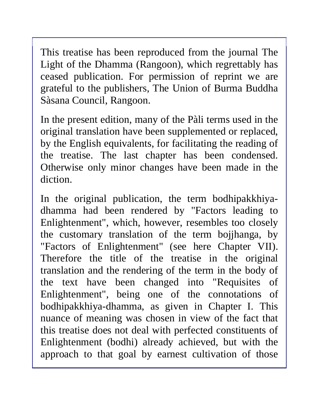This treatise has been reproduced from the journal The Light of the Dhamma (Rangoon), which regrettably has ceased publication. For permission of reprint we are grateful to the publishers, The Union of Burma Buddha Sàsana Council, Rangoon.

In the present edition, many of the Pàli terms used in the original translation have been supplemented or replaced, by the English equivalents, for facilitating the reading of the treatise. The last chapter has been condensed. Otherwise only minor changes have been made in the diction.

In the original publication, the term bodhipakkhiyadhamma had been rendered by "Factors leading to Enlightenment", which, however, resembles too closely the customary translation of the term bojjhanga, by "Factors of Enlightenment" (see here Chapter VII). Therefore the title of the treatise in the original translation and the rendering of the term in the body of the text have been changed into "Requisites of Enlightenment", being one of the connotations of bodhipakkhiya-dhamma, as given in Chapter I. This nuance of meaning was chosen in view of the fact that this treatise does not deal with perfected constituents of Enlightenment (bodhi) already achieved, but with the approach to that goal by earnest cultivation of those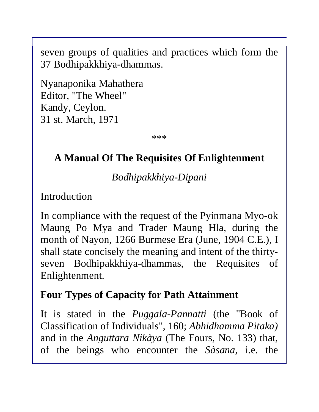seven groups of qualities and practices which form the 37 Bodhipakkhiya-dhammas.

Nyanaponika Mahathera Editor, "The Wheel" Kandy, Ceylon. 31 st. March, 1971

\*\*\*

### **A Manual Of The Requisites Of Enlightenment**

*Bodhipakkhiya-Dipani*

Introduction

In compliance with the request of the Pyinmana Myo-ok Maung Po Mya and Trader Maung Hla, during the month of Nayon, 1266 Burmese Era (June, 1904 C.E.), I shall state concisely the meaning and intent of the thirtyseven Bodhipakkhiya-dhammas, the Requisites of Enlightenment.

#### **Four Types of Capacity for Path Attainment**

It is stated in the *Puggala-Pannatti* (the "Book of Classification of Individuals", 160; *Abhidhamma Pitaka)* and in the *Anguttara Nikàya* (The Fours, No. 133) that, of the beings who encounter the *Sàsana*, i.e. the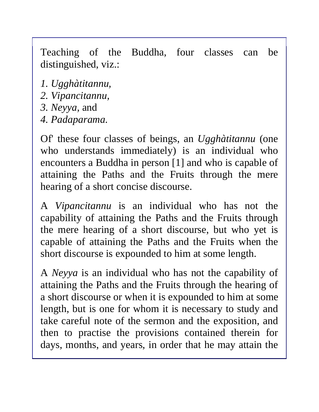Teaching of the Buddha, four classes can be distinguished, viz.:

- *1. Ugghàtitannu,*
- *2. Vipancitannu,*
- *3. Neyya,* and
- *4. Padaparama.*

Of' these four classes of beings, an *Ugghàtitannu* (one who understands immediately) is an individual who encounters a Buddha in person [1] and who is capable of attaining the Paths and the Fruits through the mere hearing of a short concise discourse.

A *Vipancitannu* is an individual who has not the capability of attaining the Paths and the Fruits through the mere hearing of a short discourse, but who yet is capable of attaining the Paths and the Fruits when the short discourse is expounded to him at some length.

A *Neyya* is an individual who has not the capability of attaining the Paths and the Fruits through the hearing of a short discourse or when it is expounded to him at some length, but is one for whom it is necessary to study and take careful note of the sermon and the exposition, and then to practise the provisions contained therein for days, months, and years, in order that he may attain the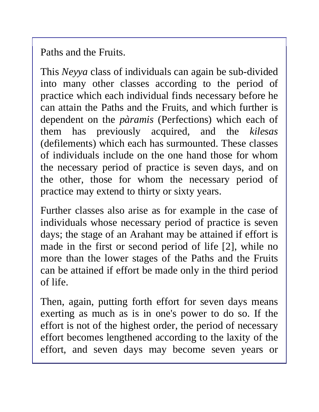Paths and the Fruits.

This *Neyya* class of individuals can again be sub-divided into many other classes according to the period of practice which each individual finds necessary before he can attain the Paths and the Fruits, and which further is dependent on the *pàramis* (Perfections) which each of them has previously acquired, and the *kilesas*  (defilements) which each has surmounted. These classes of individuals include on the one hand those for whom the necessary period of practice is seven days, and on the other, those for whom the necessary period of practice may extend to thirty or sixty years.

Further classes also arise as for example in the case of individuals whose necessary period of practice is seven days; the stage of an Arahant may be attained if effort is made in the first or second period of life [2], while no more than the lower stages of the Paths and the Fruits can be attained if effort be made only in the third period of life.

Then, again, putting forth effort for seven days means exerting as much as is in one's power to do so. If the effort is not of the highest order, the period of necessary effort becomes lengthened according to the laxity of the effort, and seven days may become seven years or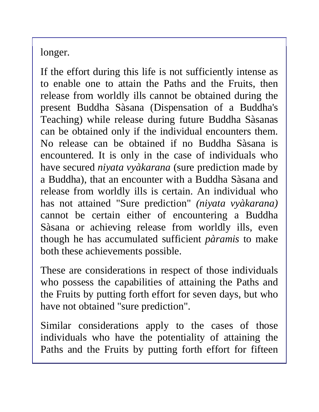longer.

If the effort during this life is not sufficiently intense as to enable one to attain the Paths and the Fruits, then release from worldly ills cannot be obtained during the present Buddha Sàsana (Dispensation of a Buddha's Teaching) while release during future Buddha Sàsanas can be obtained only if the individual encounters them. No release can be obtained if no Buddha Sàsana is encountered. It is only in the case of individuals who have secured *niyata vyàkarana* (sure prediction made by a Buddha), that an encounter with a Buddha Sàsana and release from worldly ills is certain. An individual who has not attained "Sure prediction" *(niyata vyàkarana)*  cannot be certain either of encountering a Buddha Sàsana or achieving release from worldly ills, even though he has accumulated sufficient *pàramis* to make both these achievements possible.

These are considerations in respect of those individuals who possess the capabilities of attaining the Paths and the Fruits by putting forth effort for seven days, but who have not obtained "sure prediction".

Similar considerations apply to the cases of those individuals who have the potentiality of attaining the Paths and the Fruits by putting forth effort for fifteen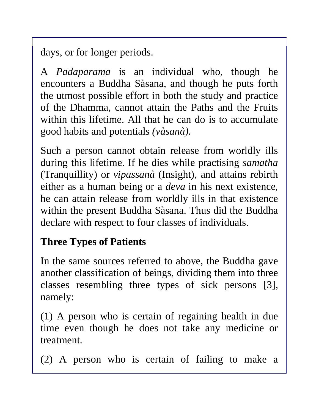days, or for longer periods.

A *Padaparama* is an individual who, though he encounters a Buddha Sàsana, and though he puts forth the utmost possible effort in both the study and practice of the Dhamma, cannot attain the Paths and the Fruits within this lifetime. All that he can do is to accumulate good habits and potentials *(vàsanà).* 

Such a person cannot obtain release from worldly ills during this lifetime. If he dies while practising *samatha* (Tranquillity) or *vipassanà* (Insight), and attains rebirth either as a human being or a *deva* in his next existence, he can attain release from worldly ills in that existence within the present Buddha Sàsana. Thus did the Buddha declare with respect to four classes of individuals.

## **Three Types of Patients**

In the same sources referred to above, the Buddha gave another classification of beings, dividing them into three classes resembling three types of sick persons [3], namely:

(1) A person who is certain of regaining health in due time even though he does not take any medicine or treatment.

(2) A person who is certain of failing to make a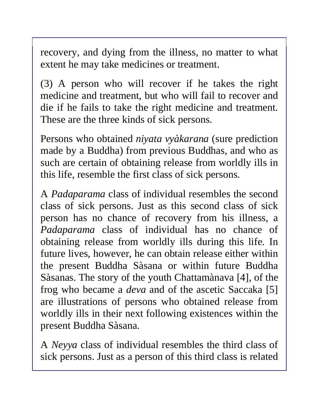recovery, and dying from the illness, no matter to what extent he may take medicines or treatment.

(3) A person who will recover if he takes the right medicine and treatment, but who will fail to recover and die if he fails to take the right medicine and treatment. These are the three kinds of sick persons.

Persons who obtained *niyata vyàkarana* (sure prediction made by a Buddha) from previous Buddhas, and who as such are certain of obtaining release from worldly ills in this life, resemble the first class of sick persons.

A *Padaparama* class of individual resembles the second class of sick persons. Just as this second class of sick person has no chance of recovery from his illness, a *Padaparama* class of individual has no chance of obtaining release from worldly ills during this life. In future lives, however, he can obtain release either within the present Buddha Sàsana or within future Buddha Sàsanas. The story of the youth Chattamànava [4], of the frog who became a *deva* and of the ascetic Saccaka [5] are illustrations of persons who obtained release from worldly ills in their next following existences within the present Buddha Sàsana.

A *Neyya* class of individual resembles the third class of sick persons. Just as a person of this third class is related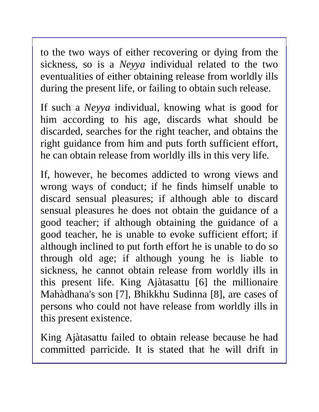to the two ways of either recovering or dying from the sickness, so is a *Neyya* individual related to the two eventualities of either obtaining release from worldly ills during the present life, or failing to obtain such release.

If such a *Neyya* individual, knowing what is good for him according to his age, discards what should be discarded, searches for the right teacher, and obtains the right guidance from him and puts forth sufficient effort, he can obtain release from worldly ills in this very life.

If, however, he becomes addicted to wrong views and wrong ways of conduct; if he finds himself unable to discard sensual pleasures; if although able to discard sensual pleasures he does not obtain the guidance of a good teacher; if although obtaining the guidance of a good teacher, he is unable to evoke sufficient effort; if although inclined to put forth effort he is unable to do so through old age; if although young he is liable to sickness, he cannot obtain release from worldly ills in this present life. King Ajàtasattu [6] the millionaire Mahàdhana's son [7], Bhikkhu Sudinna [8], are cases of persons who could not have release from worldly ills in this present existence.

King Ajàtasattu failed to obtain release because he had committed parricide. It is stated that he will drift in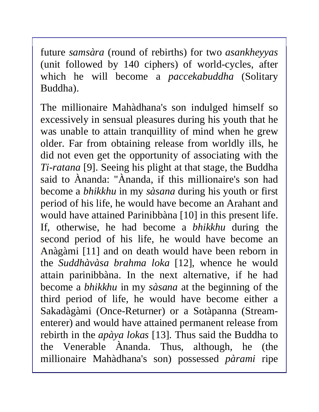future *samsàra* (round of rebirths) for two *asankheyyas*  (unit followed by 140 ciphers) of world-cycles, after which he will become a *paccekabuddha* (Solitary Buddha).

The millionaire Mahàdhana's son indulged himself so excessively in sensual pleasures during his youth that he was unable to attain tranquillity of mind when he grew older. Far from obtaining release from worldly ills, he did not even get the opportunity of associating with the *Ti-ratana* [9]. Seeing his plight at that stage, the Buddha said to Ànanda: "Ànanda, if this millionaire's son had become a *bhikkhu* in my *sàsana* during his youth or first period of his life, he would have become an Arahant and would have attained Parinibbàna [10] in this present life. If, otherwise, he had become a *bhikkhu* during the second period of his life, he would have become an Anàgàmi [11] and on death would have been reborn in the *Suddhàvàsa brahma loka* [12], whence he would attain parinibbàna. In the next alternative, if he had become a *bhikkhu* in my *sàsana* at the beginning of the third period of life, he would have become either a Sakadàgàmi (Once-Returner) or a Sotàpanna (Streamenterer) and would have attained permanent release from rebirth in the *apàya lokas* [13]. Thus said the Buddha to the Venerable Ànanda. Thus, although, he (the millionaire Mahàdhana's son) possessed *pàrami* ripe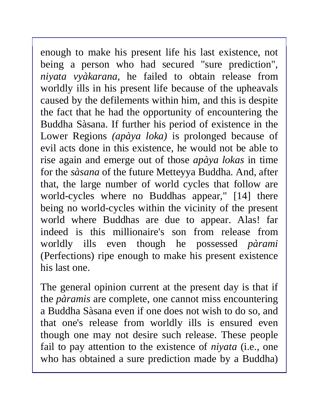enough to make his present life his last existence, not being a person who had secured "sure prediction", *niyata vyàkarana,* he failed to obtain release from worldly ills in his present life because of the upheavals caused by the defilements within him, and this is despite the fact that he had the opportunity of encountering the Buddha Sàsana. If further his period of existence in the Lower Regions *(apàya loka)* is prolonged because of evil acts done in this existence, he would not be able to rise again and emerge out of those *apàya lokas* in time for the *sàsana* of the future Metteyya Buddha. And, after that, the large number of world cycles that follow are world-cycles where no Buddhas appear," [14] there being no world-cycles within the vicinity of the present world where Buddhas are due to appear. Alas! far indeed is this millionaire's son from release from worldly ills even though he possessed *pàrami*  (Perfections) ripe enough to make his present existence his last one.

The general opinion current at the present day is that if the *pàramis* are complete, one cannot miss encountering a Buddha Sàsana even if one does not wish to do so, and that one's release from worldly ills is ensured even though one may not desire such release. These people fail to pay attention to the existence of *niyata* (i.e., one who has obtained a sure prediction made by a Buddha)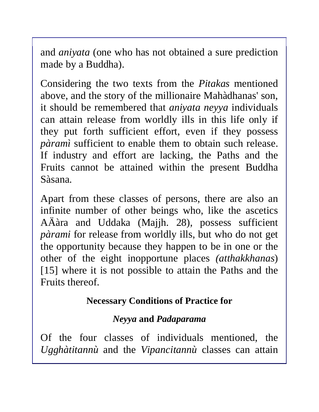and *aniyata* (one who has not obtained a sure prediction made by a Buddha).

Considering the two texts from the *Pitakas* mentioned above, and the story of the millionaire Mahàdhanas' son, it should be remembered that *aniyata neyya* individuals can attain release from worldly ills in this life only if they put forth sufficient effort, even if they possess *pàramì* sufficient to enable them to obtain such release. If industry and effort are lacking, the Paths and the Fruits cannot be attained within the present Buddha Sàsana.

Apart from these classes of persons, there are also an infinite number of other beings who, like the ascetics AÄàra and Uddaka (Majjh. 28), possess sufficient *pàrami* for release from worldly ills, but who do not get the opportunity because they happen to be in one or the other of the eight inopportune places *(atthakkhanas*) [15] where it is not possible to attain the Paths and the Fruits thereof.

#### **Necessary Conditions of Practice for**

#### *Neyya* **and** *Padaparama*

Of the four classes of individuals mentioned, the *Ugghàtitannù* and the *Vipancitannù* classes can attain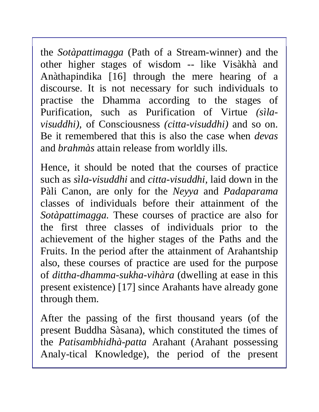the *Sotàpattimagga* (Path of a Stream-winner) and the other higher stages of wisdom -- like Visàkhà and Anàthapindika [16] through the mere hearing of a discourse. It is not necessary for such individuals to practise the Dhamma according to the stages of Purification, such as Purification of Virtue *(sìlavisuddhi),* of Consciousness *(citta-visuddhi)* and so on. Be it remembered that this is also the case when *devas*  and *brahmàs* attain release from worldly ills.

Hence, it should be noted that the courses of practice such as *sìla-visuddhi* and *citta-visuddhi,* laid down in the Pàli Canon, are only for the *Neyya* and *Padaparama*  classes of individuals before their attainment of the *Sotàpattimagga.* These courses of practice are also for the first three classes of individuals prior to the achievement of the higher stages of the Paths and the Fruits. In the period after the attainment of Arahantship also, these courses of practice are used for the purpose of *dittha-dhamma-sukha-vihàra* (dwelling at ease in this present existence) [17] since Arahants have already gone through them.

After the passing of the first thousand years (of the present Buddha Sàsana), which constituted the times of the *Patisambhidhà-patta* Arahant (Arahant possessing Analy-tical Knowledge), the period of the present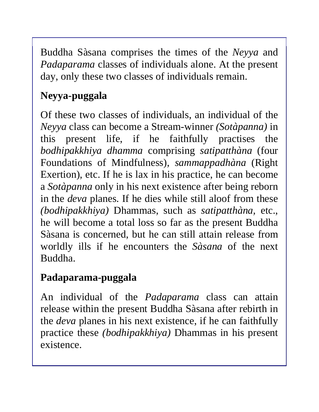Buddha Sàsana comprises the times of the *Neyya* and *Padaparama* classes of individuals alone. At the present day, only these two classes of individuals remain.

# **Neyya-puggala**

Of these two classes of individuals, an individual of the *Neyya* class can become a Stream-winner *(Sotàpanna)* in this present life, if he faithfully practises the *bodhipakkhiya dhamma* comprising *satipatthàna* (four Foundations of Mindfulness), *sammappadhàna* (Right Exertion), etc. If he is lax in his practice, he can become a *Sotàpanna* only in his next existence after being reborn in the *deva* planes. If he dies while still aloof from these *(bodhipakkhiya)* Dhammas, such as *satipatthàna,* etc., he will become a total loss so far as the present Buddha Sàsana is concerned, but he can still attain release from worldly ills if he encounters the *Sàsana* of the next Buddha.

## **Padaparama-puggala**

An individual of the *Padaparama* class can attain release within the present Buddha Sàsana after rebirth in the *deva* planes in his next existence, if he can faithfully practice these *(bodhipakkhiya)* Dhammas in his present existence.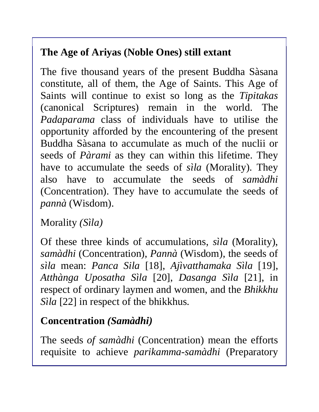# **The Age of Ariyas (Noble Ones) still extant**

The five thousand years of the present Buddha Sàsana constitute, all of them, the Age of Saints. This Age of Saints will continue to exist so long as the *Tipitakas* (canonical Scriptures) remain in the world. The *Padaparama* class of individuals have to utilise the opportunity afforded by the encountering of the present Buddha Sàsana to accumulate as much of the nuclii or seeds of *Pàrami* as they can within this lifetime. They have to accumulate the seeds of *sìla* (Morality). They also have to accumulate the seeds of *samàdhi*  (Concentration). They have to accumulate the seeds of *pannà* (Wisdom).

Morality *(Sìla)* 

Of these three kinds of accumulations, *sìla* (Morality), *samàdhi* (Concentration), *Pannà* (Wisdom), the seeds of *sìla* mean: *Panca Sila* [18], *Ajìvatthamaka Sìla* [19], *Atthànga Uposatha Sìla* [20], *Dasanga Sìla* [21], in respect of ordinary laymen and women, and the *Bhikkhu Sìla* [22] in respect of the bhikkhus.

### **Concentration** *(Samàdhi)*

The seeds *of samàdhi* (Concentration) mean the efforts requisite to achieve *parikamma-samàdhi* (Preparatory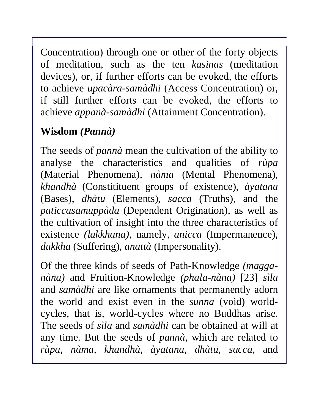Concentration) through one or other of the forty objects of meditation, such as the ten *kasinas* (meditation devices), or, if further efforts can be evoked, the efforts to achieve *upacàra-samàdhi* (Access Concentration) or, if still further efforts can be evoked, the efforts to achieve *appanà-samàdhi* (Attainment Concentration).

# **Wisdom** *(Pannà)*

The seeds of *pannà* mean the cultivation of the ability to analyse the characteristics and qualities of *rùpa*  (Material Phenomena), *nàma* (Mental Phenomena), *khandhà* (Constitituent groups of existence), *àyatana*  (Bases), *dhàtu* (Elements), *sacca* (Truths), and the *paticcasamuppàda* (Dependent Origination), as well as the cultivation of insight into the three characteristics of existence *(lakkhana),* namely*, anicca* (Impermanence), *dukkha* (Suffering), *anattà* (Impersonality).

Of the three kinds of seeds of Path-Knowledge *(magganàna)* and Fruition-Knowledge *(phala-nàna)* [23] *sìla* and *samàdhi* are like ornaments that permanently adorn the world and exist even in the *sunna* (void) worldcycles, that is, world-cycles where no Buddhas arise. The seeds of *sìla* and *samàdhi* can be obtained at will at any time. But the seeds of *pannà,* which are related to *rùpa, nàma, khandhà, àyatana, dhàtu, sacca,* and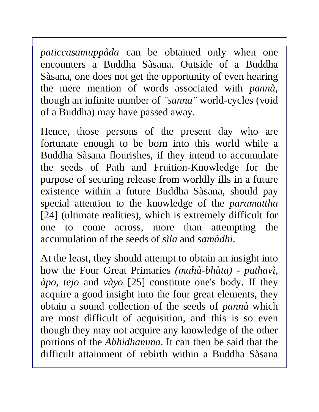*paticcasamuppàda* can be obtained only when one encounters a Buddha Sàsana. Outside of a Buddha Sàsana, one does not get the opportunity of even hearing the mere mention of words associated with *pannà,* though an infinite number of *"sunna"* world-cycles (void of a Buddha) may have passed away.

Hence, those persons of the present day who are fortunate enough to be born into this world while a Buddha Sàsana flourishes, if they intend to accumulate the seeds of Path and Fruition-Knowledge for the purpose of securing release from worldly ills in a future existence within a future Buddha Sàsana, should pay special attention to the knowledge of the *paramattha*  [24] (ultimate realities), which is extremely difficult for one to come across, more than attempting the accumulation of the seeds of *sìla* and *samàdhi.* 

At the least, they should attempt to obtain an insight into how the Four Great Primaries *(mahà-bhùta) - pathavì, àpo, tejo* and *vàyo* [25] constitute one's body. If they acquire a good insight into the four great elements, they obtain a sound collection of the seeds of *pannà* which are most difficult of acquisition, and this is so even though they may not acquire any knowledge of the other portions of the *Abhidhamma*. It can then be said that the difficult attainment of rebirth within a Buddha Sàsana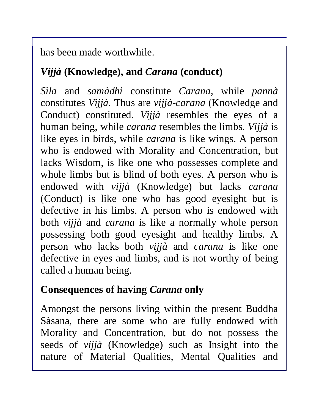has been made worthwhile.

### *Vijjà* **(Knowledge), and** *Carana* **(conduct)**

*Sìla* and *samàdhi* constitute *Carana,* while *pannà* constitutes *Vijjà.* Thus are *vijjà-carana* (Knowledge and Conduct) constituted. *Vijjà* resembles the eyes of a human being, while *carana* resembles the limbs. *Vijjà* is like eyes in birds, while *carana* is like wings. A person who is endowed with Morality and Concentration, but lacks Wisdom, is like one who possesses complete and whole limbs but is blind of both eyes. A person who is endowed with *vijjà* (Knowledge) but lacks *carana*  (Conduct) is like one who has good eyesight but is defective in his limbs. A person who is endowed with both *vijjà* and *carana* is like a normally whole person possessing both good eyesight and healthy limbs. A person who lacks both *vijjà* and *carana* is like one defective in eyes and limbs, and is not worthy of being called a human being.

## **Consequences of having** *Carana* **only**

Amongst the persons living within the present Buddha Sàsana*,* there are some who are fully endowed with Morality and Concentration, but do not possess the seeds of *vijjà* (Knowledge) such as Insight into the nature of Material Qualities, Mental Qualities and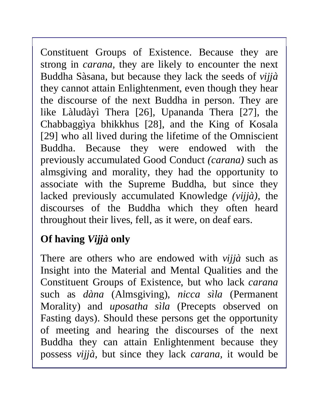Constituent Groups of Existence. Because they are strong in *carana,* they are likely to encounter the next Buddha Sàsana, but because they lack the seeds of *vijjà*  they cannot attain Enlightenment, even though they hear the discourse of the next Buddha in person. They are like Làludàyì Thera [26], Upananda Thera [27], the Chabbaggìya bhikkhus [28], and the King of Kosala [29] who all lived during the lifetime of the Omniscient Buddha. Because they were endowed with the previously accumulated Good Conduct *(carana)* such as almsgiving and morality, they had the opportunity to associate with the Supreme Buddha, but since they lacked previously accumulated Knowledge *(vijjà),* the discourses of the Buddha which they often heard throughout their lives, fell, as it were, on deaf ears.

# **Of having** *Vijjà* **only**

There are others who are endowed with *vijjà* such as Insight into the Material and Mental Qualities and the Constituent Groups of Existence, but who lack *carana* such as *dàna* (Almsgiving), *nicca sìla* (Permanent Morality) and *uposatha sìla* (Precepts observed on Fasting days). Should these persons get the opportunity of meeting and hearing the discourses of the next Buddha they can attain Enlightenment because they possess *vijjà,* but since they lack *carana,* it would be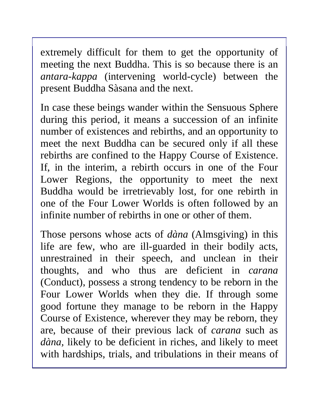extremely difficult for them to get the opportunity of meeting the next Buddha. This is so because there is an *antara-kappa* (intervening world-cycle) between the present Buddha Sàsana and the next.

In case these beings wander within the Sensuous Sphere during this period, it means a succession of an infinite number of existences and rebirths, and an opportunity to meet the next Buddha can be secured only if all these rebirths are confined to the Happy Course of Existence. If, in the interim, a rebirth occurs in one of the Four Lower Regions, the opportunity to meet the next Buddha would be irretrievably lost, for one rebirth in one of the Four Lower Worlds is often followed by an infinite number of rebirths in one or other of them.

Those persons whose acts of *dàna* (Almsgiving) in this life are few, who are ill-guarded in their bodily acts, unrestrained in their speech, and unclean in their thoughts, and who thus are deficient in *carana*  (Conduct), possess a strong tendency to be reborn in the Four Lower Worlds when they die. If through some good fortune they manage to be reborn in the Happy Course of Existence, wherever they may be reborn, they are, because of their previous lack of *carana* such as *dàna,* likely to be deficient in riches, and likely to meet with hardships, trials, and tribulations in their means of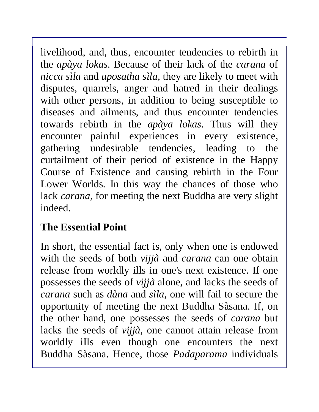livelihood, and, thus, encounter tendencies to rebirth in the *apàya lokas.* Because of their lack of the *carana* of *nicca sìla* and *uposatha sìla,* they are likely to meet with disputes, quarrels, anger and hatred in their dealings with other persons, in addition to being susceptible to diseases and ailments, and thus encounter tendencies towards rebirth in the *apàya lokas.* Thus will they encounter painful experiences in every existence, gathering undesirable tendencies, leading to the curtailment of their period of existence in the Happy Course of Existence and causing rebirth in the Four Lower Worlds. In this way the chances of those who lack *carana,* for meeting the next Buddha are very slight indeed.

## **The Essential Point**

In short, the essential fact is, only when one is endowed with the seeds of both *vijjà* and *carana* can one obtain release from worldly ills in one's next existence. If one possesses the seeds of *vijjà* alone, and lacks the seeds of *carana* such as *dàna* and *sìla,* one will fail to secure the opportunity of meeting the next Buddha Sàsana. If, on the other hand, one possesses the seeds of *carana* but lacks the seeds of *vijjà,* one cannot attain release from worldly iIls even though one encounters the next Buddha Sàsana. Hence, those *Padaparama* individuals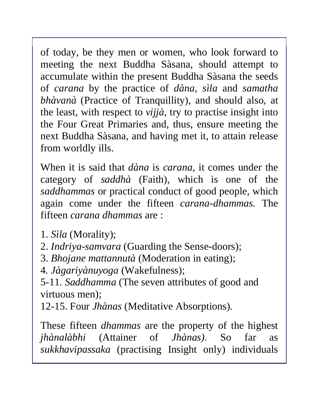of today, be they men or women, who look forward to meeting the next Buddha Sàsana, should attempt to accumulate within the present Buddha Sàsana the seeds of *carana* by the practice of *dàna, sìla* and *samatha bhàvanà* (Practice of Tranquillity), and should also, at the least, with respect to *vijjà,* try to practise insight into the Four Great Primaries and, thus, ensure meeting the next Buddha Sàsana, and having met it, to attain release from worldly ills.

When it is said that *dàna* is *carana,* it comes under the category of *saddhà* (Faith), which is one of the *saddhammas* or practical conduct of good people, which again come under the fifteen *carana-dhammas.* The fifteen *carana dhammas* are :

- 1. *Sìla* (Morality);
- 2. *Indriya-samvara* (Guarding the Sense-doors);
- 3. *Bhojane mattannutà* (Moderation in eating);

4*. Jàgariyànuyoga* (Wakefulness);

5-11*. Saddhamma* (The seven attributes of good and virtuous men);

12-15. Four *Jhànas* (Meditative Absorptions).

These fifteen *dhammas* are the property of the highest *jhànalàbhi* (Attainer of *Jhànas).* So far as *sukkhavipassaka* (practising Insight only) individuals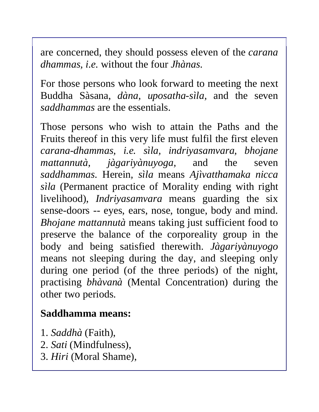are concerned, they should possess eleven of the *carana dhammas, i.e.* without the four *Jhànas.* 

For those persons who look forward to meeting the next Buddha Sàsana, *dàna, uposatha-sìla,* and the seven *saddhammas* are the essentials.

Those persons who wish to attain the Paths and the Fruits thereof in this very life must fulfil the first eleven *carana-dhammas, i.e. sìla, indriyasamvara, bhojane mattannutà, jàgariyànuyoga,* and the seven *saddhammas.* Herein*, sìla* means *Ajìvatthamaka nicca sìla* (Permanent practice of Morality ending with right livelihood), *Indriyasamvara* means guarding the six sense-doors -- eyes, ears, nose, tongue, body and mind. *Bhojane mattannutà* means taking just sufficient food to preserve the balance of the corporeality group in the body and being satisfied therewith. *Jàgariyànuyogo* means not sleeping during the day, and sleeping only during one period (of the three periods) of the night, practising *bhàvanà* (Mental Concentration) during the other two periods.

### **Saddhamma means:**

- 1. *Saddhà* (Faith),
- 2. *Sati* (Mindfulness),
- 3. *Hiri* (Moral Shame),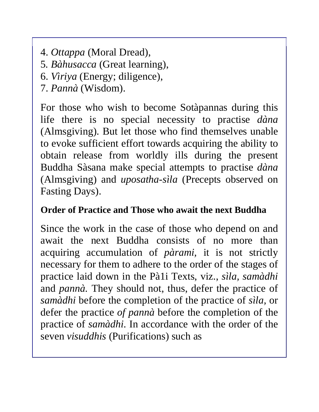- 4. *Ottappa* (Moral Dread),
- 5*. Bàhusacca* (Great learning),
- 6. *Vìriya* (Energy; diligence),
- 7. *Pannà* (Wisdom).

For those who wish to become Sotàpannas during this life there is no special necessity to practise *dàna* (Almsgiving). But let those who find themselves unable to evoke sufficient effort towards acquiring the ability to obtain release from worldly ills during the present Buddha Sàsana make special attempts to practise *dàna* (Almsgiving) and *uposatha-sìla* (Precepts observed on Fasting Days).

#### **Order of Practice and Those who await the next Buddha**

Since the work in the case of those who depend on and await the next Buddha consists of no more than acquiring accumulation of *pàrami,* it is not strictly necessary for them to adhere to the order of the stages of practice laid down in the Pà1i Texts, viz., *sìla, samàdhi*  and *pannà.* They should not, thus, defer the practice of *samàdhi* before the completion of the practice of *sìla,* or defer the practice *of pannà* before the completion of the practice of *samàdhi.* In accordance with the order of the seven *visuddhis* (Purifications) such as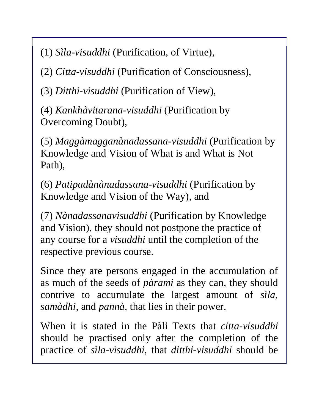(1) *Sìla-visuddhi* (Purification, of Virtue),

(2) *Citta-visuddhi* (Purification of Consciousness),

(3) *Ditthi-visuddhi* (Purification of View),

(4) *Kankhàvitarana-visuddhi* (Purification by Overcoming Doubt),

(5) *Maggàmagganànadassana-visuddhi* (Purification by Knowledge and Vision of What is and What is Not Path),

(6) *Patipadànànadassana-visuddhi* (Purification by Knowledge and Vision of the Way), and

(7) *Nànadassanavisuddhi* (Purification by Knowledge and Vision), they should not postpone the practice of any course for a *visuddhi* until the completion of the respective previous course.

Since they are persons engaged in the accumulation of as much of the seeds of *pàrami* as they can, they should contrive to accumulate the largest amount of *sìla, samàdhi,* and *pannà,* that lies in their power.

When it is stated in the Pàli Texts that *citta-visuddhi* should be practised only after the completion of the practice of *sìla-visuddhi,* that *ditthi-visuddhi* should be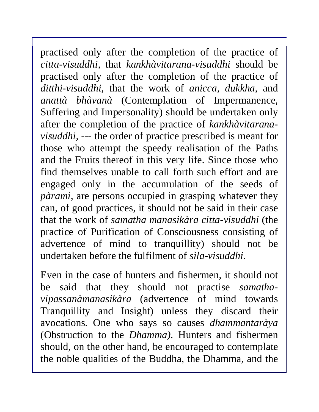practised only after the completion of the practice of *citta-visuddhi,* that *kankhàvitarana-visuddhi* should be practised only after the completion of the practice of *ditthi-visuddhi,* that the work of *anicca, dukkha*, and *anattà bhàvanà* (Contemplation of Impermanence, Suffering and Impersonality) should be undertaken only after the completion of the practice of *kankhàvitaranavisuddhi, --*- the order of practice prescribed is meant for those who attempt the speedy realisation of the Paths and the Fruits thereof in this very life. Since those who find themselves unable to call forth such effort and are engaged only in the accumulation of the seeds of *pàrami,* are persons occupied in grasping whatever they can, of good practices, it should not be said in their case that the work of *samatha manasikàra citta-visuddhi* (the practice of Purification of Consciousness consisting of advertence of mind to tranquillity) should not be undertaken before the fulfilment of *sìla-visuddhi.* 

Even in the case of hunters and fishermen, it should not be said that they should not practise *samathavipassanàmanasikàra* (advertence of mind towards Tranquillity and Insight) unless they discard their avocations. One who says so causes *dhammantaràya*  (Obstruction to the *Dhamma).* Hunters and fishermen should, on the other hand, be encouraged to contemplate the noble qualities of the Buddha, the Dhamma, and the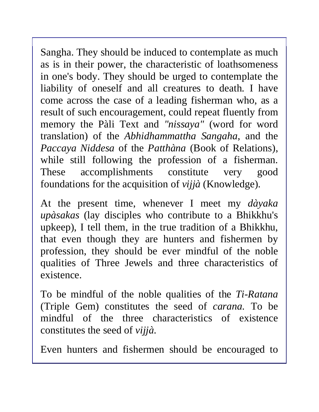Sangha. They should be induced to contemplate as much as is in their power, the characteristic of loathsomeness in one's body. They should be urged to contemplate the liability of oneself and all creatures to death. I have come across the case of a leading fisherman who, as a result of such encouragement, could repeat fluently from memory the Pàli Text and *"nissaya"* (word for word translation) of the *Abhidhammattha Sangaha*, and the *Paccaya Niddesa* of the *Patthàna* (Book of Relations), while still following the profession of a fisherman. These accomplishments constitute very good foundations for the acquisition of *vijjà* (Knowledge).

At the present time, whenever I meet my *dàyaka upàsakas* (lay disciples who contribute to a Bhikkhu's upkeep), I tell them, in the true tradition of a Bhikkhu, that even though they are hunters and fishermen by profession, they should be ever mindful of the noble qualities of Three Jewels and three characteristics of existence.

To be mindful of the noble qualities of the *Ti-Ratana*  (Triple Gem) constitutes the seed of *carana.* To be mindful of the three characteristics of existence constitutes the seed of *vijjà.* 

Even hunters and fishermen should be encouraged to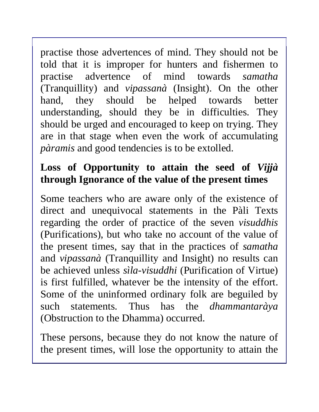practise those advertences of mind. They should not be told that it is improper for hunters and fishermen to practise advertence of mind towards *samatha*  (Tranquillity) and *vipassanà* (Insight). On the other hand, they should be helped towards better understanding, should they be in difficulties. They should be urged and encouraged to keep on trying. They are in that stage when even the work of accumulating *pàramis* and good tendencies is to be extolled.

## **Loss of Opportunity to attain the seed of** *Vijjà*  **through Ignorance of the value of the present times**

Some teachers who are aware only of the existence of direct and unequivocal statements in the Pàli Texts regarding the order of practice of the seven *visuddhis*  (Purifications), but who take no account of the value of the present times, say that in the practices of *samatha*  and *vipassanà* (Tranquillity and Insight) no results can be achieved unless *sìla-visuddhi* (Purification of Virtue) is first fulfilled, whatever be the intensity of the effort. Some of the uninformed ordinary folk are beguiled by such statements. Thus has the *dhammantaràya* (Obstruction to the Dhamma) occurred.

These persons, because they do not know the nature of the present times, will lose the opportunity to attain the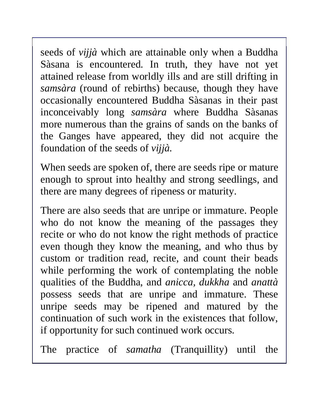seeds of *vijjà* which are attainable only when a Buddha Sàsana is encountered. In truth, they have not yet attained release from worldly ills and are still drifting in *samsàra* (round of rebirths) because, though they have occasionally encountered Buddha Sàsanas in their past inconceivably long *samsàra* where Buddha Sàsanas more numerous than the grains of sands on the banks of the Ganges have appeared, they did not acquire the foundation of the seeds of *vijjà.* 

When seeds are spoken of, there are seeds ripe or mature enough to sprout into healthy and strong seedlings, and there are many degrees of ripeness or maturity.

There are also seeds that are unripe or immature. People who do not know the meaning of the passages they recite or who do not know the right methods of practice even though they know the meaning, and who thus by custom or tradition read, recite, and count their beads while performing the work of contemplating the noble qualities of the Buddha, and *anicca, dukkha* and *anattà*  possess seeds that are unripe and immature. These unripe seeds may be ripened and matured by the continuation of such work in the existences that follow, if opportunity for such continued work occurs.

The practice of *samatha* (Tranquillity) until the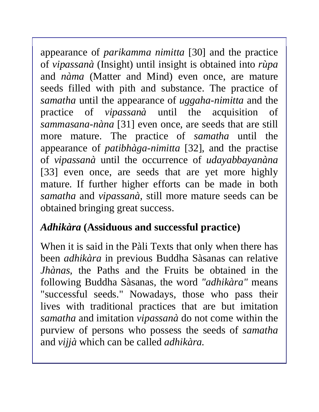appearance of *parikamma nimitta* [30] and the practice of *vipassanà* (Insight) until insight is obtained into *rùpa*  and *nàma* (Matter and Mind) even once, are mature seeds filled with pith and substance. The practice of *samatha* until the appearance of *uggaha-nimitta* and the practice of *vipassanà* until the acquisition of *sammasana-nàna* [31] even once, are seeds that are still more mature. The practice of *samatha* until the appearance of *patibhàga-nimitta* [32], and the practise of *vipassanà* until the occurrence of *udayabbayanàna*  [33] even once, are seeds that are yet more highly mature. If further higher efforts can be made in both *samatha* and *vipassanà,* still more mature seeds can be obtained bringing great success.

### *Adhikàra* **(Assiduous and successful practice)**

When it is said in the Pàli Texts that only when there has been *adhikàra* in previous Buddha Sàsanas can relative *Jhànas,* the Paths and the Fruits be obtained in the following Buddha Sàsanas*,* the word *"adhikàra"* means "successful seeds." Nowadays, those who pass their lives with traditional practices that are but imitation *samatha* and imitation *vipassanà* do not come within the purview of persons who possess the seeds of *samatha*  and *vijjà* which can be called *adhikàra.*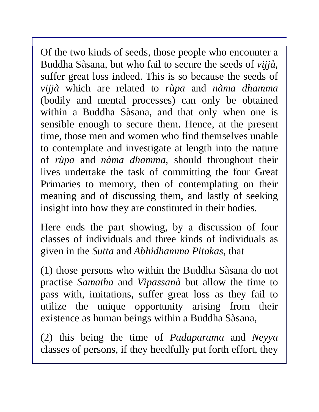Of the two kinds of seeds, those people who encounter a Buddha Sàsana, but who fail to secure the seeds of *vijjà,* suffer great loss indeed. This is so because the seeds of *vijjà* which are related to *rùpa* and *nàma dhamma*  (bodily and mental processes) can only be obtained within a Buddha Sàsana, and that only when one is sensible enough to secure them. Hence, at the present time, those men and women who find themselves unable to contemplate and investigate at length into the nature of *rùpa* and *nàma dhamma,* should throughout their lives undertake the task of committing the four Great Primaries to memory, then of contemplating on their meaning and of discussing them, and lastly of seeking insight into how they are constituted in their bodies.

Here ends the part showing, by a discussion of four classes of individuals and three kinds of individuals as given in the *Sutta* and *Abhidhamma Pitakas*, that

(1) those persons who within the Buddha Sàsana do not practise *Samatha* and *Vipassanà* but allow the time to pass with, imitations, suffer great loss as they fail to utilize the unique opportunity arising from their existence as human beings within a Buddha Sàsana*,*

(2) this being the time of *Padaparama* and *Neyya* classes of persons, if they heedfully put forth effort, they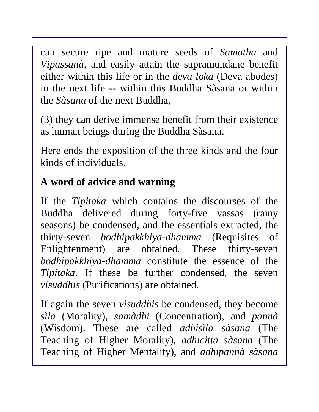can secure ripe and mature seeds of *Samatha* and *Vipassanà,* and easily attain the supramundane benefit either within this life or in the *deva loka* (Deva abodes) in the next life -- within this Buddha Sàsana or within the *Sàsana* of the next Buddha,

(3) they can derive immense benefit from their existence as human beings during the Buddha Sàsana.

Here ends the exposition of the three kinds and the four kinds of individuals.

# **A word of advice and warning**

If the *Tipitaka* which contains the discourses of the Buddha delivered during forty-five vassas (rainy seasons) be condensed, and the essentials extracted, the thirty-seven *bodhipakkhiya-dhamma* (Requisites of Enlightenment) are obtained. These thirty-seven *bodhipakkhiya-dhamma* constitute the essence of the *Tipitaka*. If these be further condensed, the seven *visuddhis* (Purifications) are obtained.

If again the seven *visuddhis* be condensed, they become *sìla* (Morality), *samàdhi* (Concentration), and *pannà* (Wisdom). These are called *adhisìla sàsana* (The Teaching of Higher Morality), *adhicitta sàsana* (The Teaching of Higher Mentality), and *adhipannà sàsana*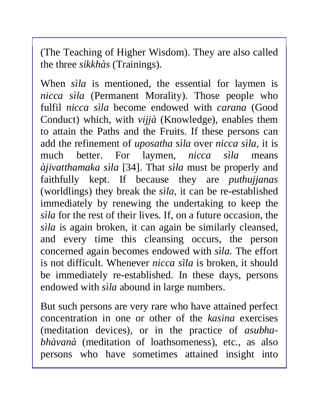(The Teaching of Higher Wisdom). They are also called the three *sikkhàs* (Trainings).

When *sìla* is mentioned, the essential for laymen is *nicca sìla* (Permanent Morality). Those people who fulfil *nicca sìla* become endowed with *carana* (Good Conduct) which, with *vijjà* (Knowledge), enables them to attain the Paths and the Fruits. If these persons can add the refinement of *uposatha sìla* over *nicca sìla,* it is much better. For laymen, *nicca sìla* means *àjivatthamaka sìla* [34]. That *sìla* must be properly and faithfully kept. If because they are *puthujjanas* (worldlings) they break the *sìla,* it can be re-established immediately by renewing the undertaking to keep the *sìla* for the rest of their lives. If, on a future occasion, the *sìla* is again broken, it can again be similarly cleansed, and every time this cleansing occurs, the person concerned again becomes endowed with *sìla.* The effort is not difficult. Whenever *nicca sìla* is broken, it should be immediately re-established. In these days, persons endowed with *sìla* abound in large numbers.

But such persons are very rare who have attained perfect concentration in one or other of the *kasina* exercises (meditation devices), or in the practice of *asubhabhàvanà* (meditation of loathsomeness), etc., as also persons who have sometimes attained insight into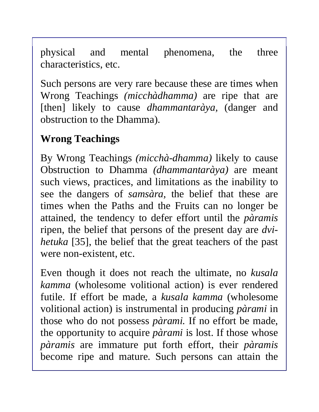physical and mental phenomena, the three characteristics, etc.

Such persons are very rare because these are times when Wrong Teachings *(micchàdhamma)* are ripe that are [then] likely to cause *dhammantaràya,* (danger and obstruction to the Dhamma).

# **Wrong Teachings**

By Wrong Teachings *(micchà-dhamma)* likely to cause Obstruction to Dhamma *(dhammantaràya)* are meant such views, practices, and limitations as the inability to see the dangers of *samsàra,* the belief that these are times when the Paths and the Fruits can no longer be attained, the tendency to defer effort until the *pàramis*  ripen, the belief that persons of the present day are *dvihetuka* [35], the belief that the great teachers of the past were non-existent, etc.

Even though it does not reach the ultimate, no *kusala kamma* (wholesome volitional action) is ever rendered futile. If effort be made, a *kusala kamma* (wholesome volitional action) is instrumental in producing *pàrami* in those who do not possess *pàrami.* If no effort be made, the opportunity to acquire *pàrami* is lost. If those whose *pàramis* are immature put forth effort, their *pàramis*  become ripe and mature. Such persons can attain the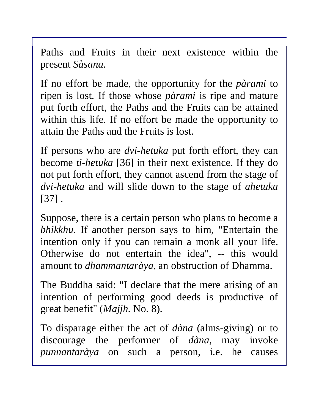Paths and Fruits in their next existence within the present *Sàsana.* 

If no effort be made, the opportunity for the *pàrami* to ripen is lost. If those whose *pàrami* is ripe and mature put forth effort, the Paths and the Fruits can be attained within this life. If no effort be made the opportunity to attain the Paths and the Fruits is lost.

If persons who are *dvi-hetuka* put forth effort, they can become *ti-hetuka* [36] in their next existence. If they do not put forth effort, they cannot ascend from the stage of *dvi-hetuka* and will slide down to the stage of *ahetuka*  [37] .

Suppose, there is a certain person who plans to become a *bhikkhu.* If another person says to him, "Entertain the intention only if you can remain a monk all your life. Otherwise do not entertain the idea", -- this would amount to *dhammantaràya,* an obstruction of Dhamma.

The Buddha said: "I declare that the mere arising of an intention of performing good deeds is productive of great benefit" (*Majjh.* No. 8).

To disparage either the act of *dàna* (alms-giving) or to discourage the performer of *dàna*, may invoke *punnantaràya* on such a person, i.e. he causes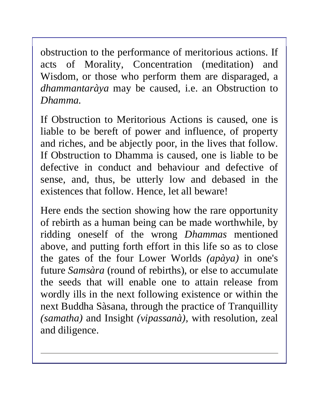obstruction to the performance of meritorious actions. If acts of Morality, Concentration (meditation) and Wisdom, or those who perform them are disparaged, a *dhammantaràya* may be caused, i.e. an Obstruction to *Dhamma.* 

If Obstruction to Meritorious Actions is caused, one is liable to be bereft of power and influence, of property and riches, and be abjectly poor, in the lives that follow. If Obstruction to Dhamma is caused, one is liable to be defective in conduct and behaviour and defective of sense, and, thus, be utterly low and debased in the existences that follow. Hence, let all beware!

Here ends the section showing how the rare opportunity of rebirth as a human being can be made worthwhile, by ridding oneself of the wrong *Dhammas* mentioned above, and putting forth effort in this life so as to close the gates of the four Lower Worlds *(apàya)* in one's future *Samsàra* (round of rebirths), or else to accumulate the seeds that will enable one to attain release from wordly ills in the next following existence or within the next Buddha Sàsana, through the practice of Tranquillity *(samatha)* and Insight *(vipassanà),* with resolution, zeal and diligence.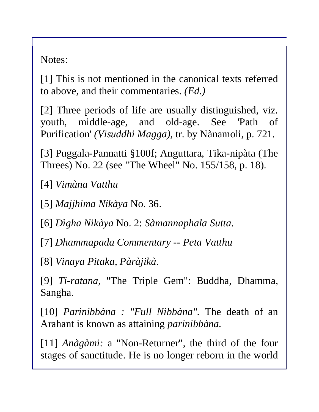Notes:

[1] This is not mentioned in the canonical texts referred to above, and their commentaries. *(Ed.)* 

[2] Three periods of life are usually distinguished, viz. youth, middle-age, and old-age. See 'Path of Purification' *(Visuddhi Magga),* tr. by Nànamoli, p. 721.

[3] Puggala-Pannatti §100f; Anguttara, Tika-nipàta (The Threes) No. 22 (see "The Wheel" No. 155/158, p. 18).

[4] *Vimàna Vatthu* 

[5] *Majjhima Nikàya* No. 36.

[6] *Dìgha Nikàya* No. 2: *Sàmannaphala Sutta*.

[7] *Dhammapada Commentary* -- *Peta Vatthu* 

[8] *Vinaya Pitaka, Pàràjikà*.

[9] *Ti-ratana*, "The Triple Gem": Buddha, Dhamma, Sangha.

[10] *Parinibbàna : "Full Nibbàna".* The death of an Arahant is known as attaining *parinibbàna.* 

[11] *Anàgàmi:* a "Non-Returner", the third of the four stages of sanctitude. He is no longer reborn in the world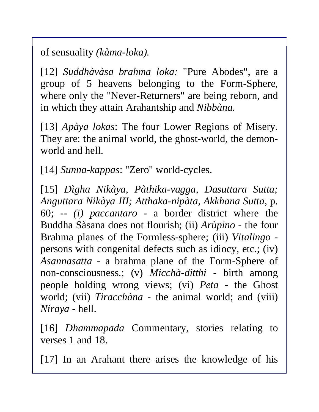of sensuality *(kàma-loka).* 

[12] *Suddhàvàsa brahma loka:* "Pure Abodes", are a group of 5 heavens belonging to the Form-Sphere, where only the "Never-Returners" are being reborn, and in which they attain Arahantship and *Nibbàna.* 

[13] *Apàya lokas*: The four Lower Regions of Misery. They are: the animal world, the ghost-world, the demonworld and hell.

[14] *Sunna-kappas*: "Zero" world-cycles.

[15] *Dìgha Nikàya, Pàthika-vagga, Dasuttara Sutta; Anguttara Nikàya III; Atthaka-nipàta, Akkhana Sutta*, p. 60; -- *(i) paccantaro -* a border district where the Buddha Sàsana does not flourish; (ii) *Arùpino -* the four Brahma planes of the Formless-sphere; (iii) *Vitalingo*  persons with congenital defects such as idiocy, etc.; (iv) *Asannasatta -* a brahma plane of the Form-Sphere of non-consciousness.; (v) *Micchà*-*ditthi -* birth among people holding wrong views; (vi) *Peta -* the Ghost world; (vii) *Tiracchàna -* the animal world; and (viii) *Niraya -* hell.

[16] *Dhammapada* Commentary, stories relating to verses 1 and 18.

[17] In an Arahant there arises the knowledge of his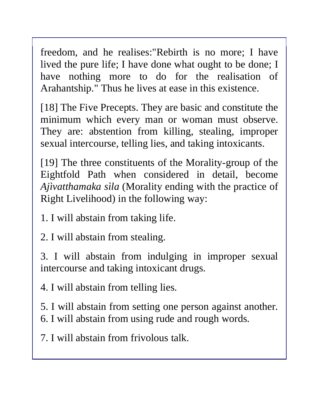freedom, and he realises:"Rebirth is no more; I have lived the pure life; I have done what ought to be done; I have nothing more to do for the realisation of Arahantship." Thus he lives at ease in this existence.

[18] The Five Precepts. They are basic and constitute the minimum which every man or woman must observe. They are: abstention from killing, stealing, improper sexual intercourse, telling lies, and taking intoxicants.

[19] The three constituents of the Morality-group of the Eightfold Path when considered in detail, become *Ajìvatthamaka sìla* (Morality ending with the practice of Right Livelihood) in the following way:

1. I will abstain from taking life.

2. I will abstain from stealing.

3. I will abstain from indulging in improper sexual intercourse and taking intoxicant drugs.

4. I will abstain from telling lies.

5. I will abstain from setting one person against another. 6. I will abstain from using rude and rough words.

7. I will abstain from frivolous talk.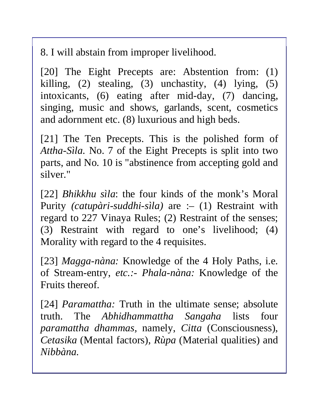8. I will abstain from improper livelihood.

[20] The Eight Precepts are: Abstention from: (1) killing,  $(2)$  stealing,  $(3)$  unchastity,  $(4)$  lying,  $(5)$ intoxicants, (6) eating after mid-day, (7) dancing, singing, music and shows, garlands, scent, cosmetics and adornment etc. (8) luxurious and high beds.

[21] The Ten Precepts. This is the polished form of *Attha-Sìla.* No. 7 of the Eight Precepts is split into two parts, and No. 10 is "abstinence from accepting gold and silver."

[22] *Bhikkhu sìla*: the four kinds of the monk's Moral Purity *(catupàri-suddhi-sìla)* are :– (1) Restraint with regard to 227 Vinaya Rules; (2) Restraint of the senses; (3) Restraint with regard to one's livelihood; (4) Morality with regard to the 4 requisites.

[23] *Magga-nàna:* Knowledge of the 4 Holy Paths, i.e. of Stream-entry, *etc.:- Phala-nàna:* Knowledge of the Fruits thereof.

[24] *Paramattha:* Truth in the ultimate sense; absolute truth. The *Abhidhammattha Sangaha* lists four *paramattha dhammas,* namely, *Citta* (Consciousness), *Cetasika* (Mental factors), *Rùpa* (Material qualities) and *Nibbàna.*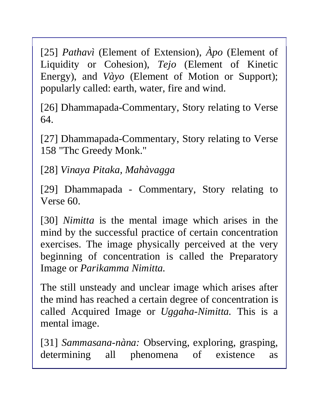[25] *Pathavì* (Element of Extension), *Àpo* (Element of Liquidity or Cohesion), *Tejo* (Element of Kinetic Energy), and *Vàyo* (Element of Motion or Support); popularly called: earth, water, fire and wind.

[26] Dhammapada-Commentary, Story relating to Verse 64.

[27] Dhammapada-Commentary, Story relating to Verse 158 "Thc Greedy Monk."

[28] *Vinaya Pitaka, Mahàvagga* 

[29] Dhammapada - Commentary, Story relating to Verse 60.

[30] *Nimitta* is the mental image which arises in the mind by the successful practice of certain concentration exercises. The image physically perceived at the very beginning of concentration is called the Preparatory Image or *Parikamma Nimitta.* 

The still unsteady and unclear image which arises after the mind has reached a certain degree of concentration is called Acquired Image or *Uggaha-Nimitta.* This is a mental image.

[31] *Sammasana-nàna:* Observing, exploring, grasping, determining all phenomena of existence as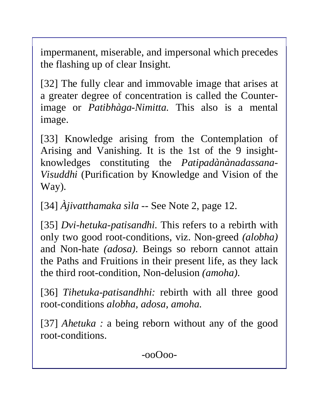impermanent, miserable, and impersonal which precedes the flashing up of clear Insight.

[32] The fully clear and immovable image that arises at a greater degree of concentration is called the Counterimage or *Patibhàga-Nimitta.* This also is a mental image.

[33] Knowledge arising from the Contemplation of Arising and Vanishing. It is the 1st of the 9 insightknowledges constituting the *Patipadànànadassana-Visuddhi* (Purification by Knowledge and Vision of the Way).

[34] *Àjivatthamaka sìla* -- See Note 2, page 12.

[35] *Dvi-hetuka-patisandhi*. This refers to a rebirth with only two good root-conditions, viz. Non-greed *(alobha)*  and Non-hate *(adosa).* Beings so reborn cannot attain the Paths and Fruitions in their present life, as they lack the third root-condition, Non-delusion *(amoha).* 

[36] *Tihetuka-patisandhhi:* rebirth with all three good root-conditions *alobha, adosa, amoha.* 

[37] *Ahetuka :* a being reborn without any of the good root-conditions.

-ooOoo-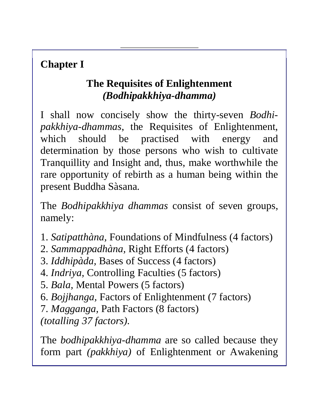# **Chapter I**

## **The Requisites of Enlightenment**  *(Bodhipakkhiya-dhamma)*

I shall now concisely show the thirty-seven *Bodhipakkhiya-dhammas*, the Requisites of Enlightenment, which should be practised with energy and determination by those persons who wish to cultivate Tranquillity and Insight and, thus, make worthwhile the rare opportunity of rebirth as a human being within the present Buddha Sàsana.

The *Bodhipakkhiya dhammas* consist of seven groups, namely:

- 1. *Satipatthàna,* Foundations of Mindfulness (4 factors)
- 2. *Sammappadhàna,* Right Efforts (4 factors)
- 3. *Iddhipàda,* Bases of Success (4 factors)

4. *Indriya,* Controlling Faculties (5 factors)

5. *Bala,* Mental Powers (5 factors)

6. *Bojjhanga,* Factors of Enlightenment (7 factors)

7. *Magganga,* Path Factors (8 factors)

*(totalling 37 factors).* 

The *bodhipakkhiya-dhamma* are so called because they form part *(pakkhiya)* of Enlightenment or Awakening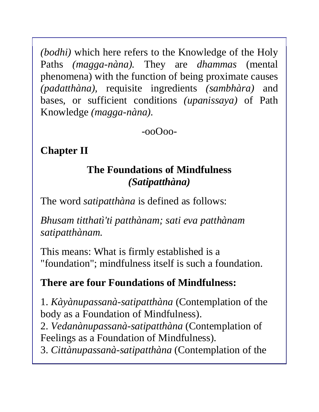*(bodhi)* which here refers to the Knowledge of the Holy Paths *(magga-nàna).* They are *dhammas* (mental phenomena) with the function of being proximate causes *(padatthàna),* requisite ingredients *(sambhàra)* and bases, or sufficient conditions *(upanissaya)* of Path Knowledge *(magga-nàna).* 

-ooOoo-

**Chapter II**

### **The Foundations of Mindfulness**  *(Satipatthàna)*

The word *satipatthàna* is defined as follows:

*Bhusam titthatì'ti patthànam; sati eva patthànam satipatthànam.* 

This means: What is firmly established is a "foundation"; mindfulness itself is such a foundation.

#### **There are four Foundations of Mindfulness:**

1. *Kàyànupassanà-satipatthàna* (Contemplation of the body as a Foundation of Mindfulness).

2. *Vedanànupassanà-satipatthàna* (Contemplation of Feelings as a Foundation of Mindfulness).

3. *Cittànupassanà-satipatthàna* (Contemplation of the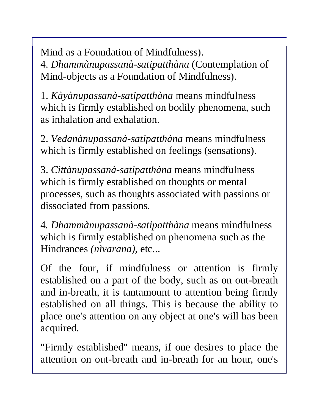Mind as a Foundation of Mindfulness). 4. *Dhammànupassanà-satipatthàna* (Contemplation of Mind-objects as a Foundation of Mindfulness).

1. *Kàyànupassanà-satipatthàna* means mindfulness which is firmly established on bodily phenomena, such as inhalation and exhalation.

2. *Vedanànupassanà-satipatthàna* means mindfulness which is firmly established on feelings (sensations).

3. *Cittànupassanà-satipatthàna* means mindfulness which is firmly established on thoughts or mental processes, such as thoughts associated with passions or dissociated from passions.

4*. Dhammànupassanà-satipatthàna* means mindfulness which is firmly established on phenomena such as the Hindrances *(nìvarana),* etc...

Of the four, if mindfulness or attention is firmly established on a part of the body, such as on out-breath and in-breath, it is tantamount to attention being firmly established on all things. This is because the ability to place one's attention on any object at one's will has been acquired.

"Firmly established" means, if one desires to place the attention on out-breath and in-breath for an hour, one's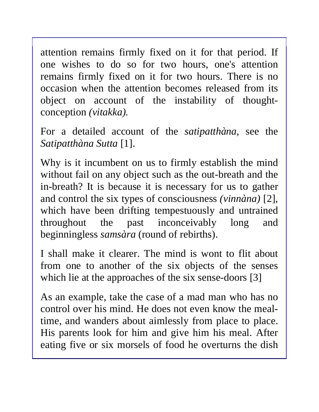attention remains firmly fixed on it for that period. If one wishes to do so for two hours, one's attention remains firmly fixed on it for two hours. There is no occasion when the attention becomes released from its object on account of the instability of thoughtconception *(vitakka).* 

For a detailed account of the *satipatthàna,* see the *Satipatthàna Sutta* [1].

Why is it incumbent on us to firmly establish the mind without fail on any object such as the out-breath and the in-breath? It is because it is necessary for us to gather and control the six types of consciousness *(vinnàna)* [2], which have been drifting tempestuously and untrained throughout the past inconceivably long and beginningless *samsàra* (round of rebirths).

I shall make it clearer. The mind is wont to flit about from one to another of the six objects of the senses which lie at the approaches of the six sense-doors [3]

As an example, take the case of a mad man who has no control over his mind. He does not even know the mealtime, and wanders about aimlessly from place to place. His parents look for him and give him his meal. After eating five or six morsels of food he overturns the dish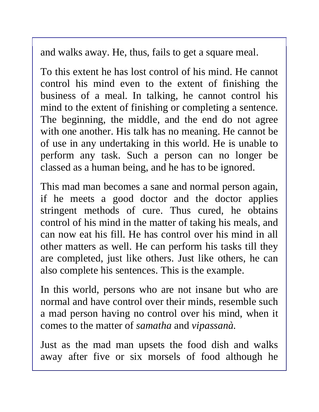and walks away. He, thus, fails to get a square meal.

To this extent he has lost control of his mind. He cannot control his mind even to the extent of finishing the business of a meal. In talking, he cannot control his mind to the extent of finishing or completing a sentence. The beginning, the middle, and the end do not agree with one another. His talk has no meaning. He cannot be of use in any undertaking in this world. He is unable to perform any task. Such a person can no longer be classed as a human being, and he has to be ignored.

This mad man becomes a sane and normal person again, if he meets a good doctor and the doctor applies stringent methods of cure. Thus cured, he obtains control of his mind in the matter of taking his meals, and can now eat his fill. He has control over his mind in all other matters as well. He can perform his tasks till they are completed, just like others. Just like others, he can also complete his sentences. This is the example.

In this world, persons who are not insane but who are normal and have control over their minds, resemble such a mad person having no control over his mind, when it comes to the matter of *samatha* and *vipassanà.* 

Just as the mad man upsets the food dish and walks away after five or six morsels of food although he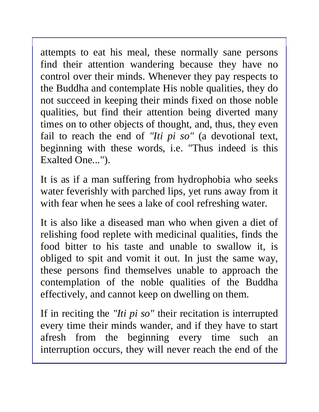attempts to eat his meal, these normally sane persons find their attention wandering because they have no control over their minds. Whenever they pay respects to the Buddha and contemplate His noble qualities, they do not succeed in keeping their minds fixed on those noble qualities, but find their attention being diverted many times on to other objects of thought, and, thus, they even fail to reach the end of *"Iti pi so"* (a devotional text, beginning with these words, i.e. "Thus indeed is this Exalted One...").

It is as if a man suffering from hydrophobia who seeks water feverishly with parched lips, yet runs away from it with fear when he sees a lake of cool refreshing water.

It is also like a diseased man who when given a diet of relishing food replete with medicinal qualities, finds the food bitter to his taste and unable to swallow it, is obliged to spit and vomit it out. In just the same way, these persons find themselves unable to approach the contemplation of the noble qualities of the Buddha effectively, and cannot keep on dwelling on them.

If in reciting the *"Iti pi so"* their recitation is interrupted every time their minds wander, and if they have to start afresh from the beginning every time such an interruption occurs, they will never reach the end of the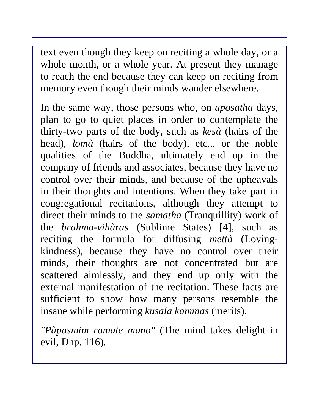text even though they keep on reciting a whole day, or a whole month, or a whole year. At present they manage to reach the end because they can keep on reciting from memory even though their minds wander elsewhere.

In the same way, those persons who, on *uposatha* days, plan to go to quiet places in order to contemplate the thirty-two parts of the body, such as *kesà* (hairs of the head), *lomà* (hairs of the body), etc... or the noble qualities of the Buddha, ultimately end up in the company of friends and associates, because they have no control over their minds, and because of the upheavals in their thoughts and intentions. When they take part in congregational recitations, although they attempt to direct their minds to the *samatha* (Tranquillity) work of the *brahma-vihàras* (Sublime States) [4], such as reciting the formula for diffusing *mettà* (Lovingkindness), because they have no control over their minds, their thoughts are not concentrated but are scattered aimlessly, and they end up only with the external manifestation of the recitation. These facts are sufficient to show how many persons resemble the insane while performing *kusala kammas* (merits).

*"Pàpasmim ramate mano"* (The mind takes delight in evil, Dhp. 116).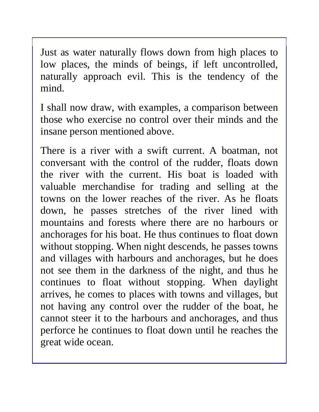Just as water naturally flows down from high places to low places, the minds of beings, if left uncontrolled, naturally approach evil. This is the tendency of the mind.

I shall now draw, with examples, a comparison between those who exercise no control over their minds and the insane person mentioned above.

There is a river with a swift current. A boatman, not conversant with the control of the rudder, floats down the river with the current. His boat is loaded with valuable merchandise for trading and selling at the towns on the lower reaches of the river. As he floats down, he passes stretches of the river lined with mountains and forests where there are no harbours or anchorages for his boat. He thus continues to float down without stopping. When night descends, he passes towns and villages with harbours and anchorages, but he does not see them in the darkness of the night, and thus he continues to float without stopping. When daylight arrives, he comes to places with towns and villages, but not having any control over the rudder of the boat, he cannot steer it to the harbours and anchorages, and thus perforce he continues to float down until he reaches the great wide ocean.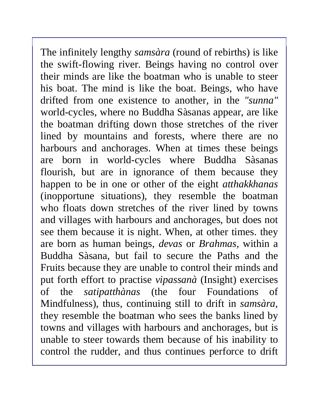The infinitely lengthy *samsàra* (round of rebirths) is like the swift-flowing river. Beings having no control over their minds are like the boatman who is unable to steer his boat. The mind is like the boat. Beings, who have drifted from one existence to another, in the *"sunna"*  world-cycles, where no Buddha Sàsanas appear, are like the boatman drifting down those stretches of the river lined by mountains and forests, where there are no harbours and anchorages. When at times these beings are born in world-cycles where Buddha Sàsanas flourish, but are in ignorance of them because they happen to be in one or other of the eight *atthakkhanas*  (inopportune situations), they resemble the boatman who floats down stretches of the river lined by towns and villages with harbours and anchorages, but does not see them because it is night. When, at other times. they are born as human beings, *devas* or *Brahmas,* within a Buddha Sàsana, but fail to secure the Paths and the Fruits because they are unable to control their minds and put forth effort to practise *vipassanà* (Insight) exercises of the *satipatthànas* (the four Foundations of Mindfulness), thus, continuing still to drift in *samsàra,*  they resemble the boatman who sees the banks lined by towns and villages with harbours and anchorages, but is unable to steer towards them because of his inability to control the rudder, and thus continues perforce to drift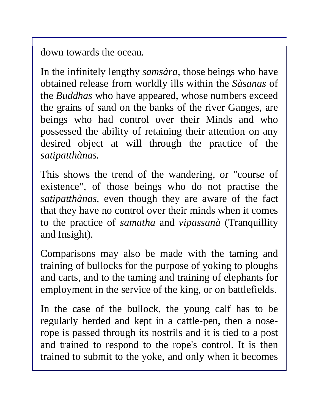down towards the ocean.

In the infinitely lengthy *samsàra,* those beings who have obtained release from worldly ills within the *Sàsanas* of the *Buddhas* who have appeared, whose numbers exceed the grains of sand on the banks of the river Ganges, are beings who had control over their Minds and who possessed the ability of retaining their attention on any desired object at will through the practice of the *satipatthànas.* 

This shows the trend of the wandering, or "course of existence", of those beings who do not practise the *satipatthànas,* even though they are aware of the fact that they have no control over their minds when it comes to the practice of *samatha* and *vipassanà* (Tranquillity and Insight).

Comparisons may also be made with the taming and training of bullocks for the purpose of yoking to ploughs and carts, and to the taming and training of elephants for employment in the service of the king, or on battlefields.

In the case of the bullock, the young calf has to be regularly herded and kept in a cattle-pen, then a noserope is passed through its nostrils and it is tied to a post and trained to respond to the rope's control. It is then trained to submit to the yoke, and only when it becomes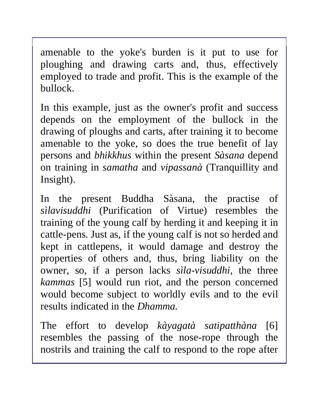amenable to the yoke's burden is it put to use for ploughing and drawing carts and, thus, effectively employed to trade and profit. This is the example of the bullock.

In this example, just as the owner's profit and success depends on the employment of the bullock in the drawing of ploughs and carts, after training it to become amenable to the yoke, so does the true benefit of lay persons and *bhikkhus* within the present *Sàsana* depend on training in *samatha* and *vipassanà* (Tranquillity and Insight).

In the present Buddha Sàsana, the practise of *sìlavisuddhi* (Purification of Virtue) resembles the training of the young calf by herding it and keeping it in cattle-pens. Just as, if the young calf is not so herded and kept in cattlepens, it would damage and destroy the properties of others and, thus, bring liability on the owner, so, if a person lacks *sìla-visuddhi,* the three *kammas* [5] would run riot, and the person concerned would become subject to worldly evils and to the evil results indicated in the *Dhamma.* 

The effort to develop *kàyagatà satipatthàna* [6] resembles the passing of the nose-rope through the nostrils and training the calf to respond to the rope after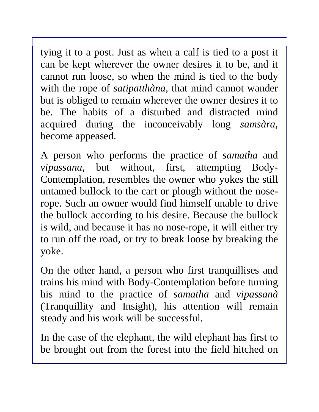tying it to a post. Just as when a calf is tied to a post it can be kept wherever the owner desires it to be, and it cannot run loose, so when the mind is tied to the body with the rope of *satipatthàna,* that mind cannot wander but is obliged to remain wherever the owner desires it to be. The habits of a disturbed and distracted mind acquired during the inconceivably long *samsàra,*  become appeased.

A person who performs the practice of *samatha* and *vipassana,* but without, first, attempting Body-Contemplation, resembles the owner who yokes the still untamed bullock to the cart or plough without the noserope. Such an owner would find himself unable to drive the bullock according to his desire. Because the bullock is wild, and because it has no nose-rope, it will either try to run off the road, or try to break loose by breaking the yoke.

On the other hand, a person who first tranquillises and trains his mind with Body-Contemplation before turning his mind to the practice of *samatha* and *vipassanà*  (Tranquillity and Insight), his attention will remain steady and his work will be successful.

In the case of the elephant, the wild elephant has first to be brought out from the forest into the field hitched on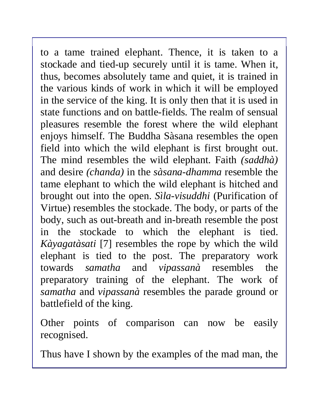to a tame trained elephant. Thence, it is taken to a stockade and tied-up securely until it is tame. When it, thus, becomes absolutely tame and quiet, it is trained in the various kinds of work in which it will be employed in the service of the king. It is only then that it is used in state functions and on battle-fields. The realm of sensual pleasures resemble the forest where the wild elephant enjoys himself. The Buddha Sàsana resembles the open field into which the wild elephant is first brought out. The mind resembles the wild elephant. Faith *(saddhà)* and desire *(chanda)* in the *sàsana-dhamma* resemble the tame elephant to which the wild elephant is hitched and brought out into the open. *Sìla-visuddhi* (Purification of Virtue) resembles the stockade. The body, or parts of the body, such as out-breath and in-breath resemble the post in the stockade to which the elephant is tied. *Kàyagatàsati* [7] resembles the rope by which the wild elephant is tied to the post. The preparatory work towards *samatha* and *vipassanà* resembles the preparatory training of the elephant. The work of *samatha* and *vipassanà* resembles the parade ground or battlefield of the king.

Other points of comparison can now be easily recognised.

Thus have I shown by the examples of the mad man, the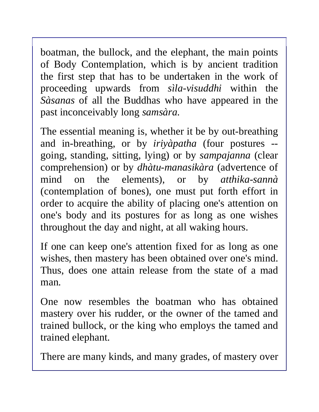boatman, the bullock, and the elephant, the main points of Body Contemplation, which is by ancient tradition the first step that has to be undertaken in the work of proceeding upwards from *sìla-visuddhi* within the *Sàsanas* of all the Buddhas who have appeared in the past inconceivably long *samsàra.*

The essential meaning is, whether it be by out-breathing and in-breathing, or by *iriyàpatha* (four postures - going, standing, sitting, lying) or by *sampajanna* (clear comprehension) or by *dhàtu-manasikàra* (advertence of mind on the elements), or by *atthika-sannà*  (contemplation of bones), one must put forth effort in order to acquire the ability of placing one's attention on one's body and its postures for as long as one wishes throughout the day and night, at all waking hours.

If one can keep one's attention fixed for as long as one wishes, then mastery has been obtained over one's mind. Thus, does one attain release from the state of a mad man.

One now resembles the boatman who has obtained mastery over his rudder, or the owner of the tamed and trained bullock, or the king who employs the tamed and trained elephant.

There are many kinds, and many grades, of mastery over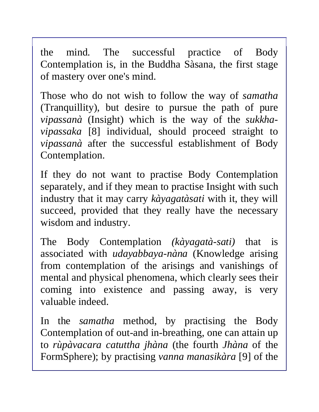the mind. The successful practice of Body Contemplation is, in the Buddha Sàsana, the first stage of mastery over one's mind.

Those who do not wish to follow the way of *samatha* (Tranquillity), but desire to pursue the path of pure *vipassanà* (Insight) which is the way of the *sukkhavipassaka* [8] individual, should proceed straight to *vipassanà* after the successful establishment of Body Contemplation.

If they do not want to practise Body Contemplation separately, and if they mean to practise Insight with such industry that it may carry *kàyagatàsati* with it, they will succeed, provided that they really have the necessary wisdom and industry.

The Body Contemplation *(kàyagatà-sati)* that is associated with *udayabbaya-nàna* (Knowledge arising from contemplation of the arisings and vanishings of mental and physical phenomena, which clearly sees their coming into existence and passing away, is very valuable indeed.

In the *samatha* method, by practising the Body Contemplation of out-and in-breathing, one can attain up to *rùpàvacara catuttha jhàna* (the fourth *Jhàna* of the FormSphere); by practising *vanna manasikàra* [9] of the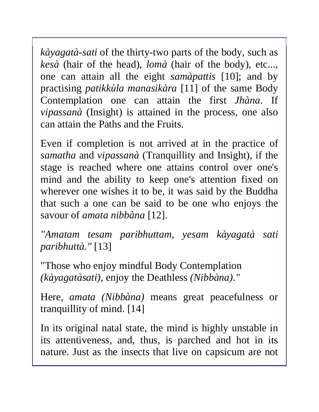*kàyagatà*-*sati* of the thirty-two parts of the body, such as *kesà* (hair of the head), *lomà* (hair of the body), etc..., one can attain all the eight *samàpattis* [10]; and by practising *patikkùla manasikàra* [11] of the same Body Contemplation one can attain the first *Jhàna*. If *vipassanà* (Insight) is attained in the process, one also can attain the Paths and the Fruits.

Even if completion is not arrived at in the practice of *samatha* and *vipassanà* (Tranquillity and Insight), if the stage is reached where one attains control over one's mind and the ability to keep one's attention fixed on wherever one wishes it to be, it was said by the Buddha that such a one can be said to be one who enjoys the savour of *amata nibbàna* [12].

*"Amatam tesam paribhuttam, yesam kàyagatà sati paribhuttà."* [13]

"Those who enjoy mindful Body Contemplation *(kàyagatàsati),* enjoy the Deathless *(Nibbàna)."* 

Here, *amata (Nibbàna)* means great peacefulness or tranquillity of mind. [14]

In its original natal state, the mind is highly unstable in its attentiveness, and, thus, is parched and hot in its nature. Just as the insects that live on capsicum are not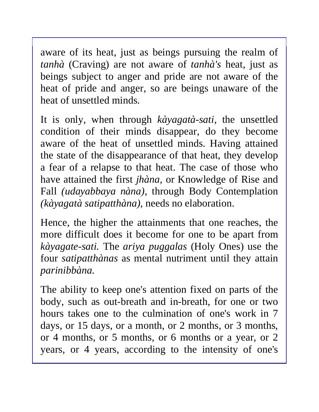aware of its heat, just as beings pursuing the realm of *tanhà* (Craving) are not aware of *tanhà's* heat, just as beings subject to anger and pride are not aware of the heat of pride and anger, so are beings unaware of the heat of unsettled minds.

It is only, when through *kàyagatà-sati,* the unsettled condition of their minds disappear, do they become aware of the heat of unsettled minds. Having attained the state of the disappearance of that heat, they develop a fear of a relapse to that heat. The case of those who have attained the first *jhàna,* or Knowledge of Rise and Fall *(udayabbaya nàna),* through Body Contemplation *(kàyagatà satipatthàna),* needs no elaboration.

Hence, the higher the attainments that one reaches, the more difficult does it become for one to be apart from *kàyagate-sati.* The *ariya puggalas* (Holy Ones) use the four *satipatthànas* as mental nutriment until they attain *parinibbàna.* 

The ability to keep one's attention fixed on parts of the body, such as out-breath and in-breath, for one or two hours takes one to the culmination of one's work in 7 days, or 15 days, or a month, or 2 months, or 3 months, or 4 months, or 5 months, or 6 months or a year, or 2 years, or 4 years, according to the intensity of one's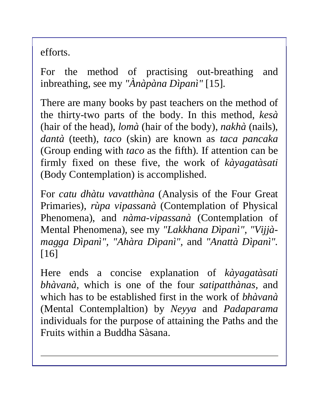efforts.

For the method of practising out-breathing and inbreathing, see my *"Ànàpàna Dìpanì"* [15].

There are many books by past teachers on the method of the thirty-two parts of the body. In this method, *kesà* (hair of the head), *lomà* (hair of the body), *nakhà* (nails), *dantà* (teeth), *taco* (skin) are known as *taca pancaka*  (Group ending with *taco* as the fifth). If attention can be firmly fixed on these five, the work of *kàyagatàsati*  (Body Contemplation) is accomplished.

For *catu dhàtu vavatthàna* (Analysis of the Four Great Primaries), *rùpa vipassanà* (Contemplation of Physical Phenomena), and *nàma-vipassanà* (Contemplation of Mental Phenomena), see my *"Lakkhana Dìpanì", "Vijjàmagga Dìpanì", "Ahàra Dìpanì",* and *"Anattà Dìpanì".*  [16]

Here ends a concise explanation of *kàyagatàsati bhàvanà,* which is one of the four *satipatthànas,* and which has to be established first in the work of *bhàvanà*  (Mental Contemplaltion) by *Neyya* and *Padaparama*  individuals for the purpose of attaining the Paths and the Fruits within a Buddha Sàsana.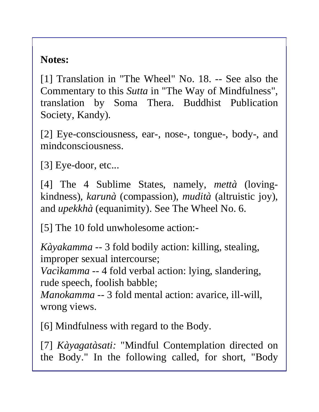### **Notes:**

[1] Translation in "The Wheel" No. 18. -- See also the Commentary to this *Sutta* in "The Way of Mindfulness", translation by Soma Thera. Buddhist Publication Society, Kandy).

[2] Eye-consciousness, ear-, nose-, tongue-, body-, and mindconsciousness.

[3] Eye-door, etc...

[4] The 4 Sublime States, namely, *mettà* (lovingkindness)*, karunà* (compassion), *mudità* (altruistic joy), and *upekkhà* (equanimity). See The Wheel No. 6.

[5] The 10 fold unwholesome action:-

*Kàyakamma --* 3 fold bodily action: killing, stealing, improper sexual intercourse;

*Vacìkamma --* 4 fold verbal action: lying, slandering, rude speech, foolish babble;

*Manokamma --* 3 fold mental action: avarice, ill-will, wrong views.

[6] Mindfulness with regard to the Body.

[7] *Kàyagatàsati:* "Mindful Contemplation directed on the Body." In the following called, for short, "Body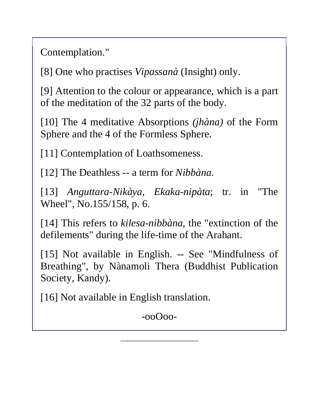Contemplation."

[8] One who practises *Vipassanà* (Insight) only.

[9] Attention to the colour or appearance, which is a part of the meditation of the 32 parts of the body.

[10] The 4 meditative Absorptions *(jhàna)* of the Form Sphere and the 4 of the Formless Sphere.

[11] Contemplation of Loathsomeness.

[12] The Deathless -- a term for *Nibbàna.* 

[13] *Anguttara-Nikàya, Ekaka-nipàta*; tr. in "The Wheel", No.155/158, p. 6.

[14] This refers to *kilesa-nibbàna,* the "extinction of the defilements" during the life-time of the Arahant.

[15] Not available in English. -- See "Mindfulness of Breathing", by Nànamoli Thera (Buddhist Publication Society, Kandy).

[16] Not available in English translation.

-ooOoo-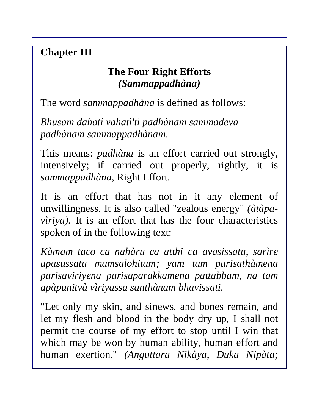### **Chapter III**

#### **The Four Right Efforts**  *(Sammappadhàna)*

The word *sammappadhàna* is defined as follows:

*Bhusam dahati vahatì'ti padhànam sammadeva padhànam sammappadhànam.* 

This means: *padhàna* is an effort carried out strongly, intensively; if carried out properly, rightly, it is *sammappadhàna,* Right Effort.

It is an effort that has not in it any element of unwillingness. It is also called "zealous energy" *(àtàpavìriya*). It is an effort that has the four characteristics spoken of in the following text:

*Kàmam taco ca nahàru ca atthi ca avasissatu, sarìre upasussatu mamsalohitam; yam tam purisathàmena purisaviriyena purisaparakkamena pattabbam, na tam apàpunitvà vìriyassa santhànam bhavissati.* 

"Let only my skin, and sinews, and bones remain, and let my flesh and blood in the body dry up, I shall not permit the course of my effort to stop until I win that which may be won by human ability, human effort and human exertion." *(Anguttara Nikàya, Duka Nipàta;*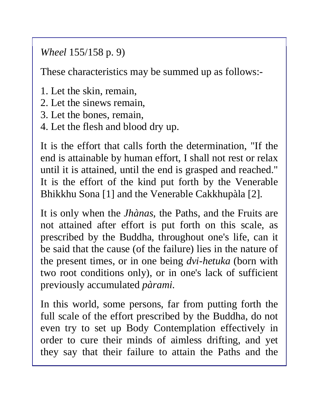*Wheel* 155/158 p. 9)

These characteristics may be summed up as follows:-

- 1. Let the skin, remain,
- 2. Let the sinews remain,
- 3. Let the bones, remain,
- 4. Let the flesh and blood dry up.

It is the effort that calls forth the determination, "If the end is attainable by human effort, I shall not rest or relax until it is attained, until the end is grasped and reached." It is the effort of the kind put forth by the Venerable Bhikkhu Sona [1] and the Venerable Cakkhupàla [2].

It is only when the *Jhànas*, the Paths, and the Fruits are not attained after effort is put forth on this scale, as prescribed by the Buddha, throughout one's life, can it be said that the cause (of the failure) lies in the nature of the present times, or in one being *dvi-hetuka* (born with two root conditions only), or in one's lack of sufficient previously accumulated *pàrami.* 

In this world, some persons, far from putting forth the full scale of the effort prescribed by the Buddha, do not even try to set up Body Contemplation effectively in order to cure their minds of aimless drifting, and yet they say that their failure to attain the Paths and the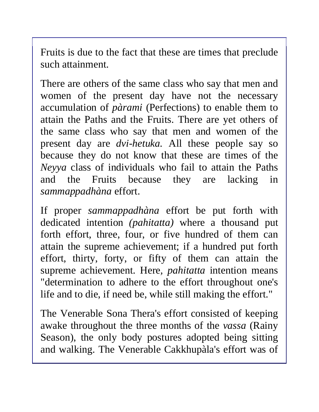Fruits is due to the fact that these are times that preclude such attainment.

There are others of the same class who say that men and women of the present day have not the necessary accumulation of *pàrami* (Perfections) to enable them to attain the Paths and the Fruits. There are yet others of the same class who say that men and women of the present day are *dvi-hetuka.* All these people say so because they do not know that these are times of the *Neyya* class of individuals who fail to attain the Paths and the Fruits because they are lacking in *sammappadhàna* effort.

If proper *sammappadhàna* effort be put forth with dedicated intention *(pahitatta)* where a thousand put forth effort, three, four, or five hundred of them can attain the supreme achievement; if a hundred put forth effort, thirty, forty, or fifty of them can attain the supreme achievement. Here*, pahitatta* intention means "determination to adhere to the effort throughout one's life and to die, if need be, while still making the effort."

The Venerable Sona Thera's effort consisted of keeping awake throughout the three months of the *vassa* (Rainy Season), the only body postures adopted being sitting and walking. The Venerable Cakkhupàla's effort was of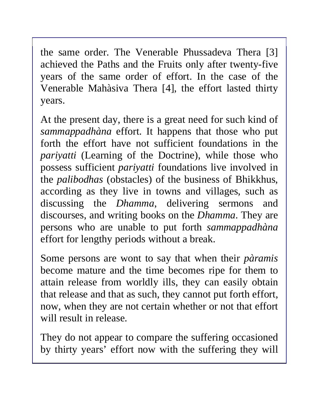the same order. The Venerable Phussadeva Thera [3] achieved the Paths and the Fruits only after twenty-five years of the same order of effort. In the case of the Venerable Mahàsiva Thera [4], the effort lasted thirty years.

At the present day, there is a great need for such kind of *sammappadhàna* effort. It happens that those who put forth the effort have not sufficient foundations in the *pariyatti* (Learning of the Doctrine), while those who possess sufficient *pariyatti* foundations live involved in the *palibodhas* (obstacles) of the business of Bhikkhus, according as they live in towns and villages, such as discussing the *Dhamma*, delivering sermons and discourses, and writing books on the *Dhamma*. They are persons who are unable to put forth *sammappadhàna*  effort for lengthy periods without a break.

Some persons are wont to say that when their *pàramis* become mature and the time becomes ripe for them to attain release from worldly ills, they can easily obtain that release and that as such, they cannot put forth effort, now, when they are not certain whether or not that effort will result in release.

They do not appear to compare the suffering occasioned by thirty years' effort now with the suffering they will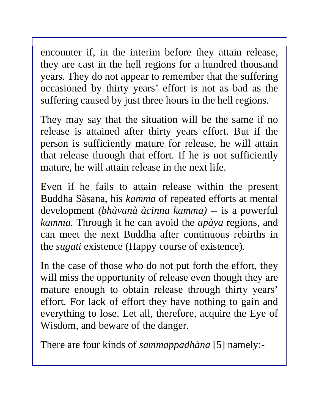encounter if, in the interim before they attain release, they are cast in the hell regions for a hundred thousand years. They do not appear to remember that the suffering occasioned by thirty years' effort is not as bad as the suffering caused by just three hours in the hell regions.

They may say that the situation will be the same if no release is attained after thirty years effort. But if the person is sufficiently mature for release, he will attain that release through that effort. If he is not sufficiently mature, he will attain release in the next life.

Even if he fails to attain release within the present Buddha Sàsana, his *kamma* of repeated efforts at mental development *(bhàvanà àcinna kamma) --* is a powerful *kamma.* Through it he can avoid the *apàya* regions, and can meet the next Buddha after continuous rebirths in the *sugati* existence (Happy course of existence).

In the case of those who do not put forth the effort, they will miss the opportunity of release even though they are mature enough to obtain release through thirty years' effort. For lack of effort they have nothing to gain and everything to lose. Let all, therefore, acquire the Eye of Wisdom, and beware of the danger.

There are four kinds of *sammappadhàna* [5] namely:-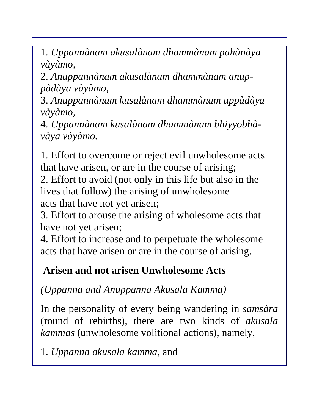1. *Uppannànam akusalànam dhammànam pahànàya vàyàmo,* 

2. *Anuppannànam akusalànam dhammànam anuppàdàya vàyàmo,* 

3. *Anuppannànam kusalànam dhammànam uppàdàya vàyàmo,* 

4. *Uppannànam kusalànam dhammànam bhiyyobhàvàya vàyàmo.* 

1. Effort to overcome or reject evil unwholesome acts that have arisen, or are in the course of arising;

2. Effort to avoid (not only in this life but also in the lives that follow) the arising of unwholesome acts that have not yet arisen;

3. Effort to arouse the arising of wholesome acts that have not yet arisen;

4. Effort to increase and to perpetuate the wholesome acts that have arisen or are in the course of arising.

### **Arisen and not arisen Unwholesome Acts**

*(Uppanna and Anuppanna Akusala Kamma)* 

In the personality of every being wandering in *samsàra* (round of rebirths), there are two kinds of *akusala kammas* (unwholesome volitional actions), namely,

1. *Uppanna akusala kamma,* and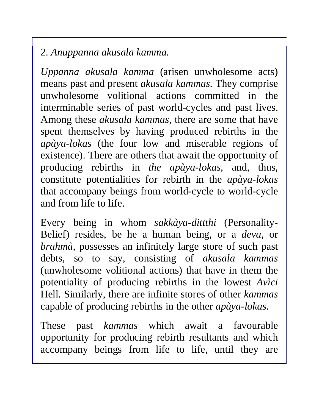### 2. *Anuppanna akusala kamma.*

*Uppanna akusala kamma* (arisen unwholesome acts) means past and present *akusala kammas.* They comprise unwholesome volitional actions committed in the interminable series of past world-cycles and past lives. Among these *akusala kammas,* there are some that have spent themselves by having produced rebirths in the *apàya-lokas* (the four low and miserable regions of existence). There are others that await the opportunity of producing rebirths in *the apàya-lokas,* and, thus, constitute potentialities for rebirth in the *apàya-lokas*  that accompany beings from world-cycle to world-cycle and from life to life.

Every being in whom *sakkàya-dittthi* (Personality-Belief) resides, be he a human being, or a *deva,* or *brahmà,* possesses an infinitely large store of such past debts, so to say, consisting of *akusala kammas*  (unwholesome volitional actions) that have in them the potentiality of producing rebirths in the lowest *Avìci*  Hell. Similarly, there are infinite stores of other *kammas*  capable of producing rebirths in the other *apàya-lokas.* 

These past *kammas* which await a favourable opportunity for producing rebirth resultants and which accompany beings from life to life, until they are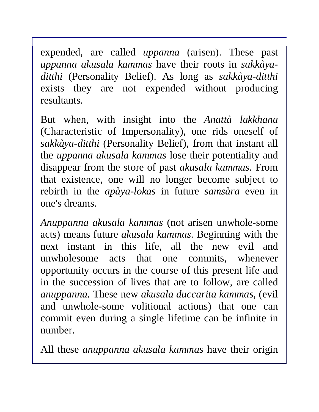expended, are called *uppanna* (arisen). These past *uppanna akusala kammas* have their roots in *sakkàyaditthi* (Personality Belief). As long as *sakkàya-ditthi*  exists they are not expended without producing resultants.

But when, with insight into the *Anattà lakkhana*  (Characteristic of Impersonality), one rids oneself of *sakkàya-ditthi* (Personality Belief), from that instant all the *uppanna akusala kammas* lose their potentiality and disappear from the store of past *akusala kammas.* From that existence, one will no longer become subject to rebirth in the *apàya-lokas* in future *samsàra* even in one's dreams.

*Anuppanna akusala kammas* (not arisen unwhole-some acts) means future *akusala kammas.* Beginning with the next instant in this life, all the new evil and unwholesome acts that one commits, whenever opportunity occurs in the course of this present life and in the succession of lives that are to follow, are called *anuppanna.* These new *akusala duccarita kammas,* (evil and unwhole-some volitional actions) that one can commit even during a single lifetime can be infinite in number.

All these *anuppanna akusala kammas* have their origin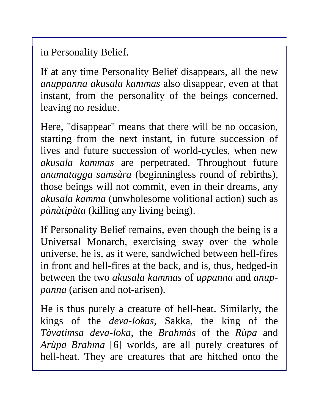in Personality Belief.

If at any time Personality Belief disappears, all the new *anuppanna akusala kammas* also disappear, even at that instant, from the personality of the beings concerned, leaving no residue.

Here, "disappear" means that there will be no occasion, starting from the next instant, in future succession of lives and future succession of world-cycles, when new *akusala kammas* are perpetrated. Throughout future *anamatagga samsàra* (beginningless round of rebirths), those beings will not commit, even in their dreams, any *akusala kamma* (unwholesome volitional action) such as *pànàtipàta* (killing any living being).

If Personality Belief remains, even though the being is a Universal Monarch, exercising sway over the whole universe, he is, as it were, sandwiched between hell-fires in front and hell-fires at the back, and is, thus, hedged-in between the two *akusala kammas* of *uppanna* and *anuppanna* (arisen and not-arisen).

He is thus purely a creature of hell-heat. Similarly, the kings of the *deva-lokas,* Sakka, the king of the *Tàvatimsa deva-loka,* the *Brahmàs* of the *Rùpa* and *Arùpa Brahma* [6] worlds*,* are all purely creatures of hell-heat. They are creatures that are hitched onto the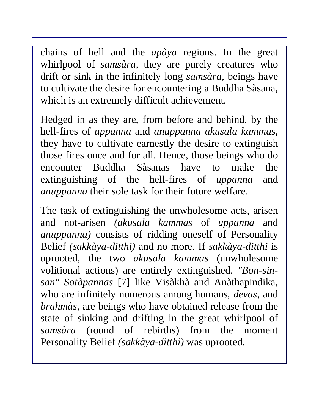chains of hell and the *apàya* regions. In the great whirlpool of *samsàra,* they are purely creatures who drift or sink in the infinitely long *samsàra,* beings have to cultivate the desire for encountering a Buddha Sàsana, which is an extremely difficult achievement.

Hedged in as they are, from before and behind, by the hell-fires of *uppanna* and *anuppanna akusala kammas,*  they have to cultivate earnestly the desire to extinguish those fires once and for all. Hence, those beings who do encounter Buddha Sàsanas have to make the extinguishing of the hell-fires of *uppanna* and *anuppanna* their sole task for their future welfare.

The task of extinguishing the unwholesome acts, arisen and not-arisen *(akusala kammas* of *uppanna* and *anuppanna)* consists of ridding oneself of Personality Belief *(sakkàya-ditthi)* and no more. If *sakkàya-ditthi* is uprooted, the two *akusala kammas* (unwholesome volitional actions) are entirely extinguished. *"Bon-sinsan" Sotàpannas* [7] like Visàkhà and Anàthapindika, who are infinitely numerous among humans, *devas,* and *brahmàs,* are beings who have obtained release from the state of sinking and drifting in the great whirlpool of *samsàra* (round of rebirths) from the moment Personality Belief *(sakkàya-ditthi)* was uprooted.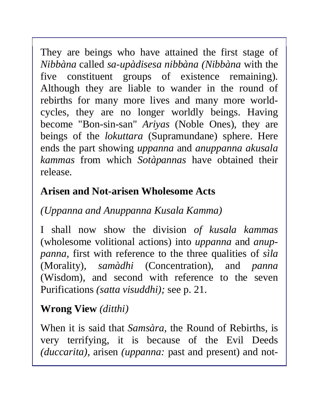They are beings who have attained the first stage of *Nibbàna* called *sa-upàdisesa nibbàna (Nibbàna* with the five constituent groups of existence remaining). Although they are liable to wander in the round of rebirths for many more lives and many more worldcycles, they are no longer worldly beings. Having become "Bon-sin-san" *Ariyas* (Noble Ones), they are beings of the *lokuttara* (Supramundane) sphere. Here ends the part showing *uppanna* and *anuppanna akusala kammas* from which *Sotàpannas* have obtained their release.

# **Arisen and Not-arisen Wholesome Acts**

# *(Uppanna and Anuppanna Kusala Kamma)*

I shall now show the division *of kusala kammas*  (wholesome volitional actions) into *uppanna* and *anuppanna,* first with reference to the three qualities of *sìla*  (Morality), *samàdhi* (Concentration), and *panna* (Wisdom), and second with reference to the seven Purifications *(satta visuddhi);* see p. 21.

# **Wrong View** *(ditthi)*

When it is said that *Samsàra,* the Round of Rebirths, is very terrifying, it is because of the Evil Deeds *(duccarita),* arisen *(uppanna:* past and present) and not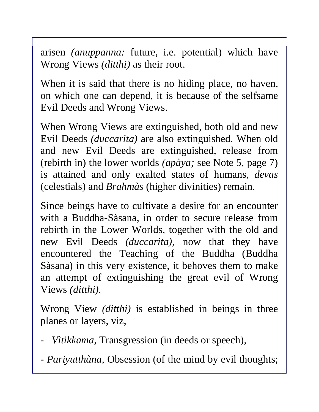arisen *(anuppanna:* future, i.e. potential) which have Wrong Views *(ditthi)* as their root.

When it is said that there is no hiding place, no haven, on which one can depend, it is because of the selfsame Evil Deeds and Wrong Views.

When Wrong Views are extinguished, both old and new Evil Deeds *(duccarita)* are also extinguished. When old and new Evil Deeds are extinguished, release from (rebirth in) the lower worlds *(apàya;* see Note 5, page 7) is attained and only exalted states of humans, *devas*  (celestials) and *Brahmàs* (higher divinities) remain.

Since beings have to cultivate a desire for an encounter with a Buddha-Sàsana, in order to secure release from rebirth in the Lower Worlds, together with the old and new Evil Deeds *(duccarita),* now that they have encountered the Teaching of the Buddha (Buddha Sàsana) in this very existence, it behoves them to make an attempt of extinguishing the great evil of Wrong Views *(ditthi).* 

Wrong View *(ditthi)* is established in beings in three planes or layers, viz,

- *Vìtikkama,* Transgression (in deeds or speech),
- *Pariyutthàna,* Obsession (of the mind by evil thoughts;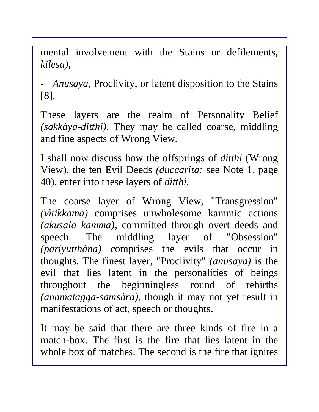mental involvement with the Stains or defilements, *kilesa),* 

*- Anusaya,* Proclivity, or latent disposition to the Stains [8].

These layers are the realm of Personality Belief *(sakkàya-ditthi).* They may be called coarse, middling and fine aspects of Wrong View.

I shall now discuss how the offsprings of *ditthi* (Wrong View), the ten Evil Deeds *(duccarita:* see Note 1. page 40), enter into these layers of *ditthi.* 

The coarse layer of Wrong View, "Transgression" *(vìtikkama)* comprises unwholesome kammic actions *(akusala kamma),* committed through overt deeds and speech. The middling layer of "Obsession" *(pariyutthàna)* comprises the evils that occur in thoughts. The finest layer, "Proclivity" *(anusaya)* is the evil that lies latent in the personalities of beings throughout the beginningless round of rebirths *(anamatagga-samsàra),* though it may not yet result in manifestations of act, speech or thoughts.

It may be said that there are three kinds of fire in a match-box. The first is the fire that lies latent in the whole box of matches. The second is the fire that ignites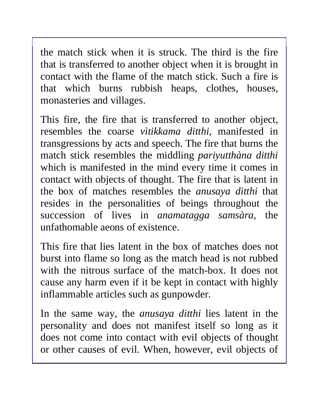the match stick when it is struck. The third is the fire that is transferred to another object when it is brought in contact with the flame of the match stick. Such a fire is that which burns rubbish heaps, clothes, houses, monasteries and villages.

This fire, the fire that is transferred to another object, resembles the coarse *vìtikkama ditthi,* manifested in transgressions by acts and speech. The fire that burns the match stick resembles the middling *pariyutthàna ditthi*  which is manifested in the mind every time it comes in contact with objects of thought. The fire that is latent in the box of matches resembles the *anusaya ditthi* that resides in the personalities of beings throughout the succession of lives in *anamatagga samsàra,* the unfathomable aeons of existence.

This fire that lies latent in the box of matches does not burst into flame so long as the match head is not rubbed with the nitrous surface of the match-box. It does not cause any harm even if it be kept in contact with highly inflammable articles such as gunpowder.

In the same way, the *anusaya ditthi* lies latent in the personality and does not manifest itself so long as it does not come into contact with evil objects of thought or other causes of evil. When, however, evil objects of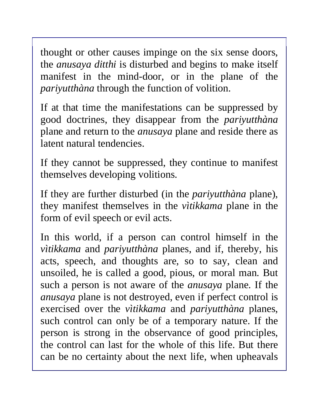thought or other causes impinge on the six sense doors, the *anusaya ditthi* is disturbed and begins to make itself manifest in the mind-door, or in the plane of the *pariyutthàna* through the function of volition.

If at that time the manifestations can be suppressed by good doctrines, they disappear from the *pariyutthàna*  plane and return to the *anusaya* plane and reside there as latent natural tendencies.

If they cannot be suppressed, they continue to manifest themselves developing volitions.

If they are further disturbed (in the *pariyutthàna* plane), they manifest themselves in the *vìtikkama* plane in the form of evil speech or evil acts.

In this world, if a person can control himself in the *vìtikkama* and *pariyutthàna* planes, and if, thereby, his acts, speech, and thoughts are, so to say, clean and unsoiled, he is called a good, pious, or moral man. But such a person is not aware of the *anusaya* plane. If the *anusaya* plane is not destroyed, even if perfect control is exercised over the *vìtikkama* and *pariyutthàna* planes, such control can only be of a temporary nature. If the person is strong in the observance of good principles, the control can last for the whole of this life. But there can be no certainty about the next life, when upheavals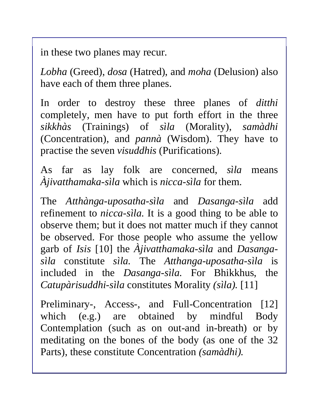in these two planes may recur.

*Lobha* (Greed), *dosa* (Hatred), and *moha* (Delusion) also have each of them three planes.

In order to destroy these three planes of *ditthi*  completely, men have to put forth effort in the three *sikkhàs* (Trainings) of *sìla* (Morality), *samàdhi*  (Concentration), and *pannà* (Wisdom). They have to practise the seven *visuddhis* (Purifications).

As far as lay folk are concerned, *sìla* means *Àjivatthamaka-sìla* which is *nicca-sìla* for them.

The *Atthànga-uposatha-sìla* and *Dasanga-sìla* add refinement to *nicca-sìla.* It is a good thing to be able to observe them; but it does not matter much if they cannot be observed. For those people who assume the yellow garb of *Isis* [10] the *Àjivatthamaka-sìla* and *Dasangasìla* constitute *sìla.* The *Atthanga-uposatha-sìla* is included in the *Dasanga-sìla.* For Bhikkhus, the *Catupàrisuddhi-sìla* constitutes Morality *(sìla).* [11]

Preliminary-, Access-, and Full-Concentration [12] which (e.g.) are obtained by mindful Body Contemplation (such as on out-and in-breath) or by meditating on the bones of the body (as one of the 32 Parts), these constitute Concentration *(samàdhi).*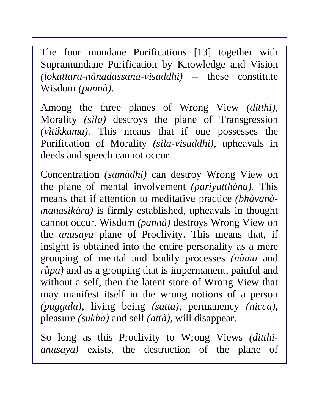The four mundane Purifications [13] together with Supramundane Purification by Knowledge and Vision *(lokuttara-nànadassana-visuddhi) --* these constitute Wisdom *(pannà).* 

Among the three planes of Wrong View *(ditthi),*  Morality *(sìla)* destroys the plane of Transgression *(vìtikkama).* This means that if one possesses the Purification of Morality *(sìla-visuddhi),* upheavals in deeds and speech cannot occur.

Concentration *(samàdhi)* can destroy Wrong View on the plane of mental involvement *(pariyutthàna).* This means that if attention to meditative practice *(bhàvanàmanasikàra)* is firmly established, upheavals in thought cannot occur. Wisdom *(pannà)* destroys Wrong View on the *anusaya* plane of Proclivity. This means that, if insight is obtained into the entire personality as a mere grouping of mental and bodily processes *(nàma* and *rùpa*) and as a grouping that is impermanent, painful and without a self, then the latent store of Wrong View that may manifest itself in the wrong notions of a person *(puggala),* living being *(satta),* permanency *(nicca),* pleasure *(sukha)* and self *(attà),* will disappear.

So long as this Proclivity to Wrong Views *(ditthianusaya)* exists, the destruction of the plane of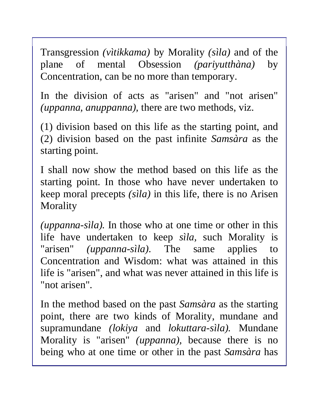Transgression *(vìtikkama)* by Morality *(sìla)* and of the plane of mental Obsession *(pariyutthàna)* by Concentration, can be no more than temporary.

In the division of acts as "arisen" and "not arisen" *(uppanna, anuppanna),* there are two methods, viz.

(1) division based on this life as the starting point, and (2) division based on the past infinite *Samsàra* as the starting point.

I shall now show the method based on this life as the starting point. In those who have never undertaken to keep moral precepts *(sìla)* in this life, there is no Arisen **Morality** 

*(uppanna-sìla).* In those who at one time or other in this life have undertaken to keep *sìla,* such Morality is "arisen" *(uppanna-sìla).* The same applies to Concentration and Wisdom: what was attained in this life is "arisen", and what was never attained in this life is "not arisen".

In the method based on the past *Samsàra* as the starting point, there are two kinds of Morality, mundane and supramundane *(lokiya* and *lokuttara-sìla).* Mundane Morality is "arisen" *(uppanna),* because there is no being who at one time or other in the past *Samsàra* has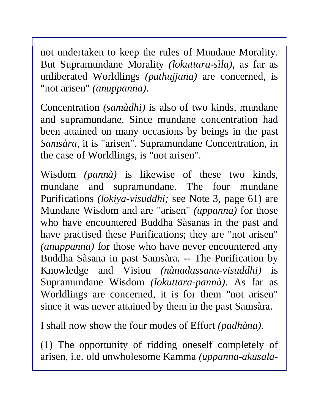not undertaken to keep the rules of Mundane Morality. But Supramundane Morality *(lokuttara-sìla),* as far as unliberated Worldlings *(puthujjana)* are concerned, is "not arisen" *(anuppanna).* 

Concentration *(samàdhi)* is also of two kinds, mundane and supramundane. Since mundane concentration had been attained on many occasions by beings in the past *Samsàra*, it is "arisen". Supramundane Concentration, in the case of Worldlings, is "not arisen".

Wisdom *(pannà)* is likewise of these two kinds, mundane and supramundane. The four mundane Purifications *(lokiya-visuddhi;* see Note 3, page 61) are Mundane Wisdom and are "arisen" *(uppanna)* for those who have encountered Buddha Sàsanas in the past and have practised these Purifications; they are "not arisen" *(anuppanna)* for those who have never encountered any Buddha Sàsana in past Samsàra. -- The Purification by Knowledge and Vision *(nànadassana-visuddhi)* is Supramundane Wisdom *(lokuttara-pannà).* As far as Worldlings are concerned, it is for them "not arisen" since it was never attained by them in the past Samsàra.

I shall now show the four modes of Effort *(padhàna).*

(1) The opportunity of ridding oneself completely of arisen, i.e. old unwholesome Kamma *(uppanna-akusala-*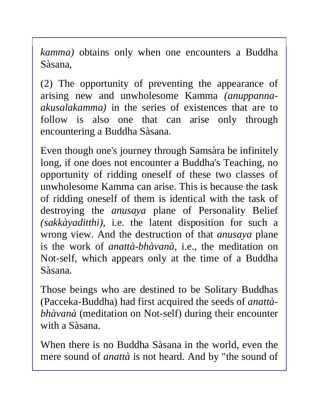*kamma)* obtains only when one encounters a Buddha Sàsana,

(2) The opportunity of preventing the appearance of arising new and unwholesome Kamma *(anuppannaakusalakamma)* in the series of existences that are to follow is also one that can arise only through encountering a Buddha Sàsana.

Even though one's journey through Samsàra be infinitely long, if one does not encounter a Buddha's Teaching, no opportunity of ridding oneself of these two classes of unwholesome Kamma can arise. This is because the task of ridding oneself of them is identical with the task of destroying the *anusaya* plane of Personality Belief *(sakkàyaditthi),* i.e. the latent disposition for such a wrong view. And the destruction of that *anusaya* plane is the work of *anattà-bhàvanà,* i.e., the meditation on Not-self, which appears only at the time of a Buddha Sàsana.

Those beings who are destined to be Solitary Buddhas (Pacceka-Buddha) had first acquired the seeds of *anattàbhàvanà* (meditation on Not-self) during their encounter with a Sàsana.

When there is no Buddha Sàsana in the world, even the mere sound of *anattà* is not heard. And by "the sound of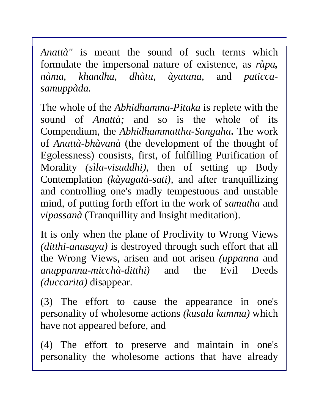*Anattà"* is meant the sound of such terms which formulate the impersonal nature of existence, as *rùpa, nàma, khandha*, *dhàtu, àyatana,* and *paticcasamuppàda.* 

The whole of the *Abhidhamma-Pitaka* is replete with the sound of *Anattà;* and so is the whole of its Compendium, the *Abhidhammattha-Sangaha***.** The work of *Anattà-bhàvanà* (the development of the thought of Egolessness) consists, first, of fulfilling Purification of Morality *(sìla-visuddhi),* then of setting up Body Contemplation *(kàyagatà-sati),* and after tranquillizing and controlling one's madly tempestuous and unstable mind, of putting forth effort in the work of *samatha* and *vipassanà* (Tranquillity and Insight meditation).

It is only when the plane of Proclivity to Wrong Views *(ditthi-anusaya)* is destroyed through such effort that all the Wrong Views, arisen and not arisen *(uppanna* and *anuppanna-micchà-ditthi)* and the Evil Deeds *(duccarita)* disappear.

(3) The effort to cause the appearance in one's personality of wholesome actions *(kusala kamma)* which have not appeared before, and

(4) The effort to preserve and maintain in one's personality the wholesome actions that have already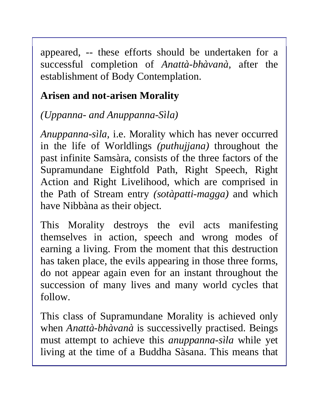appeared, -- these efforts should be undertaken for a successful completion of *Anattà-bhàvanà,* after the establishment of Body Contemplation.

# **Arisen and not-arisen Morality**

*(Uppanna- and Anuppanna-Sìla)* 

*Anuppanna-sìla,* i.e. Morality which has never occurred in the life of Worldlings *(puthujjana)* throughout the past infinite Samsàra, consists of the three factors of the Supramundane Eightfold Path, Right Speech, Right Action and Right Livelihood, which are comprised in the Path of Stream entry *(sotàpatti-magga)* and which have Nibbàna as their object.

This Morality destroys the evil acts manifesting themselves in action, speech and wrong modes of earning a living. From the moment that this destruction has taken place, the evils appearing in those three forms, do not appear again even for an instant throughout the succession of many lives and many world cycles that follow.

This class of Supramundane Morality is achieved only when *Anattà-bhàvanà* is successivelly practised. Beings must attempt to achieve this *anuppanna-sìla* while yet living at the time of a Buddha Sàsana. This means that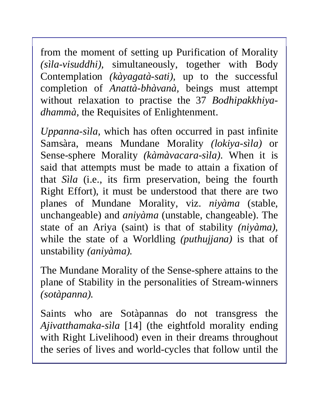from the moment of setting up Purification of Morality *(sìla-visuddhi),* simultaneously, together with Body Contemplation *(kàyagatà-sati),* up to the successful completion of *Anattà-bhàvanà,* beings must attempt without relaxation to practise the 37 *Bodhipakkhiyadhammà,* the Requisites of Enlightenment.

*Uppanna-sìla,* which has often occurred in past infinite Samsàra, means Mundane Morality *(lokiya-sìla)* or Sense-sphere Morality *(kàmàvacara-sìla).* When it is said that attempts must be made to attain a fixation of that *Sìla* (i.e., its firm preservation, being the fourth Right Effort), it must be understood that there are two planes of Mundane Morality, viz. *niyàma* (stable, unchangeable) and *aniyàma* (unstable, changeable). The state of an Ariya (saint) is that of stability *(niyàma),*  while the state of a Worldling *(puthujjana)* is that of unstability *(aniyàma).* 

The Mundane Morality of the Sense-sphere attains to the plane of Stability in the personalities of Stream-winners *(sotàpanna).* 

Saints who are Sotàpannas do not transgress the *Ajivatthamaka-sìla* [14] (the eightfold morality ending with Right Livelihood) even in their dreams throughout the series of lives and world-cycles that follow until the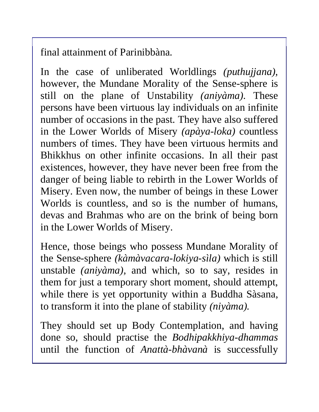final attainment of Parinibbàna.

In the case of unliberated Worldlings *(puthujjana),* however, the Mundane Morality of the Sense-sphere is still on the plane of Unstability *(aniyàma).* These persons have been virtuous lay individuals on an infinite number of occasions in the past. They have also suffered in the Lower Worlds of Misery *(apàya-loka)* countless numbers of times. They have been virtuous hermits and Bhikkhus on other infinite occasions. In all their past existences, however, they have never been free from the danger of being liable to rebirth in the Lower Worlds of Misery. Even now, the number of beings in these Lower Worlds is countless, and so is the number of humans, devas and Brahmas who are on the brink of being born in the Lower Worlds of Misery.

Hence, those beings who possess Mundane Morality of the Sense-sphere *(kàmàvacara-lokiya-sìla)* which is still unstable *(aniyàma),* and which, so to say, resides in them for just a temporary short moment, should attempt, while there is yet opportunity within a Buddha Sàsana, to transform it into the plane of stability *(niyàma).* 

They should set up Body Contemplation, and having done so, should practise the *Bodhipakkhiya-dhammas* until the function of *Anattà-bhàvanà* is successfully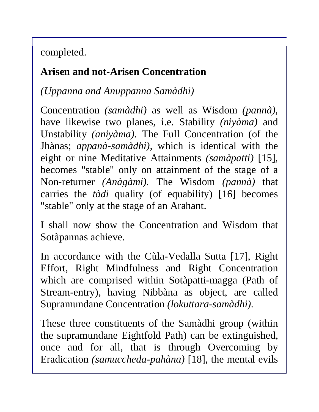completed.

#### **Arisen and not-Arisen Concentration**

*(Uppanna and Anuppanna Samàdhi)* 

Concentration *(samàdhi)* as well as Wisdom *(pannà),* have likewise two planes, i.e. Stability *(niyàma)* and Unstability *(aniyàma).* The Full Concentration (of the Jhànas; *appanà-samàdhi),* which is identical with the eight or nine Meditative Attainments *(samàpatti)* [15], becomes "stable" only on attainment of the stage of a Non-returner *(Anàgàmi).* The Wisdom *(pannà)* that carries the *tàdi* quality (of equability) [16] becomes "stable" only at the stage of an Arahant.

I shall now show the Concentration and Wisdom that Sotàpannas achieve.

In accordance with the Cùla-Vedalla Sutta [17], Right Effort, Right Mindfulness and Right Concentration which are comprised within Sotàpatti-magga (Path of Stream-entry), having Nibbàna as object, are called Supramundane Concentration *(lokuttara-samàdhi).* 

These three constituents of the Samàdhi group (within the supramundane Eightfold Path) can be extinguished, once and for all, that is through Overcoming by Eradication *(samuccheda-pahàna)* [18], the mental evils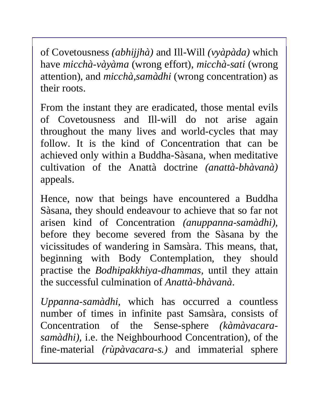of Covetousness *(abhijjhà)* and Ill-Will *(vyàpàda)* which have *micchà-vàyàma* (wrong effort), *micchà-sati* (wrong attention), and *micchà,samàdhi* (wrong concentration) as their roots.

From the instant they are eradicated, those mental evils of Covetousness and Ill-will do not arise again throughout the many lives and world-cycles that may follow. It is the kind of Concentration that can be achieved only within a Buddha-Sàsana, when meditative cultivation of the Anattà doctrine *(anattà-bhàvanà)*  appeals.

Hence, now that beings have encountered a Buddha Sàsana, they should endeavour to achieve that so far not arisen kind of Concentration *(anuppanna-samàdhi),* before they become severed from the Sàsana by the vicissitudes of wandering in Samsàra. This means, that, beginning with Body Contemplation, they should practise the *Bodhipakkhiya-dhammas,* until they attain the successful culmination of *Anattà-bhàvanà*.

*Uppanna-samàdhi,* which has occurred a countless number of times in infinite past Samsàra, consists of Concentration of the Sense-sphere *(kàmàvacarasamàdhi),* i.e. the Neighbourhood Concentration), of the fine-material *(rùpàvacara-s.)* and immaterial sphere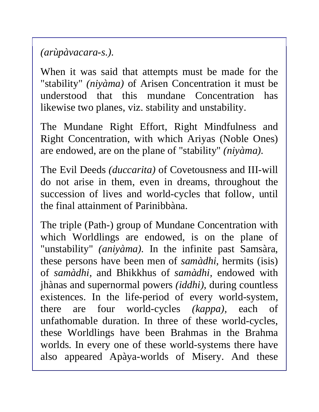*(arùpàvacara-s.).* 

When it was said that attempts must be made for the "stability" *(niyàma)* of Arisen Concentration it must be understood that this mundane Concentration has likewise two planes, viz. stability and unstability.

The Mundane Right Effort, Right Mindfulness and Right Concentration, with which Ariyas (Noble Ones) are endowed, are on the plane of "stability" *(niyàma).* 

The Evil Deeds *(duccarita)* of Covetousness and III-will do not arise in them, even in dreams, throughout the succession of lives and world-cycles that follow, until the final attainment of Parinibbàna.

The triple (Path-) group of Mundane Concentration with which Worldlings are endowed, is on the plane of "unstability" *(aniyàma).* In the infinite past Samsàra, these persons have been men of *samàdhi,* hermits (isis) of *samàdhi,* and Bhikkhus of *samàdhi,* endowed with jhànas and supernormal powers *(iddhi),* during countless existences. In the life-period of every world-system, there are four world-cycles *(kappa),* each of unfathomable duration. In three of these world-cycles, these Worldlings have been Brahmas in the Brahma worlds. In every one of these world-systems there have also appeared Apàya-worlds of Misery. And these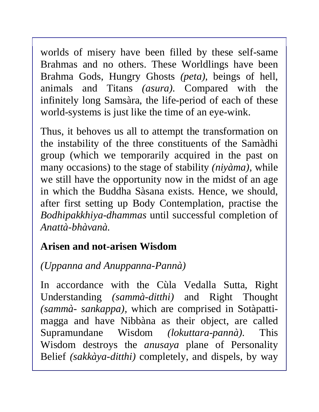worlds of misery have been filled by these self-same Brahmas and no others. These Worldlings have been Brahma Gods, Hungry Ghosts *(peta),* beings of hell, animals and Titans *(asura).* Compared with the infinitely long Samsàra, the life-period of each of these world-systems is just like the time of an eye-wink.

Thus, it behoves us all to attempt the transformation on the instability of the three constituents of the Samàdhi group (which we temporarily acquired in the past on many occasions) to the stage of stability *(niyàma),* while we still have the opportunity now in the midst of an age in which the Buddha Sàsana exists. Hence, we should, after first setting up Body Contemplation, practise the *Bodhipakkhiya-dhammas* until successful completion of *Anattà-bhàvanà.* 

### **Arisen and not-arisen Wisdom**

### *(Uppanna and Anuppanna-Pannà)*

In accordance with the Cùla Vedalla Sutta, Right Understanding *(sammà-ditthi)* and Right Thought *(sammà- sankappa),* which are comprised in Sotàpattimagga and have Nibbàna as their object, are called Supramundane Wisdom *(lokuttara-pannà).* This Wisdom destroys the *anusaya* plane of Personality Belief *(sakkàya-ditthi)* completely, and dispels, by way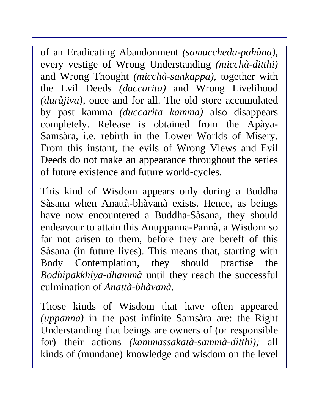of an Eradicating Abandonment *(samuccheda-pahàna),*  every vestige of Wrong Understanding *(micchà-ditthi)*  and Wrong Thought *(micchà-sankappa),* together with the Evil Deeds *(duccarita)* and Wrong Livelihood *(duràjiva),* once and for all. The old store accumulated by past kamma *(duccarita kamma)* also disappears completely. Release is obtained from the Apàya-Samsàra, i.e. rebirth in the Lower Worlds of Misery. From this instant, the evils of Wrong Views and Evil Deeds do not make an appearance throughout the series of future existence and future world-cycles.

This kind of Wisdom appears only during a Buddha Sàsana when Anattà-bhàvanà exists. Hence, as beings have now encountered a Buddha-Sàsana, they should endeavour to attain this Anuppanna-Pannà, a Wisdom so far not arisen to them, before they are bereft of this Sàsana (in future lives). This means that, starting with Body Contemplation, they should practise the *Bodhipakkhiya-dhammà* until they reach the successful culmination of *Anattà-bhàvanà*.

Those kinds of Wisdom that have often appeared *(uppanna)* in the past infinite Samsàra are: the Right Understanding that beings are owners of (or responsible for) their actions *(kammassakatà-sammà-ditthi);* all kinds of (mundane) knowledge and wisdom on the level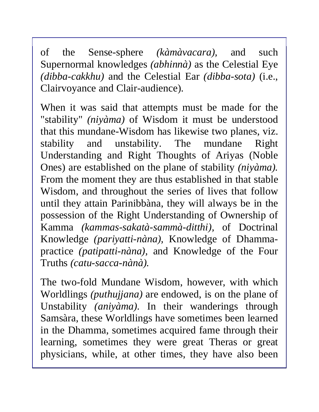of the Sense-sphere *(kàmàvacara),* and such Supernormal knowledges *(abhinnà)* as the Celestial Eye *(dibba-cakkhu)* and the Celestial Ear *(dibba-sota)* (i.e., Clairvoyance and Clair-audience).

When it was said that attempts must be made for the "stability" *(niyàma)* of Wisdom it must be understood that this mundane-Wisdom has likewise two planes, viz. stability and unstability. The mundane Right Understanding and Right Thoughts of Ariyas (Noble Ones) are established on the plane of stability *(niyàma).*  From the moment they are thus established in that stable Wisdom, and throughout the series of lives that follow until they attain Parinibbàna, they will always be in the possession of the Right Understanding of Ownership of Kamma *(kammas-sakatà-sammà-ditthi),* of Doctrinal Knowledge *(pariyatti-nàna),* Knowledge of Dhammapractice *(patipatti-nàna),* and Knowledge of the Four Truths *(catu-sacca-nànà).* 

The two-fold Mundane Wisdom, however, with which Worldlings *(puthujjana)* are endowed, is on the plane of Unstability *(aniyàma).* In their wanderings through Samsàra, these Worldlings have sometimes been learned in the Dhamma, sometimes acquired fame through their learning, sometimes they were great Theras or great physicians, while, at other times, they have also been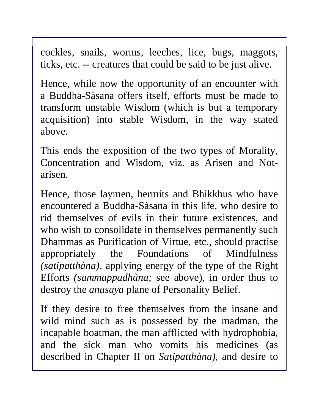cockles, snails, worms, leeches, lice, bugs, maggots, ticks, etc. -- creatures that could be said to be just alive.

Hence, while now the opportunity of an encounter with a Buddha-Sàsana offers itself, efforts must be made to transform unstable Wisdom (which is but a temporary acquisition) into stable Wisdom, in the way stated above.

This ends the exposition of the two types of Morality, Concentration and Wisdom, viz. as Arisen and Notarisen.

Hence, those laymen, hermits and Bhikkhus who have encountered a Buddha-Sàsana in this life, who desire to rid themselves of evils in their future existences, and who wish to consolidate in themselves permanently such Dhammas as Purification of Virtue, etc., should practise appropriately the Foundations of Mindfulness *(satipatthàna),* applying energy of the type of the Right Efforts *(sammappadhàna;* see above), in order thus to destroy the *anusaya* plane of Personality Belief.

If they desire to free themselves from the insane and wild mind such as is possessed by the madman, the incapable boatman, the man afflicted with hydrophobia, and the sick man who vomits his medicines (as described in Chapter II on *Satipatthàna)*, and desire to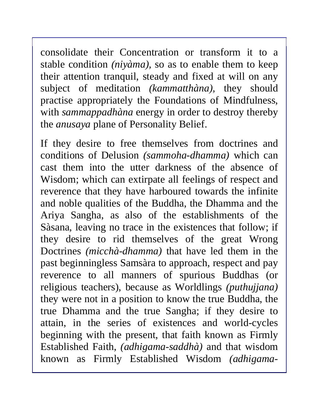consolidate their Concentration or transform it to a stable condition *(niyàma),* so as to enable them to keep their attention tranquil, steady and fixed at will on any subject of meditation *(kammatthàna),* they should practise appropriately the Foundations of Mindfulness, with *sammappadhàna* energy in order to destroy thereby the *anusaya* plane of Personality Belief.

If they desire to free themselves from doctrines and conditions of Delusion *(sammoha-dhamma)* which can cast them into the utter darkness of the absence of Wisdom; which can extirpate all feelings of respect and reverence that they have harboured towards the infinite and noble qualities of the Buddha, the Dhamma and the Ariya Sangha, as also of the establishments of the Sàsana, leaving no trace in the existences that follow; if they desire to rid themselves of the great Wrong Doctrines *(micchà-dhamma)* that have led them in the past beginningless Samsàra to approach, respect and pay reverence to all manners of spurious Buddhas (or religious teachers), because as Worldlings *(puthujjana)*  they were not in a position to know the true Buddha, the true Dhamma and the true Sangha; if they desire to attain, in the series of existences and world-cycles beginning with the present, that faith known as Firmly Established Faith, *(adhigama-saddhà)* and that wisdom known as Firmly Established Wisdom *(adhigama-*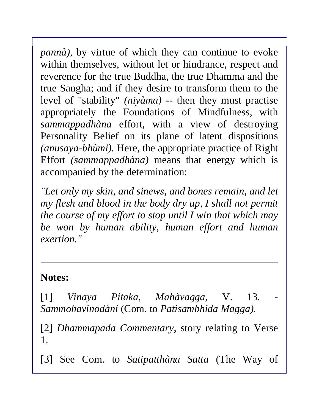*pannà*), by virtue of which they can continue to evoke within themselves, without let or hindrance, respect and reverence for the true Buddha, the true Dhamma and the true Sangha; and if they desire to transform them to the level of "stability" *(niyàma) --* then they must practise appropriately the Foundations of Mindfulness, with *sammappadhàna* effort, with a view of destroying Personality Belief on its plane of latent dispositions *(anusaya-bhùmi).* Here, the appropriate practice of Right Effort *(sammappadhàna)* means that energy which is accompanied by the determination:

*"Let only my skin, and sinews, and bones remain, and let my flesh and blood in the body dry up, I shall not permit the course of my effort to stop until I win that which may be won by human ability, human effort and human exertion."* 

#### **Notes:**

[1] *Vinaya Pitaka, Mahàvagga*, V. 13. - *Sammohavinodàni* (Com. to *Patisambhida Magga).* 

[2] *Dhammapada Commentary*, story relating to Verse 1.

[3] See Com. to *Satipatthàna Sutta* (The Way of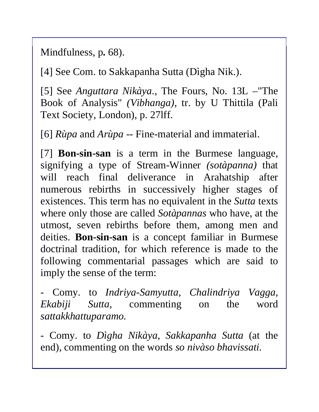Mindfulness, p**.** 68).

[4] See Com. to Sakkapanha Sutta (Dìgha Nik.).

[5] See *Anguttara Nikàya*., The Fours, No. 13L –"The Book of Analysis" *(Vibhanga),* tr. by U Thittila (Pali Text Society, London), p. 27lff.

[6] *Rùpa* and *Arùpa --* Fine-material and immaterial.

[7] **Bon-sin-san** is a term in the Burmese language, signifying a type of Stream-Winner *(sotàpanna)* that will reach final deliverance in Arahatship after numerous rebirths in successively higher stages of existences. This term has no equivalent in the *Sutta* texts where only those are called *Sotàpannas* who have, at the utmost, seven rebirths before them, among men and deities. **Bon-sin-san** is a concept familiar in Burmese doctrinal tradition, for which reference is made to the following commentarial passages which are said to imply the sense of the term:

- Comy. to *Indriya-Samyutta*, *Chalindriya Vagga*, *Ekabiji Sutta*, commenting on the word *sattakkhattuparamo.* 

- Comy. to *Dìgha Nikàya*, *Sakkapanha Sutta* (at the end), commenting on the words *so nivàso bhavissati.*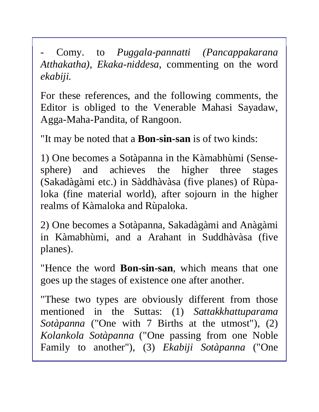- Comy. to *Puggala-pannatti (Pancappakarana Atthakatha), Ekaka-niddesa*, commenting on the word *ekabiji.* 

For these references, and the following comments, the Editor is obliged to the Venerable Mahasi Sayadaw, Agga-Maha-Pandita, of Rangoon.

"It may be noted that a **Bon-sin-san** is of two kinds:

1) One becomes a Sotàpanna in the Kàmabhùmi (Sensesphere) and achieves the higher three stages (Sakadàgàmi etc.) in Sàddhàvàsa (five planes) of Rùpaloka (fine material world), after sojourn in the higher realms of Kàmaloka and Rùpaloka.

2) One becomes a Sotàpanna, Sakadàgàmi and Anàgàmi in Kàmabhùmi, and a Arahant in Suddhàvàsa (five planes).

"Hence the word **Bon-sin-san**, which means that one goes up the stages of existence one after another.

"These two types are obviously different from those mentioned in the Suttas: (1) *Sattakkhattuparama Sotàpanna* ("One with 7 Births at the utmost"), (2) *Kolankola Sotàpanna* ("One passing from one Noble Family to another"), (3) *Ekabiji Sotàpanna* ("One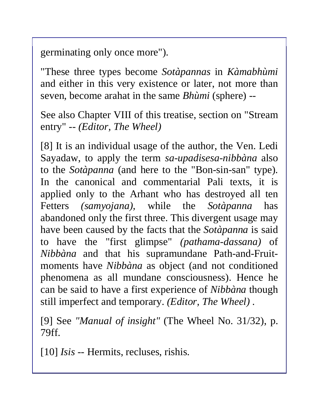germinating only once more").

"These three types become *Sotàpannas* in *Kàmabhùmi*  and either in this very existence or later, not more than seven, become arahat in the same *Bhùmi* (sphere) --

See also Chapter VIII of this treatise, section on "Stream entry" -- *(Editor, The Wheel)* 

[8] It is an individual usage of the author, the Ven. Ledi Sayadaw, to apply the term *sa-upadisesa-nibbàna* also to the *Sotàpanna* (and here to the "Bon-sin-san" type). In the canonical and commentarial Pali texts, it is applied only to the Arhant who has destroyed all ten Fetters *(samyojana),* while the *Sotàpanna* has abandoned only the first three. This divergent usage may have been caused by the facts that the *Sotàpanna* is said to have the "first glimpse" *(pathama-dassana)* of *Nibbàna* and that his supramundane Path-and-Fruitmoments have *Nibbàna* as object (and not conditioned phenomena as all mundane consciousness). Hence he can be said to have a first experience of *Nibbàna* though still imperfect and temporary. *(Editor, The Wheel) .* 

[9] See *"Manual of insight"* (The Wheel No. 31/32), p. 79ff.

[10] *Isis --* Hermits, recluses, rishis.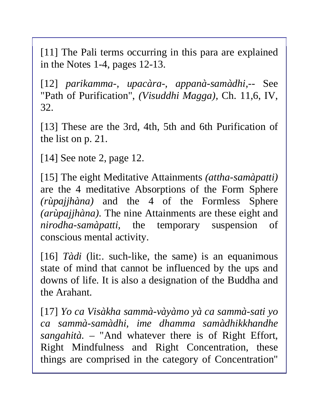[11] The Pali terms occurring in this para are explained in the Notes 1-4, pages 12-13.

[12] *parikamma-, upacàra-, appanà-samàdhi,--* See "Path of Purification", *(Visuddhi Magga),* Ch. 11,6, IV, 32.

[13] These are the 3rd, 4th, 5th and 6th Purification of the list on p. 21.

[14] See note 2, page 12.

[15] The eight Meditative Attainments *(attha-samàpatti)*  are the 4 meditative Absorptions of the Form Sphere *(rùpajjhàna)* and the 4 of the Formless Sphere *(arùpajjhàna).* The nine Attainments are these eight and *nirodha-samàpatti,* the temporary suspension of conscious mental activity.

[16] *Tàdi* (lit:. such-like, the same) is an equanimous state of mind that cannot be influenced by the ups and downs of life. It is also a designation of the Buddha and the Arahant.

[17] *Yo ca Visàkha sammà-vàyàmo yà ca sammà-sati yo ca sammà-samàdhi, ime dhamma samàdhikkhandhe sangahità.* – "And whatever there is of Right Effort, Right Mindfulness and Right Concentration, these things are comprised in the category of Concentration"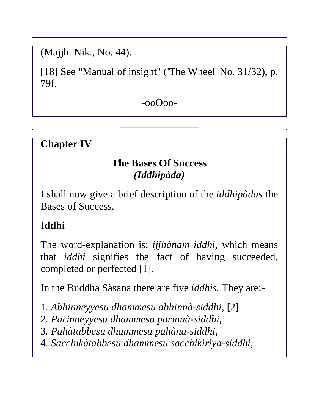(Majjh. Nik., No. 44).

[18] See "Manual of insight" ('The Wheel' No. 31/32), p. 79f.

-ooOoo-

#### **Chapter IV**

#### **The Bases Of Success**  *(Iddhipàda)*

I shall now give a brief description of the *iddhipàdas* the Bases of Success.

### **Iddhi**

The word-explanation is: *ijjhànam iddhi,* which means that *iddhi* signifies the fact of having succeeded, completed or perfected [1].

In the Buddha Sàsana there are five *iddhis.* They are:-

- 1. *Abhinneyyesu dhammesu abhinnà-siddhi,* [2]
- 2. *Parinneyyesu dhammesu parinnà-siddhi,*
- 3*. Pahàtabbesu dhammesu pahàna-siddhi,*
- 4. *Sacchikàtabbesu dhammesu sacchikiriya-siddhi,*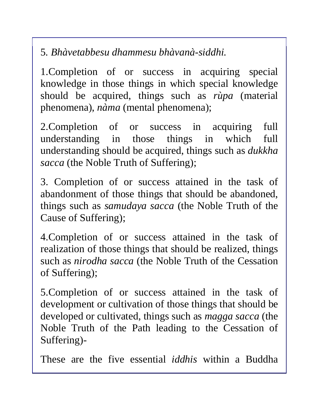5*. Bhàvetabbesu dhammesu bhàvanà-siddhi.* 

1.Completion of or success in acquiring special knowledge in those things in which special knowledge should be acquired, things such as *rùpa* (material phenomena), *nàma* (mental phenomena);

2.Completion of or success in acquiring full understanding in those things in which full understanding should be acquired, things such as *dukkha sacca* (the Noble Truth of Suffering);

3. Completion of or success attained in the task of abandonment of those things that should be abandoned, things such as *samudaya sacca* (the Noble Truth of the Cause of Suffering);

4.Completion of or success attained in the task of realization of those things that should be realized, things such as *nirodha sacca* (the Noble Truth of the Cessation of Suffering);

5.Completion of or success attained in the task of development or cultivation of those things that should be developed or cultivated, things such as *magga sacca* (the Noble Truth of the Path leading to the Cessation of Suffering)-

These are the five essential *iddhis* within a Buddha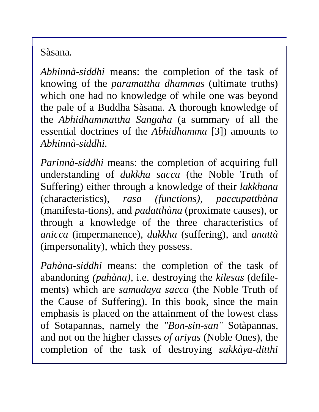Sàsana.

*Abhinnà-siddhi* means: the completion of the task of knowing of the *paramattha dhammas* (ultimate truths) which one had no knowledge of while one was beyond the pale of a Buddha Sàsana. A thorough knowledge of the *Abhidhammattha Sangaha* (a summary of all the essential doctrines of the *Abhidhamma* [3]) amounts to *Abhinnà-siddhi.* 

*Parinnà-siddhi* means: the completion of acquiring full understanding of *dukkha sacca* (the Noble Truth of Suffering) either through a knowledge of their *lakkhana*  (characteristics), *rasa (functions), paccupatthàna*  (manifesta-tions), and *padatthàna* (proximate causes), or through a knowledge of the three characteristics of *anicca* (impermanence), *dukkha* (suffering), and *anattà*  (impersonality), which they possess.

*Pahàna-siddhi* means: the completion of the task of abandoning *(pahàna),* i.e. destroying the *kilesas* (defilements) which are *samudaya sacca* (the Noble Truth of the Cause of Suffering). In this book, since the main emphasis is placed on the attainment of the lowest class of Sotapannas, namely the *"Bon-sin-san"* Sotàpannas, and not on the higher classes *of ariyas* (Noble Ones), the completion of the task of destroying *sakkàya-ditthi*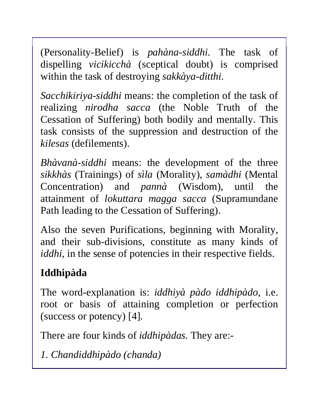(Personality-Belief) is *pahàna-siddhi*. The task of dispelling *vicikicchà* (sceptical doubt) is comprised within the task of destroying *sakkàya-ditthi.* 

*Sacchikiriya-siddhi* means: the completion of the task of realizing *nirodha sacca* (the Noble Truth of the Cessation of Suffering) both bodily and mentally. This task consists of the suppression and destruction of the *kilesas* (defilements).

*Bhàvanà-siddhi* means: the development of the three *sikkhàs* (Trainings) of *sìla* (Morality), *samàdhi* (Mental Concentration) and *pannà* (Wisdom), until the attainment of *lokuttara magga sacca* (Supramundane Path leading to the Cessation of Suffering).

Also the seven Purifications, beginning with Morality, and their sub-divisions, constitute as many kinds of *iddhi*, in the sense of potencies in their respective fields.

# **Iddhipàda**

The word-explanation is: *iddhiyà pàdo iddhipàdo,* i.e. root or basis of attaining completion or perfection (success or potency) [4].

There are four kinds of *iddhipàdas.* They are:-

*1. Chandiddhipàdo (chanda)*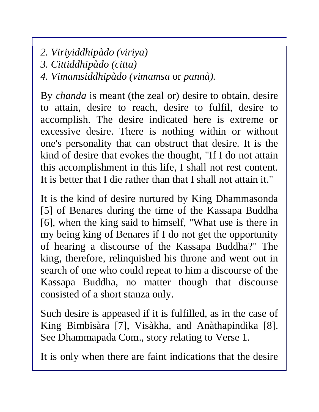*2. Viriyiddhipàdo (viriya)* 

*3. Cittiddhipàdo (citta)* 

*4. Vimamsiddhipàdo (vimamsa* or *pannà).* 

By *chanda* is meant (the zeal or) desire to obtain, desire to attain, desire to reach, desire to fulfil, desire to accomplish. The desire indicated here is extreme or excessive desire. There is nothing within or without one's personality that can obstruct that desire. It is the kind of desire that evokes the thought, "If I do not attain this accomplishment in this life, I shall not rest content. It is better that I die rather than that I shall not attain it."

It is the kind of desire nurtured by King Dhammasonda [5] of Benares during the time of the Kassapa Buddha [6], when the king said to himself, "What use is there in my being king of Benares if I do not get the opportunity of hearing a discourse of the Kassapa Buddha?" The king, therefore, relinquished his throne and went out in search of one who could repeat to him a discourse of the Kassapa Buddha, no matter though that discourse consisted of a short stanza only.

Such desire is appeased if it is fulfilled, as in the case of King Bimbisàra [7], Visàkha, and Anàthapindika [8]. See Dhammapada Com., story relating to Verse 1.

It is only when there are faint indications that the desire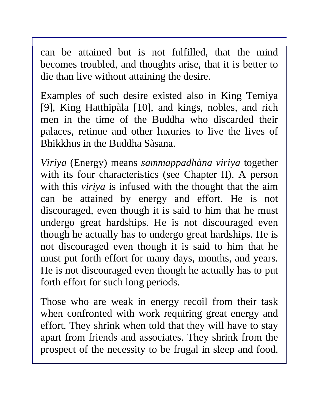can be attained but is not fulfilled, that the mind becomes troubled, and thoughts arise, that it is better to die than live without attaining the desire.

Examples of such desire existed also in King Temiya [9], King Hatthipàla [10], and kings, nobles, and rich men in the time of the Buddha who discarded their palaces, retinue and other luxuries to live the lives of Bhikkhus in the Buddha Sàsana.

*Viriya* (Energy) means *sammappadhàna viriya* together with its four characteristics (see Chapter II). A person with this *viriya* is infused with the thought that the aim can be attained by energy and effort. He is not discouraged, even though it is said to him that he must undergo great hardships. He is not discouraged even though he actually has to undergo great hardships. He is not discouraged even though it is said to him that he must put forth effort for many days, months, and years. He is not discouraged even though he actually has to put forth effort for such long periods.

Those who are weak in energy recoil from their task when confronted with work requiring great energy and effort. They shrink when told that they will have to stay apart from friends and associates. They shrink from the prospect of the necessity to be frugal in sleep and food.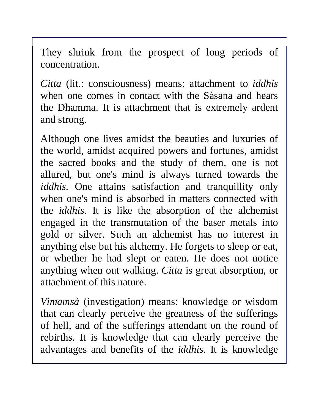They shrink from the prospect of long periods of concentration.

*Citta* (lit.: consciousness) means: attachment to *iddhis* when one comes in contact with the Sàsana and hears the Dhamma. It is attachment that is extremely ardent and strong.

Although one lives amidst the beauties and luxuries of the world, amidst acquired powers and fortunes, amidst the sacred books and the study of them, one is not allured, but one's mind is always turned towards the *iddhis.* One attains satisfaction and tranquillity only when one's mind is absorbed in matters connected with the *iddhis.* It is like the absorption of the alchemist engaged in the transmutation of the baser metals into gold or silver. Such an alchemist has no interest in anything else but his alchemy. He forgets to sleep or eat, or whether he had slept or eaten. He does not notice anything when out walking. *Citta* is great absorption, or attachment of this nature.

*Vimamsà* (investigation) means: knowledge or wisdom that can clearly perceive the greatness of the sufferings of hell, and of the sufferings attendant on the round of rebirths. It is knowledge that can clearly perceive the advantages and benefits of the *iddhis.* It is knowledge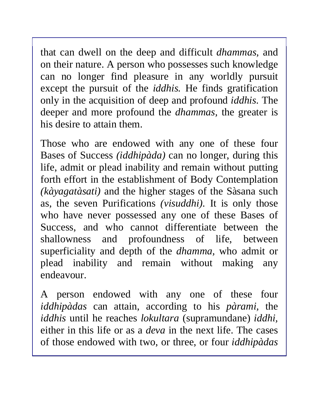that can dwell on the deep and difficult *dhammas,* and on their nature. A person who possesses such knowledge can no longer find pleasure in any worldly pursuit except the pursuit of the *iddhis.* He finds gratification only in the acquisition of deep and profound *iddhis.* The deeper and more profound the *dhammas,* the greater is his desire to attain them.

Those who are endowed with any one of these four Bases of Success *(iddhipàda)* can no longer, during this life, admit or plead inability and remain without putting forth effort in the establishment of Body Contemplation *(kàyagatàsati)* and the higher stages of the Sàsana such as, the seven Purifications *(visuddhi).* It is only those who have never possessed any one of these Bases of Success, and who cannot differentiate between the shallowness and profoundness of life, between superficiality and depth of the *dhamma,* who admit or plead inability and remain without making any endeavour.

A person endowed with any one of these four *iddhipàdas* can attain, according to his *pàrami,* the *iddhis* until he reaches *lokultara* (supramundane) *iddhi,*  either in this life or as a *deva* in the next life. The cases of those endowed with two, or three, or four *iddhipàdas*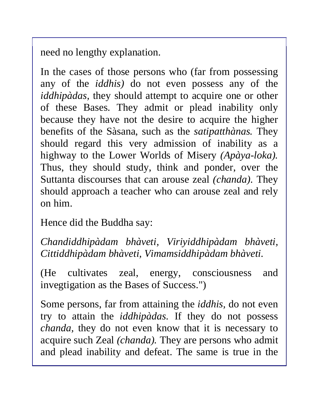need no lengthy explanation.

In the cases of those persons who (far from possessing any of the *iddhis)* do not even possess any of the *iddhipàdas,* they should attempt to acquire one or other of these Bases. They admit or plead inability only because they have not the desire to acquire the higher benefits of the Sàsana, such as the *satipatthànas.* They should regard this very admission of inability as a highway to the Lower Worlds of Misery *(Apàya-loka).*  Thus, they should study, think and ponder, over the Suttanta discourses that can arouse zeal *(chanda).* They should approach a teacher who can arouse zeal and rely on him.

Hence did the Buddha say:

*Chandiddhipàdam bhàveti, Viriyiddhipàdam bhàveti, Cittiddhipàdam bhàveti, Vimamsiddhipàdam bhàveti.* 

(He cultivates zeal, energy, consciousness and invegtigation as the Bases of Success.")

Some persons, far from attaining the *iddhis,* do not even try to attain the *iddhipàdas.* If they do not possess *chanda,* they do not even know that it is necessary to acquire such Zeal *(chanda).* They are persons who admit and plead inability and defeat. The same is true in the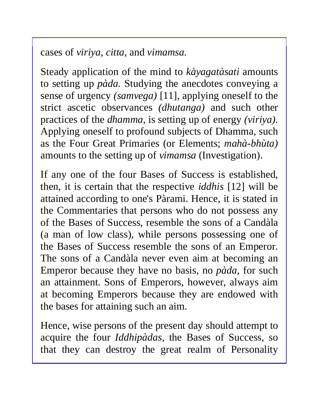cases of *viriya, citta,* and *vimamsa.* 

Steady application of the mind to *kàyagatàsati* amounts to setting up *pàda.* Studying the anecdotes conveying a sense of urgency *(samvega)* [11], applying oneself to the strict ascetic observances *(dhutanga)* and such other practices of the *dhamma,* is setting up of energy *(viriya).*  Applying oneself to profound subjects of Dhamma, such as the Four Great Primaries (or Elements; *mahà-bhùta)*  amounts to the setting up of *vimamsa* (Investigation).

If any one of the four Bases of Success is established, then, it is certain that the respective *iddhis* [12] will be attained according to one's Pàrami. Hence, it is stated in the Commentaries that persons who do not possess any of the Bases of Success, resemble the sons of a Candàla (a man of low class), while persons possessing one of the Bases of Success resemble the sons of an Emperor. The sons of a Candàla never even aim at becoming an Emperor because they have no basis, no *pàda,* for such an attainment. Sons of Emperors, however, always aim at becoming Emperors because they are endowed with the bases for attaining such an aim.

Hence, wise persons of the present day should attempt to acquire the four *Iddhipàdas,* the Bases of Success, so that they can destroy the great realm of Personality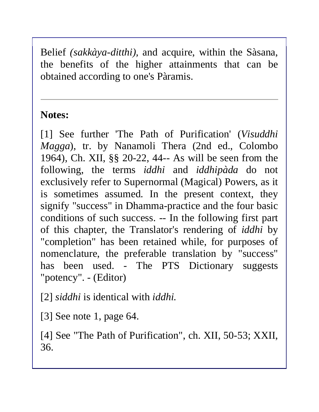Belief *(sakkàya-ditthi),* and acquire, within the Sàsana, the benefits of the higher attainments that can be obtained according to one's Pàramis.

#### **Notes:**

[1] See further 'The Path of Purification' (*Visuddhi Magga*), tr. by Nanamoli Thera (2nd ed., Colombo 1964), Ch. XII, §§ 20-22, 44-- As will be seen from the following, the terms *iddhi* and *iddhipàda* do not exclusively refer to Supernormal (Magical) Powers, as it is sometimes assumed. In the present context, they signify "success" in Dhamma-practice and the four basic conditions of such success. -- In the following first part of this chapter, the Translator's rendering of *iddhi* by "completion" has been retained while, for purposes of nomenclature, the preferable translation by "success" has been used. - The PTS Dictionary suggests "potency". - (Editor)

[2] *siddhi* is identical with *iddhi.* 

[3] See note 1, page 64.

[4] See "The Path of Purification", ch. XII, 50-53; XXII, 36.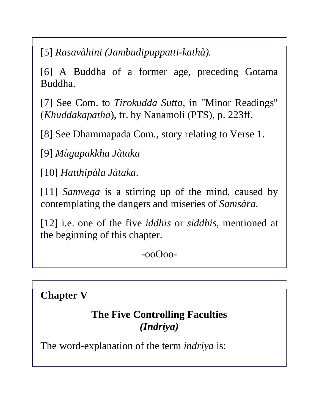[5] *Rasavàhini (Jambudipuppatti-kathà).* 

[6] A Buddha of a former age, preceding Gotama Buddha.

[7] See Com. to *Tirokudda Sutta*, in "Minor Readings" (*Khuddakapatha*), tr. by Nanamoli (PTS), p. 223ff.

[8] See Dhammapada Com., story relating to Verse 1.

[9] *Mùgapakkha Jàtaka* 

[10] *Hatthipàla Jàtaka*.

[11] *Samvega* is a stirring up of the mind, caused by contemplating the dangers and miseries of *Samsàra.* 

[12] i.e. one of the five *iddhis* or *siddhis,* mentioned at the beginning of this chapter.

-ooOoo-

**Chapter V**

### **The Five Controlling Faculties**  *(Indriya)*

The word-explanation of the term *indriya* is: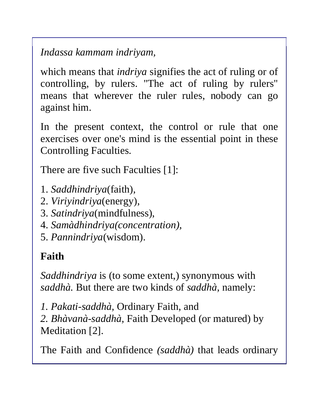*Indassa kammam indriyam,* 

which means that *indriya* signifies the act of ruling or of controlling, by rulers. "The act of ruling by rulers" means that wherever the ruler rules, nobody can go against him.

In the present context, the control or rule that one exercises over one's mind is the essential point in these Controlling Faculties.

There are five such Faculties [1]:

- 1. *Saddhindriya*(faith),
- 2. *Viriyindriya*(energy),
- 3. *Satindriya*(mindfulness),
- 4. *Samàdhindriya(concentration),*
- 5. *Pannindriya*(wisdom).

# **Faith**

*Saddhindriya* is (to some extent,) synonymous with *saddhà.* But there are two kinds of *saddhà,* namely:

*1. Pakati-saddhà,* Ordinary Faith, and *2. Bhàvanà-saddhà,* Faith Developed (or matured) by Meditation [2].

The Faith and Confidence *(saddhà)* that leads ordinary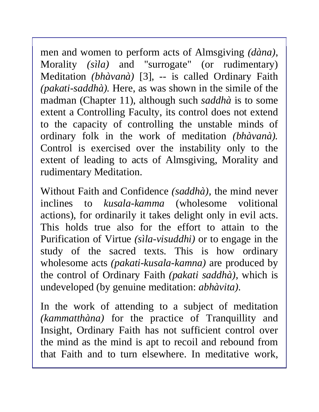men and women to perform acts of Almsgiving *(dàna)*, Morality *(sìla)* and "surrogate" (or rudimentary) Meditation *(bhàvanà)* [3], *--* is called Ordinary Faith *(pakati-saddhà).* Here, as was shown in the simile of the madman (Chapter 11), although such *saddhà* is to some extent a Controlling Faculty, its control does not extend to the capacity of controlling the unstable minds of ordinary folk in the work of meditation *(bhàvanà).*  Control is exercised over the instability only to the extent of leading to acts of Almsgiving, Morality and rudimentary Meditation.

Without Faith and Confidence *(saddhà),* the mind never inclines to *kusala-kamma* (wholesome volitional actions), for ordinarily it takes delight only in evil acts. This holds true also for the effort to attain to the Purification of Virtue *(sìla-visuddhi)* or to engage in the study of the sacred texts. This is how ordinary wholesome acts *(pakati-kusala-kamna)* are produced by the control of Ordinary Faith *(pakati saddhà),* which is undeveloped (by genuine meditation: *abhàvita).* 

In the work of attending to a subject of meditation *(kammatthàna)* for the practice of Tranquillity and Insight, Ordinary Faith has not sufficient control over the mind as the mind is apt to recoil and rebound from that Faith and to turn elsewhere. In meditative work,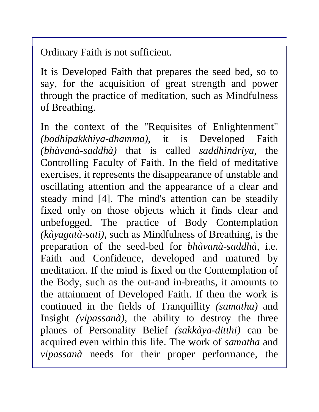Ordinary Faith is not sufficient.

It is Developed Faith that prepares the seed bed, so to say, for the acquisition of great strength and power through the practice of meditation, such as Mindfulness of Breathing.

In the context of the "Requisites of Enlightenment" *(bodhipakkhiya-dhamma),* it is Developed Faith *(bhàvanà-saddhà)* that is called *saddhindriya,* the Controlling Faculty of Faith. In the field of meditative exercises, it represents the disappearance of unstable and oscillating attention and the appearance of a clear and steady mind [4]. The mind's attention can be steadily fixed only on those objects which it finds clear and unbefogged. The practice of Body Contemplation *(kàyagatà-sati),* such as Mindfulness of Breathing, is the preparation of the seed-bed for *bhàvanà-saddhà,* i.e. Faith and Confidence, developed and matured by meditation. If the mind is fixed on the Contemplation of the Body, such as the out-and in-breaths, it amounts to the attainment of Developed Faith. If then the work is continued in the fields of Tranquillity *(samatha)* and Insight *(vipassanà),* the ability to destroy the three planes of Personality Belief *(sakkàya*-*ditthi)* can be acquired even within this life. The work of *samatha* and *vipassanà* needs for their proper performance, the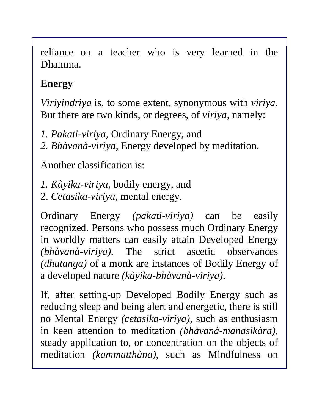reliance on a teacher who is very learned in the Dhamma.

# **Energy**

*Viriyindriya* is, to some extent, synonymous with *viriya.*  But there are two kinds, or degrees, of *viriya,* namely:

*1. Pakati-viriya,* Ordinary Energy, and

*2. Bhàvanà-viriya,* Energy developed by meditation.

Another classification is:

*1. Kàyika-viriya,* bodily energy, and

2. *Cetasika-viriya,* mental energy.

Ordinary Energy *(pakati-viriya)* can be easily recognized. Persons who possess much Ordinary Energy in worldly matters can easily attain Developed Energy *(bhàvanà-viriya).* The strict ascetic observances *(dhutanga)* of a monk are instances of Bodily Energy of a developed nature *(kàyika-bhàvanà-viriya).* 

If, after setting-up Developed Bodily Energy such as reducing sleep and being alert and energetic, there is still no Mental Energy *(cetasika-viriya),* such as enthusiasm in keen attention to meditation *(bhàvanà-manasikàra),*  steady application to, or concentration on the objects of meditation *(kammatthàna),* such as Mindfulness on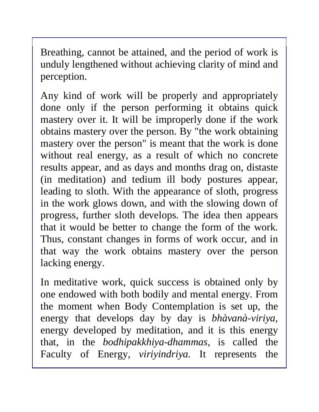Breathing, cannot be attained, and the period of work is unduly lengthened without achieving clarity of mind and perception.

Any kind of work will be properly and appropriately done only if the person performing it obtains quick mastery over it. It will be improperly done if the work obtains mastery over the person. By "the work obtaining mastery over the person" is meant that the work is done without real energy, as a result of which no concrete results appear, and as days and months drag on, distaste (in meditation) and tedium ill body postures appear, leading to sloth. With the appearance of sloth, progress in the work glows down, and with the slowing down of progress, further sloth develops. The idea then appears that it would be better to change the form of the work. Thus, constant changes in forms of work occur, and in that way the work obtains mastery over the person lacking energy.

In meditative work, quick success is obtained only by one endowed with both bodily and mental energy. From the moment when Body Contemplation is set up, the energy that develops day by day is *bhàvanà-viriya,*  energy developed by meditation, and it is this energy that, in the *bodhipakkhiya-dhammas,* is called the Faculty of Energy, *viriyindriya.* It represents the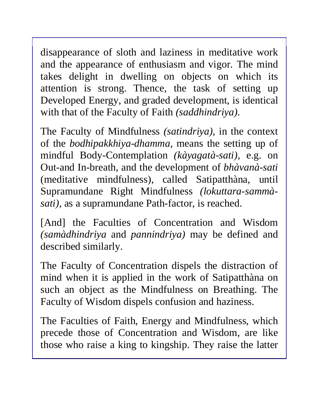disappearance of sloth and laziness in meditative work and the appearance of enthusiasm and vigor. The mind takes delight in dwelling on objects on which its attention is strong. Thence, the task of setting up Developed Energy, and graded development, is identical with that of the Faculty of Faith *(saddhindriya).* 

The Faculty of Mindfulness *(satindriya),* in the context of the *bodhipakkhiya-dhamma,* means the setting up of mindful Body-Contemplation *(kàyagatà-sati),* e.g. on Out-and In-breath, and the development of *bhàvanà-sati*  (meditative mindfulness), called Satipatthàna, until Supramundane Right Mindfulness *(lokuttara-sammàsati),* as a supramundane Path-factor, is reached.

[And] the Faculties of Concentration and Wisdom *(samàdhindriya* and *pannindriya)* may be defined and described similarly.

The Faculty of Concentration dispels the distraction of mind when it is applied in the work of Satipatthàna on such an object as the Mindfulness on Breathing. The Faculty of Wisdom dispels confusion and haziness.

The Faculties of Faith, Energy and Mindfulness, which precede those of Concentration and Wisdom, are like those who raise a king to kingship. They raise the latter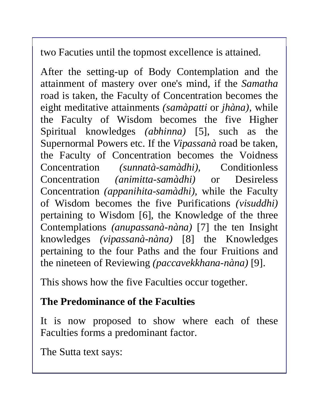two Facuties until the topmost excellence is attained.

After the setting-up of Body Contemplation and the attainment of mastery over one's mind, if the *Samatha*  road is taken, the Faculty of Concentration becomes the eight meditative attainments *(samàpatti* or *jhàna),* while the Faculty of Wisdom becomes the five Higher Spiritual knowledges *(abhinna)* [5], such as the Supernormal Powers etc. If the *Vipassanà* road be taken, the Faculty of Concentration becomes the Voidness Concentration *(sunnatà-samàdhi),* Conditionless Concentration *(animitta-samàdhi)* or Desireless Concentration *(appanihita-samàdhi),* while the Faculty of Wisdom becomes the five Purifications *(visuddhi)*  pertaining to Wisdom [6], the Knowledge of the three Contemplations *(anupassanà-nàna)* [7] the ten Insight knowledges *(vipassanà-nàna)* [8] the Knowledges pertaining to the four Paths and the four Fruitions and the nineteen of Reviewing *(paccavekkhana-nàna)* [9].

This shows how the five Faculties occur together.

## **The Predominance of the Faculties**

It is now proposed to show where each of these Faculties forms a predominant factor.

The Sutta text says: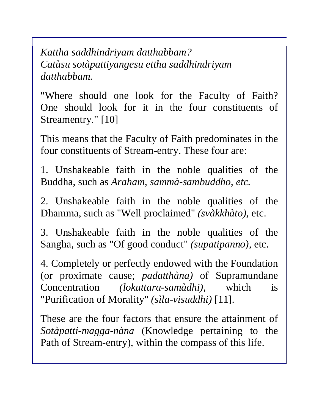*Kattha saddhindriyam datthabbam? Catùsu sotàpattiyangesu ettha saddhindriyam datthabbam.* 

"Where should one look for the Faculty of Faith? One should look for it in the four constituents of Streamentry." [10]

This means that the Faculty of Faith predominates in the four constituents of Stream-entry. These four are:

1. Unshakeable faith in the noble qualities of the Buddha, such as *Araham, sammà-sambuddho, etc.* 

2. Unshakeable faith in the noble qualities of the Dhamma, such as "Well proclaimed" *(svàkkhàto),* etc.

3. Unshakeable faith in the noble qualities of the Sangha, such as "Of good conduct" *(supatipanno),* etc.

4. Completely or perfectly endowed with the Foundation (or proximate cause; *padatthàna)* of Supramundane Concentration *(lokuttara-samàdhi),* which is "Purification of Morality" *(sìla-visuddhi)* [11].

These are the four factors that ensure the attainment of *Sotàpatti-magga-nàna* (Knowledge pertaining to the Path of Stream-entry), within the compass of this life.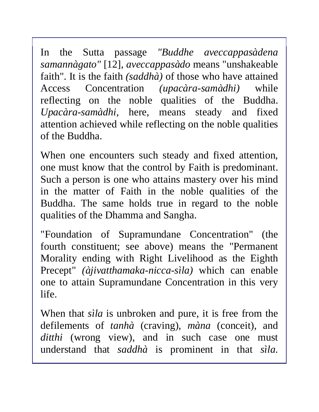In the Sutta passage *"Buddhe aveccappasàdena samannàgato"* [12], *aveccappasàdo* means "unshakeable faith". It is the faith *(saddhà)* of those who have attained Access Concentration *(upacàra-samàdhi)* while reflecting on the noble qualities of the Buddha. *Upacàra-samàdhi,* here, means steady and fixed attention achieved while reflecting on the noble qualities of the Buddha.

When one encounters such steady and fixed attention, one must know that the control by Faith is predominant. Such a person is one who attains mastery over his mind in the matter of Faith in the noble qualities of the Buddha. The same holds true in regard to the noble qualities of the Dhamma and Sangha.

"Foundation of Supramundane Concentration" (the fourth constituent; see above) means the "Permanent Morality ending with Right Livelihood as the Eighth Precept" *(àjivatthamaka-nicca-sìla)* which can enable one to attain Supramundane Concentration in this very life.

When that *sìla* is unbroken and pure, it is free from the defilements of *tanhà* (craving), *màna* (conceit), and ditthi (wrong view), and in such case one must understand that *saddhà* is prominent in that *sìla.*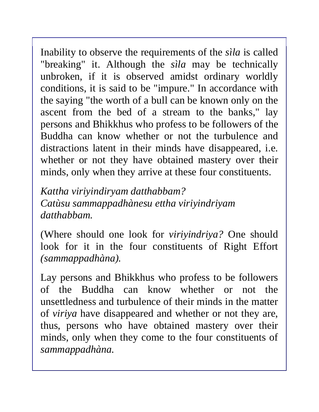Inability to observe the requirements of the *sìla* is called "breaking" it. Although the *sìla* may be technically unbroken, if it is observed amidst ordinary worldly conditions, it is said to be "impure." In accordance with the saying "the worth of a bull can be known only on the ascent from the bed of a stream to the banks," lay persons and Bhikkhus who profess to be followers of the Buddha can know whether or not the turbulence and distractions latent in their minds have disappeared, i.e. whether or not they have obtained mastery over their minds, only when they arrive at these four constituents.

*Kattha viriyindiryam datthabbam? Catùsu sammappadhànesu ettha viriyindriyam datthabbam.*

(Where should one look for *viriyindriya?* One should look for it in the four constituents of Right Effort *(sammappadhàna).* 

Lay persons and Bhikkhus who profess to be followers of the Buddha can know whether or not the unsettledness and turbulence of their minds in the matter of *viriya* have disappeared and whether or not they are, thus, persons who have obtained mastery over their minds, only when they come to the four constituents of *sammappadhàna.*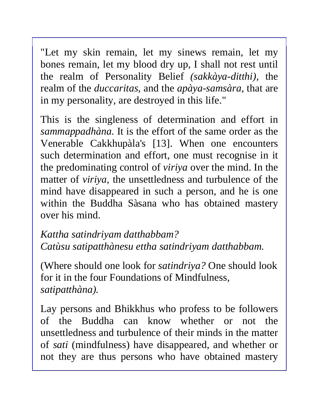"Let my skin remain, let my sinews remain, let my bones remain, let my blood dry up, I shall not rest until the realm of Personality Belief *(sakkàya-ditthi),* the realm of the *duccaritas,* and the *apàya-samsàra,* that are in my personality, are destroyed in this life."

This is the singleness of determination and effort in *sammappadhàna.* It is the effort of the same order as the Venerable Cakkhupàla's [13]. When one encounters such determination and effort, one must recognise in it the predominating control of *viriya* over the mind. In the matter of *viriya,* the unsettledness and turbulence of the mind have disappeared in such a person, and he is one within the Buddha Sàsana who has obtained mastery over his mind.

*Kattha satindriyam datthabbam? Catùsu satipatthànesu ettha satindriyam datthabbam.* 

(Where should one look for *satindriya?* One should look for it in the four Foundations of Mindfulness, *satipatthàna).* 

Lay persons and Bhikkhus who profess to be followers of the Buddha can know whether or not the unsettledness and turbulence of their minds in the matter of *sati* (mindfulness) have disappeared, and whether or not they are thus persons who have obtained mastery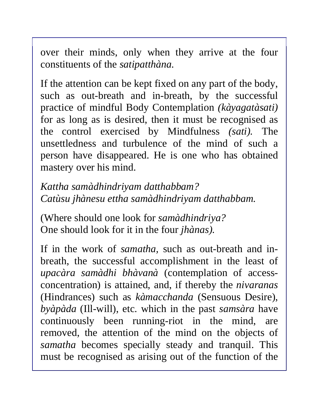over their minds, only when they arrive at the four constituents of the *satipatthàna.* 

If the attention can be kept fixed on any part of the body, such as out-breath and in-breath, by the successful practice of mindful Body Contemplation *(kàyagatàsati)*  for as long as is desired, then it must be recognised as the control exercised by Mindfulness *(sati).* The unsettledness and turbulence of the mind of such a person have disappeared. He is one who has obtained mastery over his mind.

*Kattha samàdhindriyam datthabbam? Catùsu jhànesu ettha samàdhindriyam datthabbam.* 

(Where should one look for *samàdhindriya?*  One should look for it in the four *jhànas).* 

If in the work of *samatha,* such as out-breath and inbreath, the successful accomplishment in the least of *upacàra samàdhi bhàvanà* (contemplation of accessconcentration) is attained, and, if thereby the *nivaranas*  (Hindrances) such as *kàmacchanda* (Sensuous Desire), *byàpàda* (Ill-will), etc. which in the past *samsàra* have continuously been running-riot in the mind, are removed, the attention of the mind on the objects of *samatha* becomes specially steady and tranquil. This must be recognised as arising out of the function of the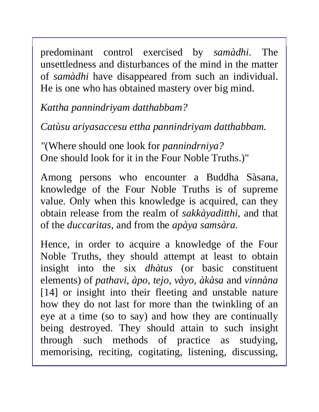predominant control exercised by *samàdhi.* The unsettledness and disturbances of the mind in the matter of *samàdhi* have disappeared from such an individual. He is one who has obtained mastery over big mind.

*Kattha pannindriyam datthabbam?* 

*Catùsu ariyasaccesu ettha pannindriyam datthabbam.* 

*"*(Where should one look for *pannindrniya?*  One should look for it in the Four Noble Truths.)"

Among persons who encounter a Buddha Sàsana, knowledge of the Four Noble Truths is of supreme value. Only when this knowledge is acquired, can they obtain release from the realm of *sakkàyaditthi,* and that of the *duccaritas,* and from the *apàya samsàra.* 

Hence, in order to acquire a knowledge of the Four Noble Truths, they should attempt at least to obtain insight into the six *dhàtus* (or basic constituent elements) of *pathavi, àpo, tejo, vàyo, àkàsa* and *vinnàna*  [14] or insight into their fleeting and unstable nature how they do not last for more than the twinkling of an eye at a time (so to say) and how they are continually being destroyed. They should attain to such insight through such methods of practice as studying, memorising, reciting, cogitating, listening, discussing,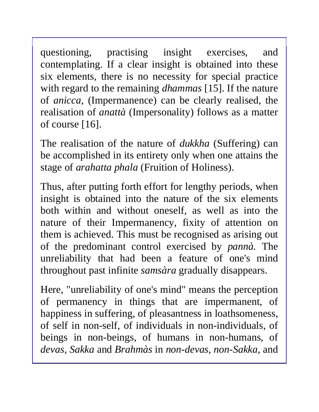questioning, practising insight exercises, and contemplating. If a clear insight is obtained into these six elements, there is no necessity for special practice with regard to the remaining *dhammas* [15]. If the nature of *anicca,* (Impermanence) can be clearly realised, the realisation of *anattà* (Impersonality) follows as a matter of course [16].

The realisation of the nature of *dukkha* (Suffering) can be accomplished in its entirety only when one attains the stage of *arahatta phala* (Fruition of Holiness).

Thus, after putting forth effort for lengthy periods, when insight is obtained into the nature of the six elements both within and without oneself, as well as into the nature of their Impermanency, fixity of attention on them is achieved. This must be recognised as arising out of the predominant control exercised by *pannà.* The unreliability that had been a feature of one's mind throughout past infinite *samsàra* gradually disappears.

Here, "unreliability of one's mind" means the perception of permanency in things that are impermanent, of happiness in suffering, of pleasantness in loathsomeness, of self in non-self, of individuals in non-individuals, of beings in non-beings, of humans in non-humans, of *devas, Sakka* and *Brahmàs* in *non-devas, non-Sakka,* and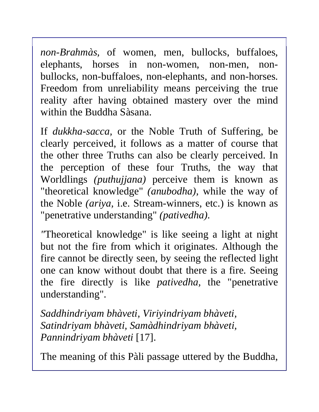*non-Brahmàs,* of women, men, bullocks, buffaloes, elephants, horses in non-women, non-men, nonbullocks, non-buffaloes, non-elephants, and non-horses. Freedom from unreliability means perceiving the true reality after having obtained mastery over the mind within the Buddha Sàsana.

If *dukkha-sacca,* or the Noble Truth of Suffering, be clearly perceived, it follows as a matter of course that the other three Truths can also be clearly perceived. In the perception of these four Truths, the way that Worldlings *(puthujjana)* perceive them is known as "theoretical knowledge" *(anubodha),* while the way of the Noble *(ariya,* i.e. Stream-winners, etc.) is known as "penetrative understanding" *(pativedha).* 

*"*Theoretical knowledge" is like seeing a light at night but not the fire from which it originates. Although the fire cannot be directly seen, by seeing the reflected light one can know without doubt that there is a fire. Seeing the fire directly is like *pativedha,* the "penetrative understanding".

*Saddhindriyam bhàveti, Viriyindriyam bhàveti, Satindriyam bhàveti, Samàdhindriyam bhàveti, Pannindriyam bhàveti* [17].

The meaning of this Pàli passage uttered by the Buddha,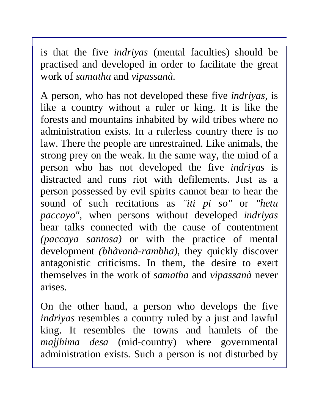is that the five *indriyas* (mental faculties) should be practised and developed in order to facilitate the great work of *samatha* and *vipassanà.* 

A person, who has not developed these five *indriyas,* is like a country without a ruler or king. It is like the forests and mountains inhabited by wild tribes where no administration exists. In a rulerless country there is no law. There the people are unrestrained. Like animals, the strong prey on the weak. In the same way, the mind of a person who has not developed the five *indriyas* is distracted and runs riot with defilements. Just as a person possessed by evil spirits cannot bear to hear the sound of such recitations as *"iti pi so"* or *"hetu paccayo",* when persons without developed *indriyas* hear talks connected with the cause of contentment *(paccaya santosa)* or with the practice of mental development *(bhàvanà-rambha),* they quickly discover antagonistic criticisms. In them, the desire to exert themselves in the work of *samatha* and *vipassanà* never arises.

On the other hand, a person who develops the five *indriyas* resembles a country ruled by a just and lawful king. It resembles the towns and hamlets of the *majjhima desa* (mid-country) where governmental administration exists. Such a person is not disturbed by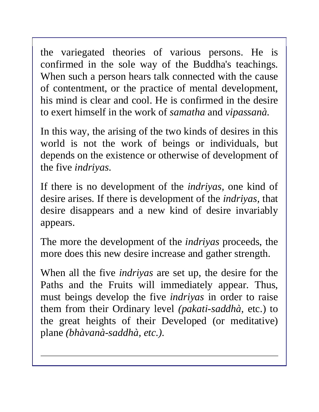the variegated theories of various persons. He is confirmed in the sole way of the Buddha's teachings. When such a person hears talk connected with the cause of contentment, or the practice of mental development, his mind is clear and cool. He is confirmed in the desire to exert himself in the work of *samatha* and *vipassanà.* 

In this way, the arising of the two kinds of desires in this world is not the work of beings or individuals, but depends on the existence or otherwise of development of the five *indriyas.* 

If there is no development of the *indriyas,* one kind of desire arises*.* If there is development of the *indriyas,* that desire disappears and a new kind of desire invariably appears.

The more the development of the *indriyas* proceeds, the more does this new desire increase and gather strength.

When all the five *indriyas* are set up, the desire for the Paths and the Fruits will immediately appear. Thus, must beings develop the five *indriyas* in order to raise them from their Ordinary level *(pakati-saddhà,* etc.) to the great heights of their Developed (or meditative) plane *(bhàvanà-saddhà, etc.).*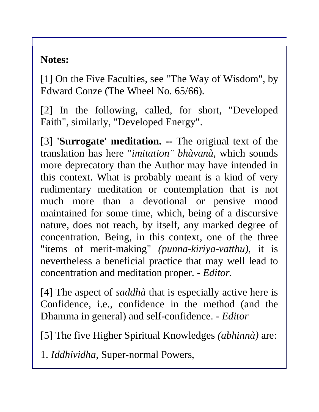## **Notes:**

[1] On the Five Faculties, see "The Way of Wisdom", by Edward Conze (The Wheel No. 65/66).

[2] In the following, called, for short, "Developed Faith", similarly, "Developed Energy".

[3] **'Surrogate' meditation. --** The original text of the translation has here "*imitation" bhàvanà,* which sounds more deprecatory than the Author may have intended in this context. What is probably meant is a kind of very rudimentary meditation or contemplation that is not much more than a devotional or pensive mood maintained for some time, which, being of a discursive nature, does not reach, by itself, any marked degree of concentration. Being, in this context, one of the three "items of merit-making" *(punna-kiriya-vatthu),* it is nevertheless a beneficial practice that may well lead to concentration and meditation proper. *- Editor.* 

[4] The aspect of *saddhà* that is especially active here is Confidence, i.e., confidence in the method (and the Dhamma in general) and self-confidence. - *Editor* 

[5] The five Higher Spiritual Knowledges *(abhinnà)* are:

1. *Iddhividha,* Super-normal Powers,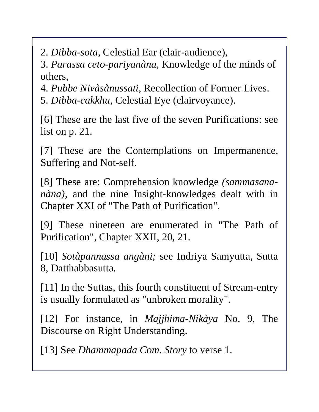2. *Dibba-sota,* Celestial Ear (clair-audience),

3. *Parassa ceto-pariyanàna,* Knowledge of the minds of others,

4. *Pubbe Nivàsànussati,* Recollection of Former Lives.

5. *Dibba-cakkhu,* Celestial Eye (clairvoyance).

[6] These are the last five of the seven Purifications: see list on p. 21.

[7] These are the Contemplations on Impermanence, Suffering and Not-self.

[8] These are: Comprehension knowledge *(sammasananàna),* and the nine Insight-knowledges dealt with in Chapter XXI of "The Path of Purification".

[9] These nineteen are enumerated in "The Path of Purification", Chapter XXII, 20, 21.

[10] *Sotàpannassa angàni;* see Indriya Samyutta, Sutta 8, Datthabbasutta.

[11] In the Suttas, this fourth constituent of Stream-entry is usually formulated as "unbroken morality".

[12] For instance, in *Majjhima-Nikàya* No. 9, The Discourse on Right Understanding.

[13] See *Dhammapada Com. Story* to verse 1.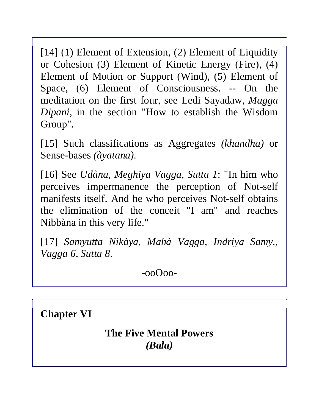[14] (1) Element of Extension, (2) Element of Liquidity or Cohesion (3) Element of Kinetic Energy (Fire), (4) Element of Motion or Support (Wind), (5) Element of Space, (6) Element of Consciousness. -- On the meditation on the first four, see Ledi Sayadaw, *Magga Dipani*, in the section "How to establish the Wisdom Group".

[15] Such classifications as Aggregates *(khandha)* or Sense-bases *(àyatana).* 

[16] See *Udàna, Meghiya Vagga, Sutta 1*: "In him who perceives impermanence the perception of Not-self manifests itself. And he who perceives Not-self obtains the elimination of the conceit "I am" and reaches Nibbàna in this very life."

[17] *Samyutta Nikàya, Mahà Vagga, Indriya Samy., Vagga 6, Sutta 8*.

-ooOoo-

**Chapter VI**

**The Five Mental Powers**  *(Bala)*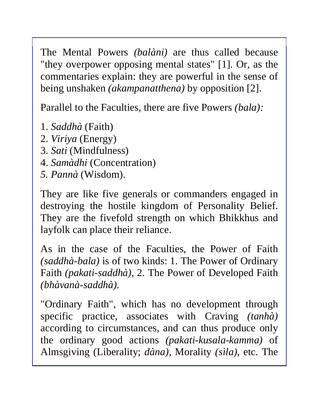The Mental Powers *(balàni)* are thus called because "they overpower opposing mental states" [1]. Or, as the commentaries explain: they are powerful in the sense of being unshaken *(akampanatthena)* by opposition [2].

Parallel to the Faculties, there are five Powers *(bala):* 

- 1. *Saddhà* (Faith)
- 2. *Viriya* (Energy)
- 3. *Sati* (Mindfulness)
- 4. *Samàdhi* (Concentration)
- *5. Pannà* (Wisdom).

They are like five generals or commanders engaged in destroying the hostile kingdom of Personality Belief. They are the fivefold strength on which Bhikkhus and layfolk can place their reliance.

As in the case of the Faculties, the Power of Faith *(saddhà-bala)* is of two kinds: 1. The Power of Ordinary Faith *(pakati-saddhà),* 2. The Power of Developed Faith *(bhàvanà-saddhà).* 

"Ordinary Faith", which has no development through specific practice, associates with Craving *(tanhà)* according to circumstances, and can thus produce only the ordinary good actions *(pakati-kusala-kamma)* of Almsgiving (Liberality; *dàna),* Morality *(sìla),* etc. The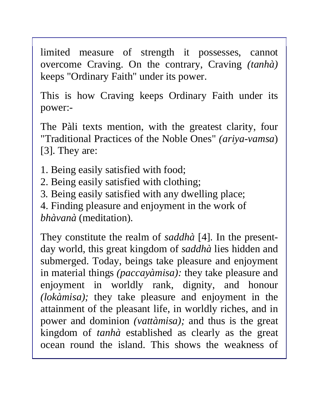limited measure of strength it possesses, cannot overcome Craving. On the contrary, Craving *(tanhà)*  keeps "Ordinary Faith" under its power.

This is how Craving keeps Ordinary Faith under its power:-

The Pàli texts mention, with the greatest clarity, four "Traditional Practices of the Noble Ones" *(ariya-vamsa*) [3]. They are:

1. Being easily satisfied with food;

2. Being easily satisfied with clothing;

3*.* Being easily satisfied with any dwelling place;

4. Finding pleasure and enjoyment in the work of *bhàvanà* (meditation).

They constitute the realm of *saddhà* [4]. In the presentday world, this great kingdom of *saddhà* lies hidden and submerged. Today, beings take pleasure and enjoyment in material things *(paccayàmisa):* they take pleasure and enjoyment in worldly rank, dignity, and honour *(lokàmisa);* they take pleasure and enjoyment in the attainment of the pleasant life, in worldly riches, and in power and dominion *(vattàmisa);* and thus is the great kingdom of *tanhà* established as clearly as the great ocean round the island. This shows the weakness of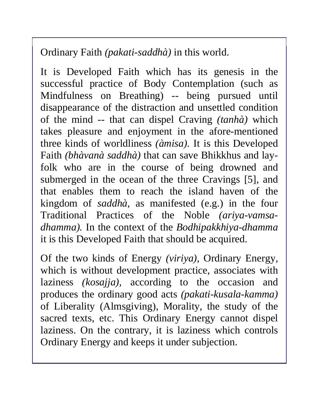Ordinary Faith *(pakati-saddhà)* in this world.

It is Developed Faith which has its genesis in the successful practice of Body Contemplation (such as Mindfulness on Breathing) -- being pursued until disappearance of the distraction and unsettled condition of the mind -- that can dispel Craving *(tanhà)* which takes pleasure and enjoyment in the afore-mentioned three kinds of worldliness *(àmisa).* It is this Developed Faith *(bhàvanà saddhà)* that can save Bhikkhus and layfolk who are in the course of being drowned and submerged in the ocean of the three Cravings [5], and that enables them to reach the island haven of the kingdom of *saddhà,* as manifested (e.g.) in the four Traditional Practices of the Noble *(ariya-vamsadhamma).* In the context of the *Bodhipakkhiya-dhamma* it is this Developed Faith that should be acquired.

Of the two kinds of Energy *(viriya),* Ordinary Energy, which is without development practice, associates with laziness *(kosajja),* according to the occasion and produces the ordinary good acts *(pakati-kusala-kamma)*  of Liberality (Almsgiving), Morality, the study of the sacred texts, etc. This Ordinary Energy cannot dispel laziness. On the contrary, it is laziness which controls Ordinary Energy and keeps it under subjection.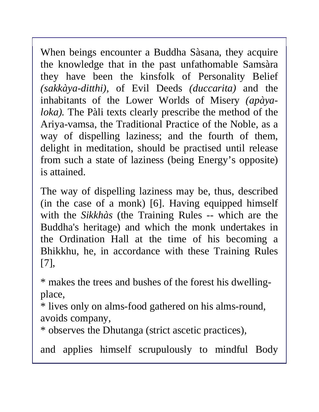When beings encounter a Buddha Sàsana, they acquire the knowledge that in the past unfathomable Samsàra they have been the kinsfolk of Personality Belief *(sakkàya-ditthi),* of Evil Deeds *(duccarita)* and the inhabitants of the Lower Worlds of Misery *(apàyaloka).* The Pàli texts clearly prescribe the method of the Ariya-vamsa, the Traditional Practice of the Noble, as a way of dispelling laziness; and the fourth of them, delight in meditation, should be practised until release from such a state of laziness (being Energy's opposite) is attained.

The way of dispelling laziness may be, thus, described (in the case of a monk) [6]. Having equipped himself with the *Sikkhàs* (the Training Rules -- which are the Buddha's heritage) and which the monk undertakes in the Ordination Hall at the time of his becoming a Bhikkhu, he, in accordance with these Training Rules [7],

\* makes the trees and bushes of the forest his dwellingplace,

\* lives only on alms-food gathered on his alms-round, avoids company,

\* observes the Dhutanga (strict ascetic practices),

and applies himself scrupulously to mindful Body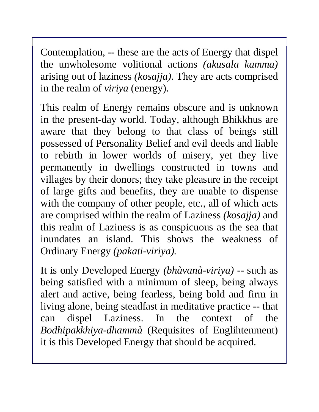Contemplation, -- these are the acts of Energy that dispel the unwholesome volitional actions *(akusala kamma)*  arising out of laziness *(kosajja).* They are acts comprised in the realm of *viriya* (energy).

This realm of Energy remains obscure and is unknown in the present-day world. Today, although Bhikkhus are aware that they belong to that class of beings still possessed of Personality Belief and evil deeds and liable to rebirth in lower worlds of misery, yet they live permanently in dwellings constructed in towns and villages by their donors; they take pleasure in the receipt of large gifts and benefits, they are unable to dispense with the company of other people, etc., all of which acts are comprised within the realm of Laziness *(kosajja)* and this realm of Laziness is as conspicuous as the sea that inundates an island. This shows the weakness of Ordinary Energy *(pakati-viriya).* 

It is only Developed Energy *(bhàvanà-viriya) --* such as being satisfied with a minimum of sleep, being always alert and active, being fearless, being bold and firm in living alone, being steadfast in meditative practice -- that can dispel Laziness. In the context of the *Bodhipakkhiya-dhammà* (Requisites of Englihtenment) it is this Developed Energy that should be acquired.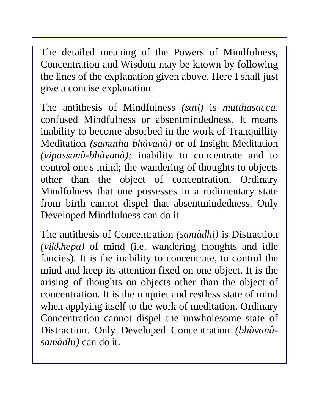The detailed meaning of the Powers of Mindfulness, Concentration and Wisdom may be known by following the lines of the explanation given above. Here I shall just give a concise explanation.

The antithesis of Mindfulness *(sati)* is *mutthasacca,* confused Mindfulness or absentmindedness. It means inability to become absorbed in the work of Tranquillity Meditation *(samatha bhàvanà)* or of Insight Meditation *(vipassanà-bhàvanà);* inability to concentrate and to control one's mind; the wandering of thoughts to objects other than the object of concentration. Ordinary Mindfulness that one possesses in a rudimentary state from birth cannot dispel that absentmindedness. Only Developed Mindfulness can do it.

The antithesis of Concentration *(samàdhi)* is Distraction *(vikkhepa)* of mind (i.e. wandering thoughts and idle fancies). It is the inability to concentrate, to control the mind and keep its attention fixed on one object. It is the arising of thoughts on objects other than the object of concentration. It is the unquiet and restless state of mind when applying itself to the work of meditation. Ordinary Concentration cannot dispel the unwholesome state of Distraction. Only Developed Concentration *(bhàvanàsamàdhi)* can do it.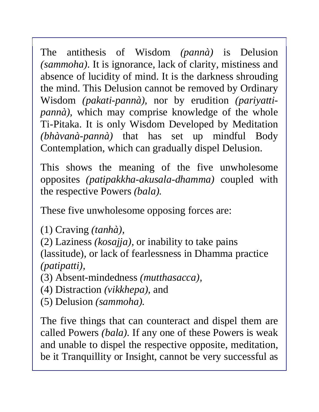The antithesis of Wisdom *(pannà)* is Delusion *(sammoha).* It is ignorance, lack of clarity, mistiness and absence of lucidity of mind. It is the darkness shrouding the mind. This Delusion cannot be removed by Ordinary Wisdom *(pakati-pannà),* nor by erudition *(pariyattipannà),* which may comprise knowledge of the whole Ti-Pitaka. It is only Wisdom Developed by Meditation *(bhàvanà-pannà)* that has set up mindful Body Contemplation, which can gradually dispel Delusion.

This shows the meaning of the five unwholesome opposites *(patipakkha-akusala-dhamma)* coupled with the respective Powers *(bala).* 

These five unwholesome opposing forces are:

(1) Craving *(tanhà),* 

(2) Laziness *(kosajja),* or inability to take pains (lassitude), or lack of fearlessness in Dhamma practice *(patipatti),* 

(3) Absent-mindedness *(mutthasacca),* 

(4) Distraction *(vikkhepa),* and

(5) Delusion *(sammoha).* 

The five things that can counteract and dispel them are called Powers *(bala).* If any one of these Powers is weak and unable to dispel the respective opposite, meditation, be it Tranquillity or Insight, cannot be very successful as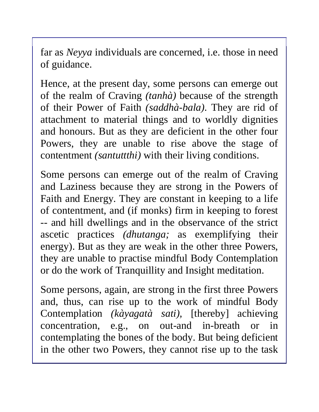far as *Neyya* individuals are concerned, i.e. those in need of guidance.

Hence, at the present day, some persons can emerge out of the realm of Craving *(tanhà)* because of the strength of their Power of Faith *(saddhà-bala).* They are rid of attachment to material things and to worldly dignities and honours. But as they are deficient in the other four Powers, they are unable to rise above the stage of contentment *(santuttthi)* with their living conditions.

Some persons can emerge out of the realm of Craving and Laziness because they are strong in the Powers of Faith and Energy. They are constant in keeping to a life of contentment, and (if monks) firm in keeping to forest -- and hill dwellings and in the observance of the strict ascetic practices *(dhutanga;* as exemplifying their energy). But as they are weak in the other three Powers, they are unable to practise mindful Body Contemplation or do the work of Tranquillity and Insight meditation.

Some persons, again, are strong in the first three Powers and, thus, can rise up to the work of mindful Body Contemplation *(kàyagatà sati),* [thereby] achieving concentration, e.g., on out-and in-breath or in contemplating the bones of the body. But being deficient in the other two Powers, they cannot rise up to the task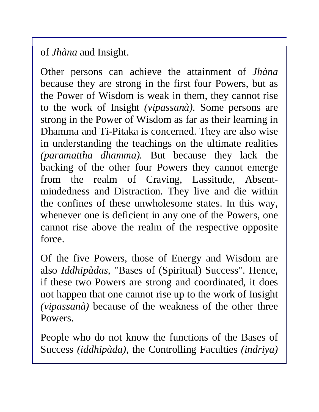of *Jhàna* and Insight.

Other persons can achieve the attainment of *Jhàna*  because they are strong in the first four Powers, but as the Power of Wisdom is weak in them, they cannot rise to the work of Insight *(vipassanà).* Some persons are strong in the Power of Wisdom as far as their learning in Dhamma and Ti-Pitaka is concerned. They are also wise in understanding the teachings on the ultimate realities *(paramattha dhamma).* But because they lack the backing of the other four Powers they cannot emerge from the realm of Craving, Lassitude, Absentmindedness and Distraction. They live and die within the confines of these unwholesome states. In this way, whenever one is deficient in any one of the Powers, one cannot rise above the realm of the respective opposite force.

Of the five Powers, those of Energy and Wisdom are also *Iddhipàdas,* "Bases of (Spiritual) Success". Hence, if these two Powers are strong and coordinated, it does not happen that one cannot rise up to the work of Insight *(vipassanà)* because of the weakness of the other three Powers.

People who do not know the functions of the Bases of Success *(iddhipàda),* the Controlling Faculties *(indriya)*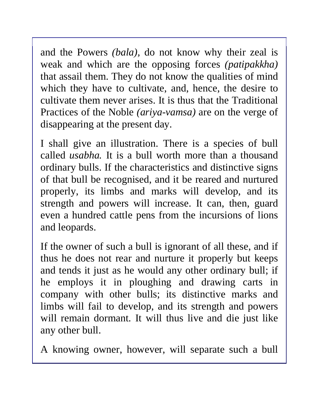and the Powers *(bala),* do not know why their zeal is weak and which are the opposing forces *(patipakkha)*  that assail them. They do not know the qualities of mind which they have to cultivate, and, hence, the desire to cultivate them never arises. It is thus that the Traditional Practices of the Noble *(ariya-vamsa)* are on the verge of disappearing at the present day.

I shall give an illustration. There is a species of bull called *usabha.* It is a bull worth more than a thousand ordinary bulls. If the characteristics and distinctive signs of that bull be recognised, and it be reared and nurtured properly, its limbs and marks will develop, and its strength and powers will increase. It can, then, guard even a hundred cattle pens from the incursions of lions and leopards.

If the owner of such a bull is ignorant of all these, and if thus he does not rear and nurture it properly but keeps and tends it just as he would any other ordinary bull; if he employs it in ploughing and drawing carts in company with other bulls; its distinctive marks and limbs will fail to develop, and its strength and powers will remain dormant. It will thus live and die just like any other bull.

A knowing owner, however, will separate such a bull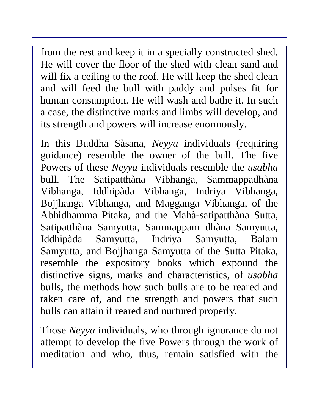from the rest and keep it in a specially constructed shed. He will cover the floor of the shed with clean sand and will fix a ceiling to the roof. He will keep the shed clean and will feed the bull with paddy and pulses fit for human consumption. He will wash and bathe it. In such a case, the distinctive marks and limbs will develop, and its strength and powers will increase enormously.

In this Buddha Sàsana, *Neyya* individuals (requiring guidance) resemble the owner of the bull. The five Powers of these *Neyya* individuals resemble the *usabha*  bull. The Satipatthàna Vibhanga, Sammappadhàna Vibhanga, Iddhipàda Vibhanga, Indriya Vibhanga, Bojjhanga Vibhanga, and Magganga Vibhanga, of the Abhidhamma Pitaka, and the Mahà-satipatthàna Sutta, Satipatthàna Samyutta, Sammappam dhàna Samyutta, Iddhipàda Samyutta, Indriya Samyutta, Balam Samyutta, and Bojjhanga Samyutta of the Sutta Pitaka, resemble the expository books which expound the distinctive signs, marks and characteristics, of *usabha*  bulls, the methods how such bulls are to be reared and taken care of, and the strength and powers that such bulls can attain if reared and nurtured properly.

Those *Neyya* individuals, who through ignorance do not attempt to develop the five Powers through the work of meditation and who, thus, remain satisfied with the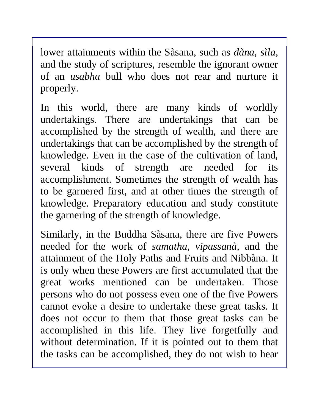lower attainments within the Sàsana, such as *dàna, sìla,*  and the study of scriptures, resemble the ignorant owner of an *usabha* bull who does not rear and nurture it properly.

In this world, there are many kinds of worldly undertakings. There are undertakings that can be accomplished by the strength of wealth, and there are undertakings that can be accomplished by the strength of knowledge. Even in the case of the cultivation of land, several kinds of strength are needed for its accomplishment. Sometimes the strength of wealth has to be garnered first, and at other times the strength of knowledge. Preparatory education and study constitute the garnering of the strength of knowledge.

Similarly, in the Buddha Sàsana, there are five Powers needed for the work of *samatha, vipassanà,* and the attainment of the Holy Paths and Fruits and Nibbàna. It is only when these Powers are first accumulated that the great works mentioned can be undertaken. Those persons who do not possess even one of the five Powers cannot evoke a desire to undertake these great tasks. It does not occur to them that those great tasks can be accomplished in this life. They live forgetfully and without determination. If it is pointed out to them that the tasks can be accomplished, they do not wish to hear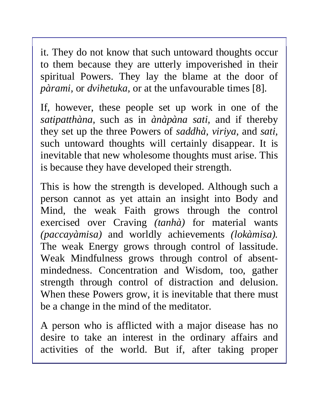it. They do not know that such untoward thoughts occur to them because they are utterly impoverished in their spiritual Powers. They lay the blame at the door of *pàrami,* or *dvihetuka,* or at the unfavourable times [8].

If, however, these people set up work in one of the *satipatthàna,* such as in *ànàpàna sati,* and if thereby they set up the three Powers of *saddhà, viriya,* and *sati,*  such untoward thoughts will certainly disappear. It is inevitable that new wholesome thoughts must arise. This is because they have developed their strength.

This is how the strength is developed. Although such a person cannot as yet attain an insight into Body and Mind, the weak Faith grows through the control exercised over Craving *(tanhà)* for material wants *(paccayàmisa)* and worldly achievements *(lokàmisa).*  The weak Energy grows through control of lassitude. Weak Mindfulness grows through control of absentmindedness. Concentration and Wisdom, too, gather strength through control of distraction and delusion. When these Powers grow, it is inevitable that there must be a change in the mind of the meditator.

A person who is afflicted with a major disease has no desire to take an interest in the ordinary affairs and activities of the world. But if, after taking proper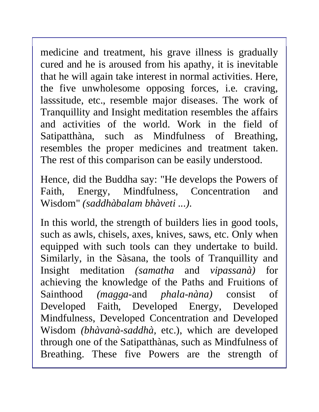medicine and treatment, his grave illness is gradually cured and he is aroused from his apathy, it is inevitable that he will again take interest in normal activities. Here, the five unwholesome opposing forces, i.e. craving, lasssitude, etc., resemble major diseases. The work of Tranquillity and Insight meditation resembles the affairs and activities of the world. Work in the field of Satipatthàna, such as Mindfulness of Breathing, resembles the proper medicines and treatment taken. The rest of this comparison can be easily understood.

Hence, did the Buddha say: "He develops the Powers of Faith, Energy, Mindfulness, Concentration and Wisdom" *(saddhàbalam bhàveti ...).* 

In this world, the strength of builders lies in good tools, such as awls, chisels, axes, knives, saws, etc. Only when equipped with such tools can they undertake to build. Similarly, in the Sàsana, the tools of Tranquillity and Insight meditation *(samatha* and *vipassanà)* for achieving the knowledge of the Paths and Fruitions of Sainthood *(magga*-and *phala-nàna)* consist of Developed Faith, Developed Energy, Developed Mindfulness, Developed Concentration and Developed Wisdom *(bhàvanà-saddhà,* etc.), which are developed through one of the Satipatthànas, such as Mindfulness of Breathing. These five Powers are the strength of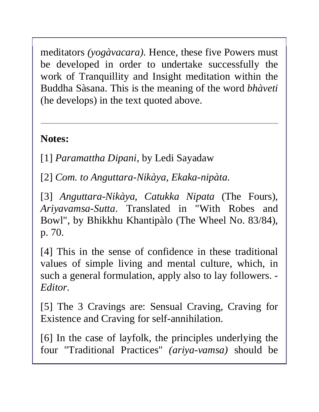meditators *(yogàvacara).* Hence, these five Powers must be developed in order to undertake successfully the work of Tranquillity and Insight meditation within the Buddha Sàsana. This is the meaning of the word *bhàveti*  (he develops) in the text quoted above.

## **Notes:**

[1] *Paramattha Dipani*, by Ledi Sayadaw

[2] *Com. to Anguttara-Nikàya, Ekaka-nipàta.* 

[3] *Anguttara-Nikàya, Catukka Nipata* (The Fours), *Ariyavamsa-Sutta*. Translated in "With Robes and Bowl", by Bhikkhu Khantipàlo (The Wheel No. 83/84), p. 70.

[4] This in the sense of confidence in these traditional values of simple living and mental culture, which, in such a general formulation, apply also to lay followers. *- Editor.*

[5] The 3 Cravings are: Sensual Craving, Craving for Existence and Craving for self-annihilation.

[6] In the case of layfolk, the principles underlying the four "Traditional Practices" *(ariya-vamsa)* should be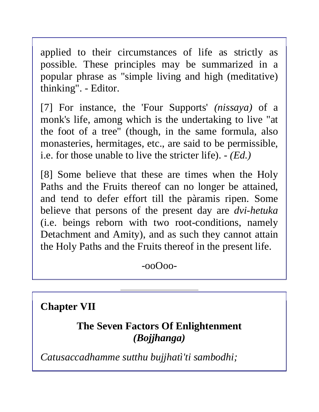applied to their circumstances of life as strictly as possible. These principles may be summarized in a popular phrase as "simple living and high (meditative) thinking". *-* Editor.

[7] For instance, the 'Four Supports' *(nissaya)* of a monk's life, among which is the undertaking to live "at the foot of a tree" (though, in the same formula, also monasteries, hermitages, etc., are said to be permissible, i.e. for those unable to live the stricter life). *- (Ed.)* 

[8] Some believe that these are times when the Holy Paths and the Fruits thereof can no longer be attained, and tend to defer effort till the pàramis ripen. Some believe that persons of the present day are *dvi-hetuka*  (i.e. beings reborn with two root-conditions, namely Detachment and Amity), and as such they cannot attain the Holy Paths and the Fruits thereof in the present life.

-ooOoo-

**Chapter VII**

**The Seven Factors Of Enlightenment**  *(Bojjhanga)*

*Catusaccadhamme sutthu bujjhatì'ti sambodhi;*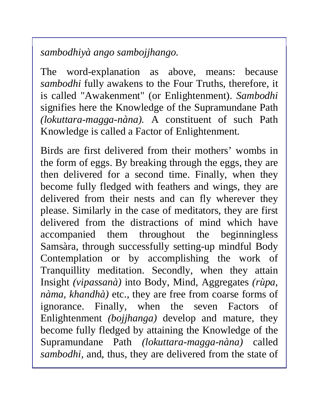*sambodhiyà ango sambojjhango.* 

The word-explanation as above, means: because *sambodhi* fully awakens to the Four Truths, therefore, it is called "Awakenment" (or Enlightenment). *Sambodhi*  signifies here the Knowledge of the Supramundane Path *(lokuttara-magga-nàna).* A constituent of such Path Knowledge is called a Factor of Enlightenment.

Birds are first delivered from their mothers' wombs in the form of eggs. By breaking through the eggs, they are then delivered for a second time. Finally, when they become fully fledged with feathers and wings, they are delivered from their nests and can fly wherever they please. Similarly in the case of meditators, they are first delivered from the distractions of mind which have accompanied them throughout the beginningless Samsàra, through successfully setting-up mindful Body Contemplation or by accomplishing the work of Tranquillity meditation. Secondly, when they attain Insight *(vipassanà)* into Body, Mind, Aggregates *(rùpa, nàma, khandhà)* etc., they are free from coarse forms of ignorance. Finally, when the seven Factors of Enlightenment *(bojjhanga)* develop and mature, they become fully fledged by attaining the Knowledge of the Supramundane Path *(lokuttara-magga-nàna)* called *sambodhi,* and, thus, they are delivered from the state of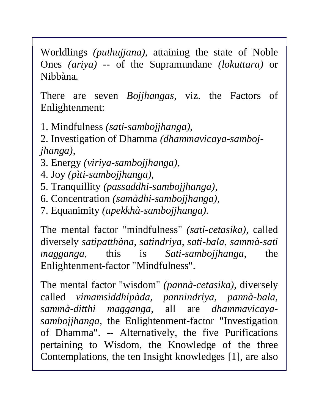Worldlings *(puthujjana),* attaining the state of Noble Ones *(ariya) --* of the Supramundane *(lokuttara)* or Nibbàna.

There are seven *Bojjhangas*, viz. the Factors of Enlightenment:

1. Mindfulness *(sati-sambojjhanga),* 

2. Investigation of Dhamma *(dhammavicaya-sambojjhanga),* 

- 3. Energy *(viriya-sambojjhanga),*
- 4. Joy *(pìti-sambojjhanga),*
- 5. Tranquillity *(passaddhi-sambojjhanga),*
- 6. Concentration *(samàdhi-sambojjhanga),*
- 7. Equanimity *(upekkhà-sambojjhanga).*

The mental factor "mindfulness" *(sati-cetasika),* called diversely *satipatthàna, satindriya, sati-bala, sammà-sati magganga,* this is *Sati-sambojjhanga,* the Enlightenment-factor "Mindfulness".

The mental factor "wisdom" *(pannà-cetasika),* diversely called *vimamsiddhipàda, pannindriya, pannà-bala, sammà-ditthi magganga,* all are *dhammavicayasambojjhanga,* the Enlightenment-factor "Investigation of Dhamma". -- Alternatively, the five Purifications pertaining to Wisdom, the Knowledge of the three Contemplations, the ten Insight knowledges [1], are also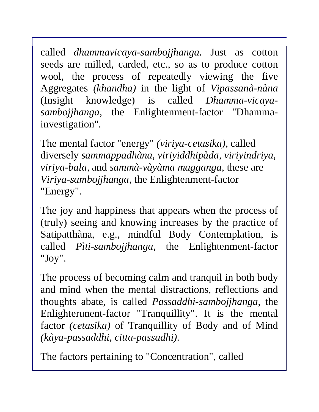called *dhammavicaya-sambojjhanga.* Just as cotton seeds are milled, carded, etc., so as to produce cotton wool, the process of repeatedly viewing the five Aggregates *(khandha)* in the light of *Vipassanà-nàna*  (Insight knowledge) is called *Dhamma-vicayasambojjhanga,* the Enlightenment-factor "Dhammainvestigation".

The mental factor "energy" *(viriya-cetasika),* called diversely *sammappadhàna, viriyiddhipàda, viriyindriya, viriya-bala,* and *sammà-vàyàma magganga,* these are *Viriya-sambojjhanga,* the Enlightenment-factor "Energy".

The joy and happiness that appears when the process of (truly) seeing and knowing increases by the practice of Satipatthàna, e.g., mindful Body Contemplation, is called *Pìti-sambojjhanga,* the Enlightenment-factor "Joy".

The process of becoming calm and tranquil in both body and mind when the mental distractions, reflections and thoughts abate, is called *Passaddhi-sambojjhanga,* the Enlighterunent-factor "Tranquillity". It is the mental factor *(cetasika)* of Tranquillity of Body and of Mind *(kàya-passaddhi, citta-passadhi).* 

The factors pertaining to "Concentration", called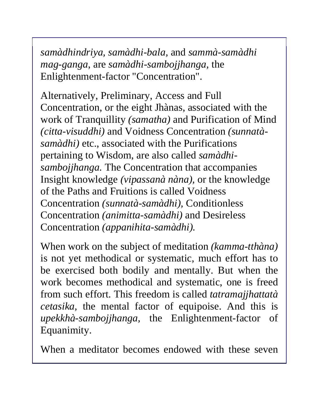*samàdhindriya, samàdhi-bala,* and *sammà-samàdhi mag-ganga*, are *samàdhi-sambojjhanga,* the Enlightenment-factor "Concentration".

Alternatively, Preliminary, Access and Full Concentration, or the eight Jhànas, associated with the work of Tranquillity *(samatha)* and Purification of Mind *(citta-visuddhi)* and Voidness Concentration *(sunnatàsamàdhi)* etc., associated with the Purifications pertaining to Wisdom, are also called *samàdhisambojjhanga.* The Concentration that accompanies Insight knowledge *(vipassanà nàna),* or the knowledge of the Paths and Fruitions is called Voidness Concentration *(sunnatà-samàdhi),* Conditionless Concentration *(animitta-samàdhi)* and Desireless Concentration *(appanihita-samàdhi).* 

When work on the subject of meditation *(kamma-tthàna)* is not yet methodical or systematic, much effort has to be exercised both bodily and mentally. But when the work becomes methodical and systematic, one is freed from such effort. This freedom is called *tatramajjhattatà cetasika,* the mental factor of equipoise. And this is *upekkhà-sambojjhanga,* the Enlightenment-factor of Equanimity.

When a meditator becomes endowed with these seven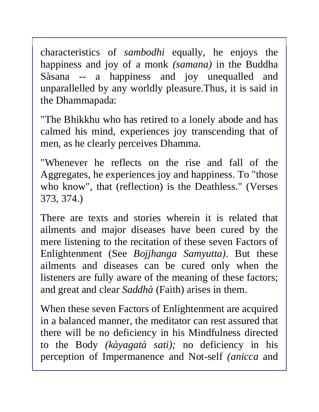characteristics of *sambodhi* equally, he enjoys the happiness and joy of a monk *(samana)* in the Buddha Sàsana -- a happiness and joy unequalled and unparallelled by any worldly pleasure.Thus, it is said in the Dhammapada:

"The Bhikkhu who has retired to a lonely abode and has calmed his mind, experiences joy transcending that of men, as he clearly perceives Dhamma.

"Whenever he reflects on the rise and fall of the Aggregates, he experiences joy and happiness. To "those who know", that (reflection) is the Deathless." (Verses 373, 374.)

There are texts and stories wherein it is related that ailments and major diseases have been cured by the mere listening to the recitation of these seven Factors of Enlightenment (See *Bojjhanga Samyutta)*. But these ailments and diseases can be cured only when the listeners are fully aware of the meaning of these factors; and great and clear *Saddhà* (Faith) arises in them.

When these seven Factors of Enlightenment are acquired in a balanced manner, the meditator can rest assured that there will be no deficiency in his Mindfulness directed to the Body *(kàyagatà sati);* no deficiency in his perception of Impermanence and Not-self *(anicca* and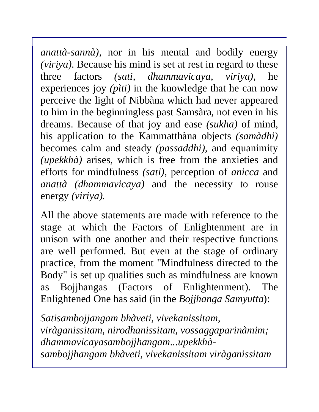*anattà-sannà),* nor in his mental and bodily energy *(viriya).* Because his mind is set at rest in regard to these three factors *(sati, dhammavicaya, viriya),* he experiences joy *(pìti)* in the knowledge that he can now perceive the light of Nibbàna which had never appeared to him in the beginningless past Samsàra, not even in his dreams. Because of that joy and ease *(sukha)* of mind, his application to the Kammatthàna objects *(samàdhi)*  becomes calm and steady *(passaddhi),* and equanimity *(upekkhà)* arises, which is free from the anxieties and efforts for mindfulness *(sati),* perception of *anicca* and *anattà (dhammavicaya)* and the necessity to rouse energy *(viriya).* 

All the above statements are made with reference to the stage at which the Factors of Enlightenment are in unison with one another and their respective functions are well performed. But even at the stage of ordinary practice, from the moment "Mindfulness directed to the Body" is set up qualities such as mindfulness are known as Bojjhangas (Factors of Enlightenment). The Enlightened One has said (in the *Bojjhanga Samyutta*):

*Satisambojjangam bhàveti, vivekanissitam, viràganissitam, nirodhanissitam, vossaggaparinàmim; dhammavicayasambojjhangam...upekkhàsambojjhangam bhàveti, vivekanissitam viràganissitam*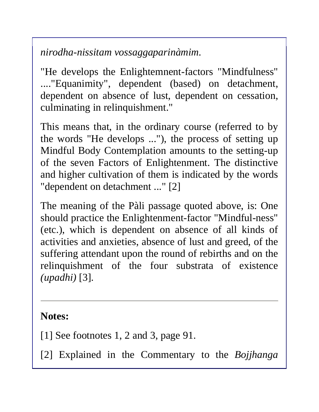*nirodha-nissitam vossaggaparinàmim.* 

"He develops the Enlightemnent-factors "Mindfulness" ...."Equanimity", dependent (based) on detachment, dependent on absence of lust, dependent on cessation, culminating in relinquishment."

This means that, in the ordinary course (referred to by the words "He develops ..."), the process of setting up Mindful Body Contemplation amounts to the setting-up of the seven Factors of Enlightenment. The distinctive and higher cultivation of them is indicated by the words "dependent on detachment ..." [2]

The meaning of the Pàli passage quoted above, is: One should practice the Enlightenment-factor "Mindful-ness" (etc.), which is dependent on absence of all kinds of activities and anxieties, absence of lust and greed, of the suffering attendant upon the round of rebirths and on the relinquishment of the four substrata of existence *(upadhi)* [3].

#### **Notes:**

[1] See footnotes 1, 2 and 3, page 91.

[2] Explained in the Commentary to the *Bojjhanga*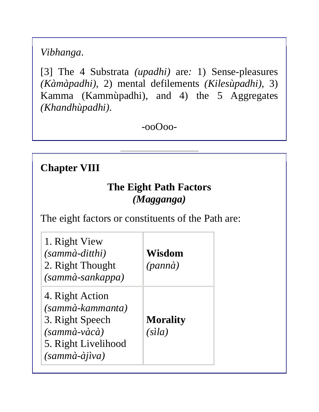*Vibhanga*.

[3] The 4 Substrata *(upadhi)* are*:* 1) Sense-pleasures *(Kàmàpadhi),* 2) mental defilements *(Kilesùpadhi),* 3) Kamma (Kammùpadhi), and 4) the 5 Aggregates *(Khandhùpadhi).* 

-ooOoo-

#### **Chapter VIII**

#### **The Eight Path Factors**  *(Magganga)*

The eight factors or constituents of the Path are:

| 1. Right View<br>(sammà-ditthi)<br>2. Right Thought<br>(sammà-sankappa)                                                  | Wisdom<br>(pannà)         |
|--------------------------------------------------------------------------------------------------------------------------|---------------------------|
| 4. Right Action<br>(sammà-kammanta)<br>3. Right Speech<br>(sammà-vàcà)<br>5. Right Livelihood<br>$(samm\`{a}-\`{a}jiva)$ | <b>Morality</b><br>(sìla) |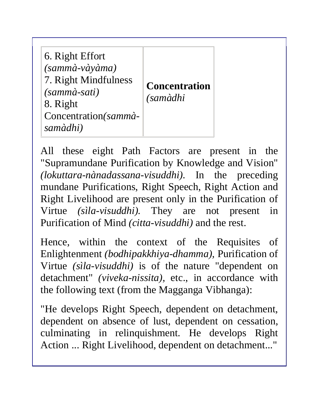| 6. Right Effort<br>(sammà-vàyàma)<br>7. Right Mindfulness<br>(sammà-sati)<br>8. Right<br>Concentration (sammà-<br>samàdhi) | <b>Concentration</b><br><i>(samàdhi</i> |
|----------------------------------------------------------------------------------------------------------------------------|-----------------------------------------|
|----------------------------------------------------------------------------------------------------------------------------|-----------------------------------------|

All these eight Path Factors are present in the "Supramundane Purification by Knowledge and Vision" *(lokuttara-nànadassana-visuddhi).* In the preceding mundane Purifications, Right Speech, Right Action and Right Livelihood are present only in the Purification of Virtue *(sìla-visuddhi).* They are not present in Purification of Mind *(citta-visuddhi)* and the rest.

Hence, within the context of the Requisites of Enlightenment *(bodhipakkhiya-dhamma),* Purification of Virtue *(sìla-visuddhi)* is of the nature "dependent on detachment" *(viveka-nissita),* etc., in accordance with the following text (from the Magganga Vibhanga):

"He develops Right Speech, dependent on detachment, dependent on absence of lust, dependent on cessation, culminating in relinquishment. He develops Right Action ... Right Livelihood, dependent on detachment..."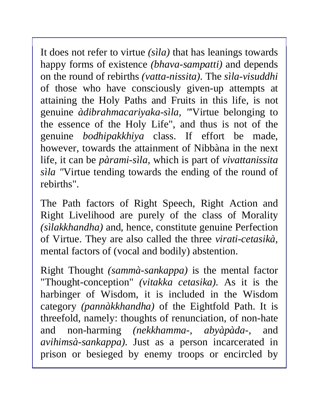It does not refer to virtue *(sìla)* that has leanings towards happy forms of existence *(bhava-sampatti)* and depends on the round of rebirths *(vatta-nissita).* The *sìla-visuddhi*  of those who have consciously given-up attempts at attaining the Holy Paths and Fruits in this life, is not genuine *àdibrahmacariyaka-sìla, "*'Virtue belonging to the essence of the Holy Life", and thus is not of the genuine *bodhipakkhiya* class. If effort be made, however, towards the attainment of Nibbàna in the next life, it can be *pàrami-sìla,* which is part of *vivattanissita sìla "*Virtue tending towards the ending of the round of rebirths".

The Path factors of Right Speech, Right Action and Right Livelihood are purely of the class of Morality *(sìlakkhandha)* and, hence, constitute genuine Perfection of Virtue. They are also called the three *virati-cetasikà,*  mental factors of (vocal and bodily) abstention.

Right Thought *(sammà-sankappa)* is the mental factor "Thought-conception" *(vitakka cetasika).* As it is the harbinger of Wisdom, it is included in the Wisdom category *(pannàkkhandha)* of the Eightfold Path. It is threefold, namely: thoughts of renunciation, of non-hate and non-harming *(nekkhamma-, abyàpàda-,* and *avihimsà-sankappa).* Just as a person incarcerated in prison or besieged by enemy troops or encircled by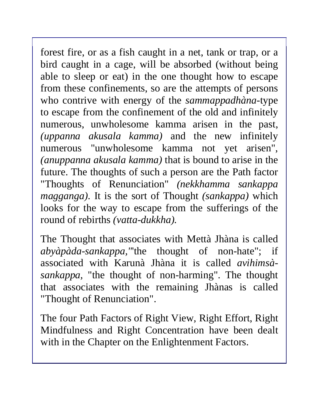forest fire, or as a fish caught in a net, tank or trap, or a bird caught in a cage, will be absorbed (without being able to sleep or eat) in the one thought how to escape from these confinements, so are the attempts of persons who contrive with energy of the *sammappadhàna-*type to escape from the confinement of the old and infinitely numerous, unwholesome kamma arisen in the past, *(uppanna akusala kamma)* and the new infinitely numerous "unwholesome kamma not yet arisen", *(anuppanna akusala kamma)* that is bound to arise in the future. The thoughts of such a person are the Path factor "Thoughts of Renunciation" *(nekkhamma sankappa magganga).* It is the sort of Thought *(sankappa)* which looks for the way to escape from the sufferings of the round of rebirths *(vatta-dukkha).* 

The Thought that associates with Mettà Jhàna is called *abyàpàda-sankappa,"*'the thought of non-hate"; if associated with Karunà Jhàna it is called *avihimsàsankappa,* "the thought of non-harming". The thought that associates with the remaining Jhànas is called "Thought of Renunciation".

The four Path Factors of Right View, Right Effort, Right Mindfulness and Right Concentration have been dealt with in the Chapter on the Enlightenment Factors.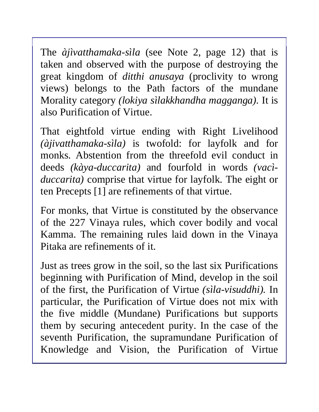The *àjìvatthamaka-sìla* (see Note 2, page 12) that is taken and observed with the purpose of destroying the great kingdom of *ditthi anusaya* (proclivity to wrong views) belongs to the Path factors of the mundane Morality category *(lokiya sìlakkhandha magganga).* It is also Purification of Virtue.

That eightfold virtue ending with Right Livelihood *(àjivatthamaka-sìla)* is twofold: for layfolk and for monks. Abstention from the threefold evil conduct in deeds *(kàya-duccarita)* and fourfold in words *(vacìduccarita)* comprise that virtue for layfolk. The eight or ten Precepts [1] are refinements of that virtue.

For monks, that Virtue is constituted by the observance of the 227 Vinaya rules, which cover bodily and vocal Kamma. The remaining rules laid down in the Vinaya Pitaka are refinements of it.

Just as trees grow in the soil, so the last six Purifications beginning with Purification of Mind, develop in the soil of the first, the Purification of Virtue *(sìla-visuddhi).* In particular, the Purification of Virtue does not mix with the five middle (Mundane) Purifications but supports them by securing antecedent purity. In the case of the seventh Purification, the supramundane Purification of Knowledge and Vision, the Purification of Virtue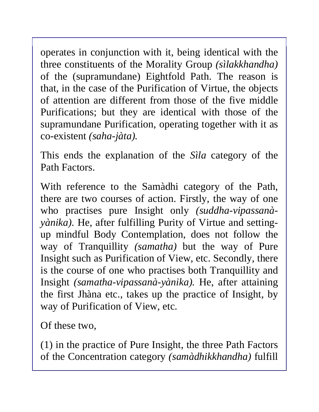operates in conjunction with it, being identical with the three constituents of the Morality Group *(sìlakkhandha)*  of the (supramundane) Eightfold Path. The reason is that, in the case of the Purification of Virtue, the objects of attention are different from those of the five middle Purifications; but they are identical with those of the supramundane Purification, operating together with it as co-existent *(saha-jàta).* 

This ends the explanation of the *Sìla* category of the Path Factors.

With reference to the Samàdhi category of the Path, there are two courses of action. Firstly, the way of one who practises pure Insight only *(suddha-vipassanàyànika).* He, after fulfilling Purity of Virtue and settingup mindful Body Contemplation, does not follow the way of Tranquillity *(samatha)* but the way of Pure Insight such as Purification of View, etc. Secondly, there is the course of one who practises both Tranquillity and Insight *(samatha-vipassanà-yànika).* He, after attaining the first Jhàna etc., takes up the practice of Insight, by way of Purification of View, etc.

Of these two,

(1) in the practice of Pure Insight, the three Path Factors of the Concentration category *(samàdhikkhandha)* fulfill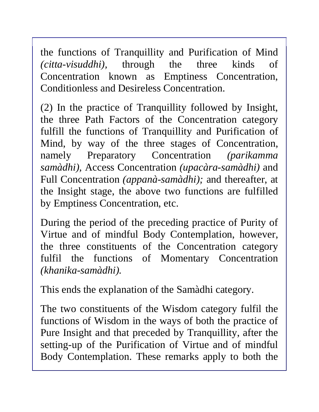the functions of Tranquillity and Purification of Mind *(citta-visuddhi),* through the three kinds of Concentration known as Emptiness Concentration, Conditionless and Desireless Concentration.

(2) In the practice of Tranquillity followed by Insight, the three Path Factors of the Concentration category fulfill the functions of Tranquillity and Purification of Mind, by way of the three stages of Concentration, namely Preparatory Concentration *(parikamma samàdhi),* Access Concentration *(upacàra-samàdhi)* and Full Concentration *(appanà-samàdhi);* and thereafter, at the Insight stage, the above two functions are fulfilled by Emptiness Concentration, etc.

During the period of the preceding practice of Purity of Virtue and of mindful Body Contemplation, however, the three constituents of the Concentration category fulfil the functions of Momentary Concentration *(khanika-samàdhi).* 

This ends the explanation of the Samàdhi category.

The two constituents of the Wisdom category fulfil the functions of Wisdom in the ways of both the practice of Pure Insight and that preceded by Tranquillity, after the setting-up of the Purification of Virtue and of mindful Body Contemplation. These remarks apply to both the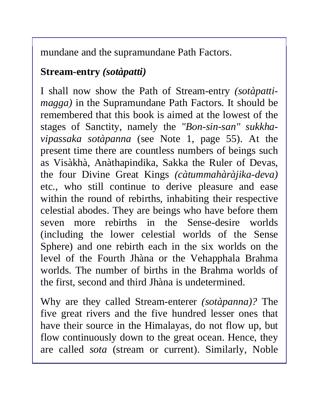mundane and the supramundane Path Factors.

### **Stream-entry** *(sotàpatti)*

I shall now show the Path of Stream-entry *(sotàpattimagga)* in the Supramundane Path Factors. It should be remembered that this book is aimed at the lowest of the stages of Sanctity, namely the *"Bon-sin-san" sukkhavipassaka sotàpanna* (see Note 1, page 55). At the present time there are countless numbers of beings such as Visàkhà, Anàthapindika, Sakka the Ruler of Devas, the four Divine Great Kings *(càtummahàràjika-deva)*  etc., who still continue to derive pleasure and ease within the round of rebirths, inhabiting their respective celestial abodes. They are beings who have before them seven more rebirths in the Sense-desire worlds (including the lower celestial worlds of the Sense Sphere) and one rebirth each in the six worlds on the level of the Fourth Jhàna or the Vehapphala Brahma worlds. The number of births in the Brahma worlds of the first, second and third Jhàna is undetermined.

Why are they called Stream-enterer *(sotàpanna)?* The five great rivers and the five hundred lesser ones that have their source in the Himalayas, do not flow up, but flow continuously down to the great ocean. Hence, they are called *sota* (stream or current). Similarly, Noble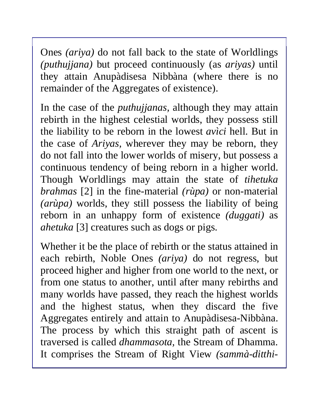Ones *(ariya)* do not fall back to the state of Worldlings *(puthujjana)* but proceed continuously (as *ariyas)* until they attain Anupàdisesa Nibbàna (where there is no remainder of the Aggregates of existence).

In the case of the *puthujjanas,* although they may attain rebirth in the highest celestial worlds, they possess still the liability to be reborn in the lowest *avìci* hell. But in the case of *Ariyas,* wherever they may be reborn, they do not fall into the lower worlds of misery, but possess a continuous tendency of being reborn in a higher world. Though Worldlings may attain the state of *tihetuka brahmas* [2] in the fine-material *(rùpa)* or non-material *(arùpa)* worlds, they still possess the liability of being reborn in an unhappy form of existence *(duggati)* as *ahetuka* [3] creatures such as dogs or pigs.

Whether it be the place of rebirth or the status attained in each rebirth, Noble Ones *(ariya)* do not regress, but proceed higher and higher from one world to the next, or from one status to another, until after many rebirths and many worlds have passed, they reach the highest worlds and the highest status, when they discard the five Aggregates entirely and attain to Anupàdisesa-Nibbàna. The process by which this straight path of ascent is traversed is called *dhammasota,* the Stream of Dhamma. It comprises the Stream of Right View *(sammà-ditthi-*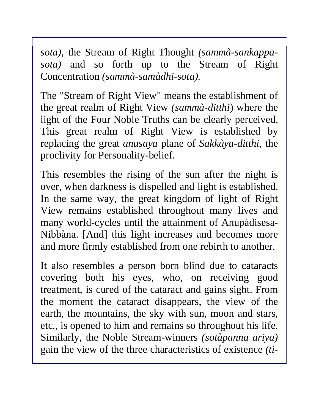*sota),* the Stream of Right Thought *(sammà-sankappasota)* and so forth up to the Stream of Right Concentration *(sammà-samàdhi-sota).* 

The "Stream of Right View" means the establishment of the great realm of Right View *(sammà-ditthi*) where the light of the Four Noble Truths can be clearly perceived. This great realm of Right View is established by replacing the great *anusaya* plane of *Sakkàya-ditthi,* the proclivity for Personality-belief.

This resembles the rising of the sun after the night is over, when darkness is dispelled and light is established. In the same way, the great kingdom of light of Right View remains established throughout many lives and many world-cycles until the attainment of Anupàdisesa-Nibbàna. [And] this light increases and becomes more and more firmly established from one rebirth to another.

It also resembles a person born blind due to cataracts covering both his eyes, who, on receiving good treatment, is cured of the cataract and gains sight. From the moment the cataract disappears, the view of the earth, the mountains, the sky with sun, moon and stars, etc., is opened to him and remains so throughout his life. Similarly, the Noble Stream-winners *(sotàpanna ariya)*  gain the view of the three characteristics of existence *(ti-*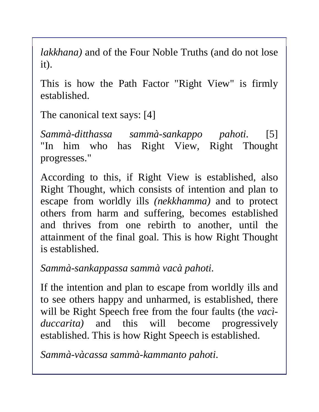*lakkhana)* and of the Four Noble Truths (and do not lose it).

This is how the Path Factor "Right View" is firmly established.

The canonical text says: [4]

*Sammà-ditthassa sammà-sankappo pahoti.* [5] "In him who has Right View, Right Thought progresses."

According to this, if Right View is established, also Right Thought, which consists of intention and plan to escape from worldly ills *(nekkhamma)* and to protect others from harm and suffering, becomes established and thrives from one rebirth to another, until the attainment of the final goal. This is how Right Thought is established.

*Sammà-sankappassa sammà vacà pahoti.* 

If the intention and plan to escape from worldly ills and to see others happy and unharmed, is established, there will be Right Speech free from the four faults (the *vacìduccarita)* and this will become progressively established. This is how Right Speech is established.

*Sammà-vàcassa sammà-kammanto pahoti.*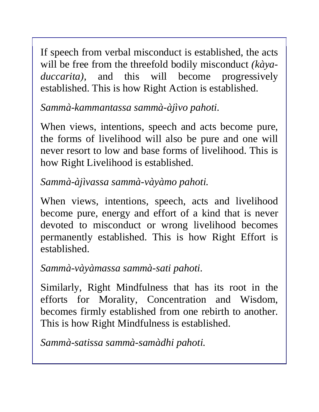If speech from verbal misconduct is established, the acts will be free from the threefold bodily misconduct *(kàyaduccarita),* and this will become progressively established. This is how Right Action is established.

*Sammà-kammantassa sammà-àjìvo pahoti.* 

When views, intentions, speech and acts become pure, the forms of livelihood will also be pure and one will never resort to low and base forms of livelihood. This is how Right Livelihood is established.

*Sammà-àjìvassa sammà-vàyàmo pahoti.* 

When views, intentions, speech, acts and livelihood become pure, energy and effort of a kind that is never devoted to misconduct or wrong livelihood becomes permanently established. This is how Right Effort is established.

*Sammà-vàyàmassa sammà-sati pahoti.* 

Similarly, Right Mindfulness that has its root in the efforts for Morality, Concentration and Wisdom, becomes firmly established from one rebirth to another. This is how Right Mindfulness is established.

*Sammà-satissa sammà-samàdhi pahoti.*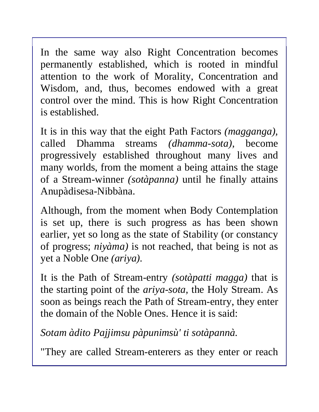In the same way also Right Concentration becomes permanently established, which is rooted in mindful attention to the work of Morality, Concentration and Wisdom, and, thus, becomes endowed with a great control over the mind. This is how Right Concentration is established.

It is in this way that the eight Path Factors *(magganga),* called Dhamma streams *(dhamma-sota),* become progressively established throughout many lives and many worlds, from the moment a being attains the stage of a Stream-winner *(sotàpanna)* until he finally attains Anupàdisesa-Nibbàna.

Although, from the moment when Body Contemplation is set up, there is such progress as has been shown earlier, yet so long as the state of Stability (or constancy of progress; *niyàma)* is not reached, that being is not as yet a Noble One *(ariya).* 

It is the Path of Stream-entry *(sotàpatti magga)* that is the starting point of the *ariya-sota,* the Holy Stream. As soon as beings reach the Path of Stream-entry, they enter the domain of the Noble Ones. Hence it is said:

*Sotam àdito Pajjimsu pàpunimsù' ti sotàpannà.* 

"They are called Stream-enterers as they enter or reach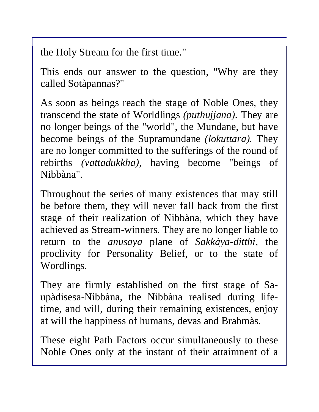the Holy Stream for the first time."

This ends our answer to the question, "Why are they called Sotàpannas?"

As soon as beings reach the stage of Noble Ones, they transcend the state of Worldlings *(puthujjana).* They are no longer beings of the "world", the Mundane, but have become beings of the Supramundane *(lokuttara).* They are no longer committed to the sufferings of the round of rebirths *(vattadukkha),* having become "beings of Nibbàna".

Throughout the series of many existences that may still be before them, they will never fall back from the first stage of their realization of Nibbàna, which they have achieved as Stream-winners. They are no longer liable to return to the *anusaya* plane of *Sakkàya-ditthi,* the proclivity for Personality Belief, or to the state of Wordlings.

They are firmly established on the first stage of Saupàdisesa-Nibbàna, the Nibbàna realised during lifetime, and will, during their remaining existences, enjoy at will the happiness of humans, devas and Brahmàs.

These eight Path Factors occur simultaneously to these Noble Ones only at the instant of their attaimnent of a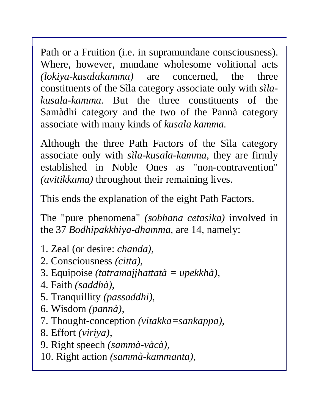Path or a Fruition (i.e. in supramundane consciousness). Where, however, mundane wholesome volitional acts *(lokiya-kusalakamma)* are concerned, the three constituents of the Sìla category associate only with *sìlakusala-kamma.* But the three constituents of the Samàdhi category and the two of the Pannà category associate with many kinds of *kusala kamma.* 

Although the three Path Factors of the Sìla category associate only with *sìla-kusala-kamma,* they are firmly established in Noble Ones as "non-contravention" *(avitikkama)* throughout their remaining lives.

This ends the explanation of the eight Path Factors.

The "pure phenomena" *(sobhana cetasika)* involved in the 37 *Bodhipakkhiya-dhamma,* are 14, namely:

- 1. Zeal (or desire: *chanda),*
- 2. Consciousness *(citta),*
- 3. Equipoise *(tatramajjhattatà = upekkhà),*
- 4. Faith *(saddhà),*
- 5. Tranquillity *(passaddhi),*
- 6. Wisdom *(pannà),*
- 7. Thought-conception *(vitakka=sankappa),*
- 8. Effort *(viriya),*
- 9. Right speech *(sammà-vàcà),*
- 10. Right action *(sammà-kammanta),*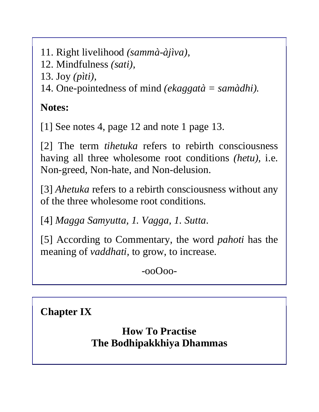- 11. Right livelihood *(sammà-àjìva),*
- 12. Mindfulness *(sati),*
- 13. Joy *(pìti),*

14. One-pointedness of mind *(ekaggatà = samàdhi).* 

**Notes:** 

[1] See notes 4, page 12 and note 1 page 13.

[2] The term *tihetuka* refers to rebirth consciousness having all three wholesome root conditions *(hetu),* i.e. Non-greed, Non-hate, and Non-delusion.

[3] *Ahetuka* refers to a rebirth consciousness without any of the three wholesome root conditions.

[4] *Magga Samyutta, 1. Vagga, 1. Sutta*.

[5] According to Commentary, the word *pahoti* has the meaning of *vaddhati,* to grow, to increase.

 $-00000$ 

**Chapter IX**

**How To Practise The Bodhipakkhiya Dhammas**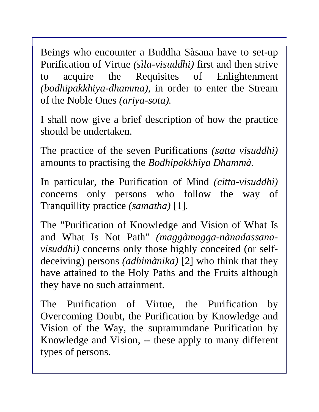Beings who encounter a Buddha Sàsana have to set-up Purification of Virtue *(sìla-visuddhi)* first and then strive to acquire the Requisites of Enlightenment *(bodhipakkhiya-dhamma),* in order to enter the Stream of the Noble Ones *(ariya-sota).* 

I shall now give a brief description of how the practice should be undertaken.

The practice of the seven Purifications *(satta visuddhi)* amounts to practising the *Bodhipakkhiya Dhammà.* 

In particular, the Purification of Mind *(citta-visuddhi)* concerns only persons who follow the way of Tranquillity practice *(samatha)* [1].

The "Purification of Knowledge and Vision of What Is and What Is Not Path" *(maggàmagga-nànadassanavisuddhi)* concerns only those highly conceited (or selfdeceiving) persons *(adhimànika)* [2] who think that they have attained to the Holy Paths and the Fruits although they have no such attainment.

The Purification of Virtue, the Purification by Overcoming Doubt, the Purification by Knowledge and Vision of the Way, the supramundane Purification by Knowledge and Vision, -- these apply to many different types of persons.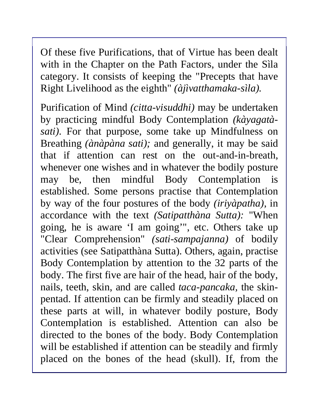Of these five Purifications, that of Virtue has been dealt with in the Chapter on the Path Factors, under the Sìla category. It consists of keeping the "Precepts that have Right Livelihood as the eighth" *(àjìvatthamaka-sìla).* 

Purification of Mind *(citta-visuddhi)* may be undertaken by practicing mindful Body Contemplation *(kàyagatàsati).* For that purpose, some take up Mindfulness on Breathing *(ànàpàna sati);* and generally, it may be said that if attention can rest on the out-and-in-breath, whenever one wishes and in whatever the bodily posture may be, then mindful Body Contemplation is established. Some persons practise that Contemplation by way of the four postures of the body *(iriyàpatha),* in accordance with the text *(Satipatthàna Sutta):* "When going, he is aware 'I am going'", etc. Others take up "Clear Comprehension" *(sati-sampajanna)* of bodily activities (see Satipatthàna Sutta). Others, again, practise Body Contemplation by attention to the 32 parts of the body. The first five are hair of the head, hair of the body, nails, teeth, skin, and are called *taca-pancaka,* the skinpentad. If attention can be firmly and steadily placed on these parts at will, in whatever bodily posture, Body Contemplation is established. Attention can also be directed to the bones of the body. Body Contemplation will be established if attention can be steadily and firmly placed on the bones of the head (skull). If, from the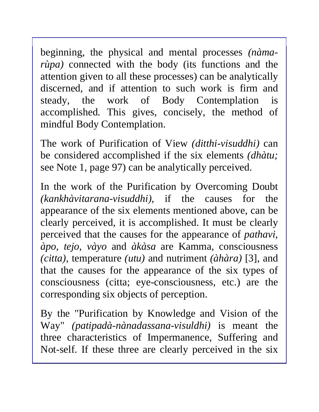beginning, the physical and mental processes *(nàmarùpa)* connected with the body (its functions and the attention given to all these processes) can be analytically discerned, and if attention to such work is firm and steady, the work of Body Contemplation is accomplished. This gives, concisely, the method of mindful Body Contemplation.

The work of Purification of View *(ditthi-visuddhi)* can be considered accomplished if the six elements *(dhàtu;*  see Note 1, page 97) can be analytically perceived.

In the work of the Purification by Overcoming Doubt *(kankhàvitarana-visuddhi),* if the causes for the appearance of the six elements mentioned above, can be clearly perceived, it is accomplished. It must be clearly perceived that the causes for the appearance of *pathavi, àpo, tejo, vàyo* and *àkàsa* are Kamma, consciousness *(citta),* temperature *(utu)* and nutriment *(àhàra)* [3], and that the causes for the appearance of the six types of consciousness (citta; eye-consciousness, etc.) are the corresponding six objects of perception.

By the "Purification by Knowledge and Vision of the Way" *(patipadà-nànadassana-visuldhi)* is meant the three characteristics of Impermanence, Suffering and Not-self. If these three are clearly perceived in the six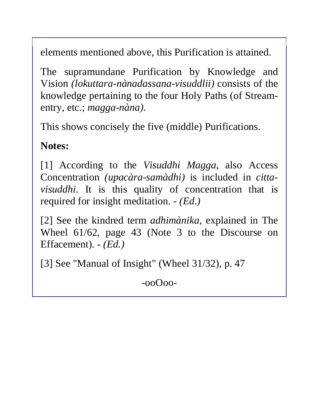elements mentioned above, this Purification is attained.

The supramundane Purification by Knowledge and Vision *(lokuttara-nànadassana-visuddlii)* consists of the knowledge pertaining to the four Holy Paths (of Streamentry, etc.; *magga-nàna).* 

This shows concisely the five (middle) Purifications.

### **Notes:**

[1] According to the *Visuddhi Magga*, also Access Concentration *(upacàra-samàdhi)* is included in *cittavisuddhi.* It is this quality of concentration that is required for insight meditation. - *(Ed.)* 

[2] See the kindred term *adhimànika,* explained in The Wheel 61/62, page 43 (Note 3 to the Discourse on Effacement). - *(Ed.)* 

[3] See "Manual of Insight" (Wheel 31/32), p. 47

-ooOoo-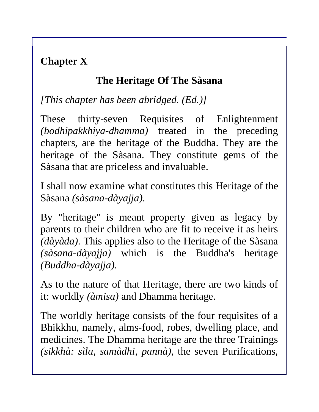# **Chapter X**

## **The Heritage Of The Sàsana**

*[This chapter has been abridged. (Ed.)]*

These thirty-seven Requisites of Enlightenment *(bodhipakkhiya-dhamma)* treated in the preceding chapters, are the heritage of the Buddha. They are the heritage of the Sàsana. They constitute gems of the Sàsana that are priceless and invaluable.

I shall now examine what constitutes this Heritage of the Sàsana *(sàsana-dàyajja).* 

By "heritage" is meant property given as legacy by parents to their children who are fit to receive it as heirs *(dàyàda).* This applies also to the Heritage of the Sàsana *(sàsana-dàyajja)* which is the Buddha's heritage *(Buddha-dàyajja).* 

As to the nature of that Heritage, there are two kinds of it: worldly *(àmisa)* and Dhamma heritage.

The worldly heritage consists of the four requisites of a Bhikkhu, namely, alms-food, robes, dwelling place, and medicines. The Dhamma heritage are the three Trainings *(sikkhà: sìla, samàdhi, pannà),* the seven Purifications,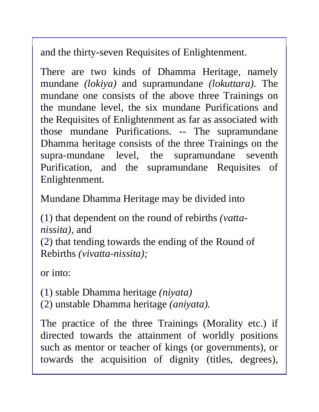and the thirty-seven Requisites of Enlightenment.

There are two kinds of Dhamma Heritage, namely mundane *(lokiya)* and supramundane *(lokuttara).* The mundane one consists of the above three Trainings on the mundane level, the six mundane Purifications and the Requisites of Enlightenment as far as associated with those mundane Purifications. -- The supramundane Dhamma heritage consists of the three Trainings on the supra-mundane level, the supramundane seventh Purification, and the supramundane Requisites of Enlightenment.

Mundane Dhamma Heritage may be divided into

(1) that dependent on the round of rebirths *(vattanissita),* and (2) that tending towards the ending of the Round of Rebirths *(vivatta-nissita);* 

or into:

(1) stable Dhamma heritage *(niyata)*  (2) unstable Dhamma heritage *(aniyata).* 

The practice of the three Trainings (Morality etc.) if directed towards the attainment of worldly positions such as mentor or teacher of kings (or governments), or towards the acquisition of dignity (titles, degrees),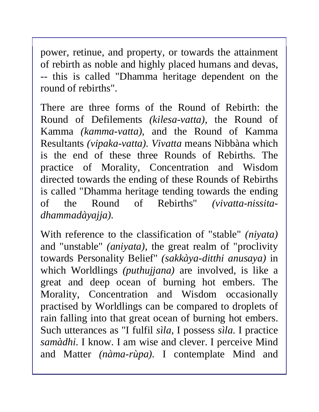power, retinue, and property, or towards the attainment of rebirth as noble and highly placed humans and devas, -- this is called "Dhamma heritage dependent on the round of rebirths".

There are three forms of the Round of Rebirth: the Round of Defilements *(kilesa-vatta),* the Round of Kamma *(kamma-vatta),* and the Round of Kamma Resultants *(vipaka-vatta). Vivatta* means Nibbàna which is the end of these three Rounds of Rebirths. The practice of Morality, Concentration and Wisdom directed towards the ending of these Rounds of Rebirths is called "Dhamma heritage tending towards the ending of the Round of Rebirths" *(vivatta-nissitadhammadàyajja).* 

With reference to the classification of "stable" *(niyata)* and "unstable" *(aniyata),* the great realm of "proclivity towards Personality Belief" *(sakkàya-ditthi anusaya)* in which Worldlings *(puthujjana)* are involved, is like a great and deep ocean of burning hot embers. The Morality, Concentration and Wisdom occasionally practised by Worldlings can be compared to droplets of rain falling into that great ocean of burning hot embers. Such utterances as "I fulfil *sìla*, I possess *sìla.* I practice *samàdhi.* I know. I am wise and clever. I perceive Mind and Matter *(nàma-rùpa).* I contemplate Mind and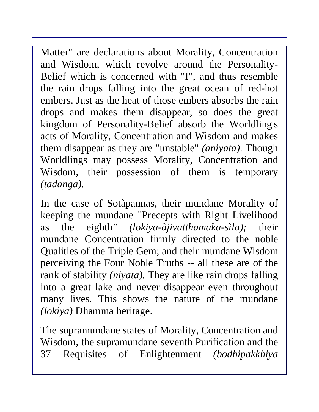Matter" are declarations about Morality, Concentration and Wisdom, which revolve around the Personality-Belief which is concerned with "I", and thus resemble the rain drops falling into the great ocean of red-hot embers. Just as the heat of those embers absorbs the rain drops and makes them disappear, so does the great kingdom of Personality-Belief absorb the Worldling's acts of Morality, Concentration and Wisdom and makes them disappear as they are "unstable" *(aniyata).* Though Worldlings may possess Morality, Concentration and Wisdom, their possession of them is temporary *(tadanga).* 

In the case of Sotàpannas, their mundane Morality of keeping the mundane "Precepts with Right Livelihood as the eighth*" (lokiya-àjivatthamaka-sìla);* their mundane Concentration firmly directed to the noble Qualities of the Triple Gem; and their mundane Wisdom perceiving the Four Noble Truths -- all these are of the rank of stability *(niyata).* They are like rain drops falling into a great lake and never disappear even throughout many lives. This shows the nature of the mundane *(lokiya)* Dhamma heritage.

The supramundane states of Morality, Concentration and Wisdom, the supramundane seventh Purification and the 37 Requisites of Enlightenment *(bodhipakkhiya*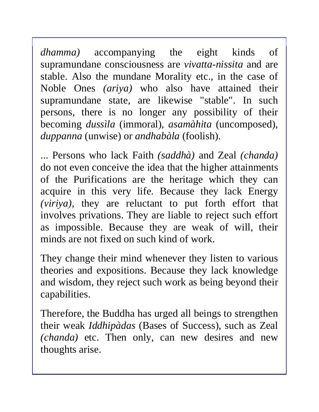*dhamma)* accompanying the eight kinds of supramundane consciousness are *vivatta-nissita* and are stable. Also the mundane Morality etc., in the case of Noble Ones *(ariya)* who also have attained their supramundane state, are likewise "stable". In such persons, there is no longer any possibility of their becoming *dussìla* (immoral), *asamàhita* (uncomposed)*, duppanna* (unwise) or *andhabàla* (foolish).

... Persons who lack Faith *(saddhà)* and Zeal *(chanda)* do not even conceive the idea that the higher attainments of the Purifications are the heritage which they can acquire in this very life. Because they lack Energy *(viriya),* they are reluctant to put forth effort that involves privations. They are liable to reject such effort as impossible. Because they are weak of will, their minds are not fixed on such kind of work.

They change their mind whenever they listen to various theories and expositions. Because they lack knowledge and wisdom, they reject such work as being beyond their capabilities.

Therefore, the Buddha has urged all beings to strengthen their weak *Iddhipàdas* (Bases of Success), such as Zeal *(chanda)* etc. Then only, can new desires and new thoughts arise.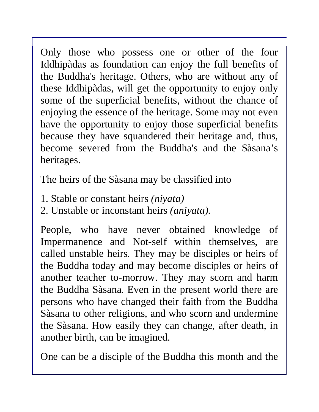Only those who possess one or other of the four Iddhipàdas as foundation can enjoy the full benefits of the Buddha's heritage. Others, who are without any of these Iddhipàdas, will get the opportunity to enjoy only some of the superficial benefits, without the chance of enjoying the essence of the heritage. Some may not even have the opportunity to enjoy those superficial benefits because they have squandered their heritage and, thus, become severed from the Buddha's and the Sàsana's heritages.

The heirs of the Sàsana may be classified into

- 1. Stable or constant heirs *(niyata)*
- 2. Unstable or inconstant heirs *(aniyata).*

People, who have never obtained knowledge of Impermanence and Not-self within themselves, are called unstable heirs. They may be disciples or heirs of the Buddha today and may become disciples or heirs of another teacher to-morrow. They may scorn and harm the Buddha Sàsana. Even in the present world there are persons who have changed their faith from the Buddha Sàsana to other religions, and who scorn and undermine the Sàsana. How easily they can change, after death, in another birth, can be imagined.

One can be a disciple of the Buddha this month and the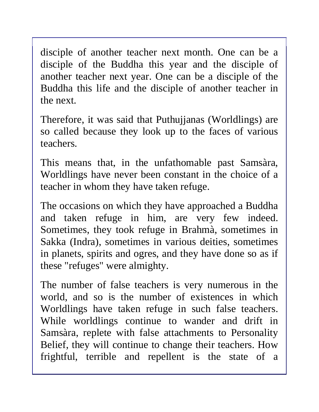disciple of another teacher next month. One can be a disciple of the Buddha this year and the disciple of another teacher next year. One can be a disciple of the Buddha this life and the disciple of another teacher in the next.

Therefore, it was said that Puthujjanas (Worldlings) are so called because they look up to the faces of various teachers.

This means that, in the unfathomable past Samsàra, Worldlings have never been constant in the choice of a teacher in whom they have taken refuge.

The occasions on which they have approached a Buddha and taken refuge in him, are very few indeed. Sometimes, they took refuge in Brahmà, sometimes in Sakka (Indra), sometimes in various deities, sometimes in planets, spirits and ogres, and they have done so as if these "refuges" were almighty.

The number of false teachers is very numerous in the world, and so is the number of existences in which Worldlings have taken refuge in such false teachers. While worldlings continue to wander and drift in Samsàra, replete with false attachments to Personality Belief, they will continue to change their teachers. How frightful, terrible and repellent is the state of a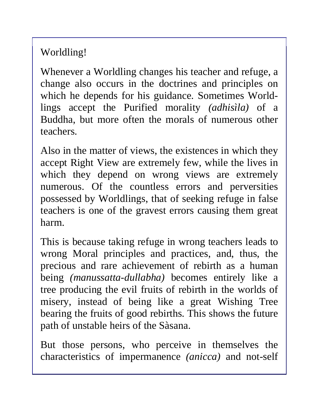Worldling!

Whenever a Worldling changes his teacher and refuge, a change also occurs in the doctrines and principles on which he depends for his guidance. Sometimes Worldlings accept the Purified morality *(adhisìla)* of a Buddha, but more often the morals of numerous other teachers.

Also in the matter of views, the existences in which they accept Right View are extremely few, while the lives in which they depend on wrong views are extremely numerous. Of the countless errors and perversities possessed by Worldlings, that of seeking refuge in false teachers is one of the gravest errors causing them great harm.

This is because taking refuge in wrong teachers leads to wrong Moral principles and practices, and, thus, the precious and rare achievement of rebirth as a human being *(manussatta-dullabha)* becomes entirely like a tree producing the evil fruits of rebirth in the worlds of misery, instead of being like a great Wishing Tree bearing the fruits of good rebirths. This shows the future path of unstable heirs of the Sàsana.

But those persons, who perceive in themselves the characteristics of impermanence *(anicca)* and not-self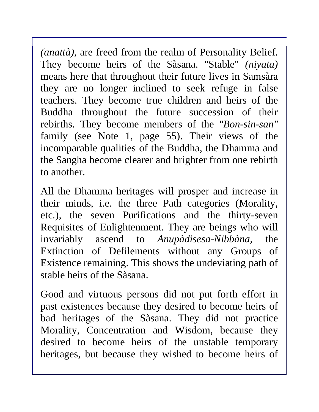*(anattà)*, are freed from the realm of Personality Belief. They become heirs of the Sàsana. "Stable" *(niyata)*  means here that throughout their future lives in Samsàra they are no longer inclined to seek refuge in false teachers. They become true children and heirs of the Buddha throughout the future succession of their rebirths. They become members of the *"Bon-sin-san"*  family (see Note 1, page 55). Their views of the incomparable qualities of the Buddha, the Dhamma and the Sangha become clearer and brighter from one rebirth to another.

All the Dhamma heritages will prosper and increase in their minds, i.e. the three Path categories (Morality, etc.), the seven Purifications and the thirty-seven Requisites of Enlightenment. They are beings who will invariably ascend to *Anupàdisesa-Nibbàna,* the Extinction of Defilements without any Groups of Existence remaining. This shows the undeviating path of stable heirs of the Sàsana.

Good and virtuous persons did not put forth effort in past existences because they desired to become heirs of bad heritages of the Sàsana. They did not practice Morality, Concentration and Wisdom, because they desired to become heirs of the unstable temporary heritages, but because they wished to become heirs of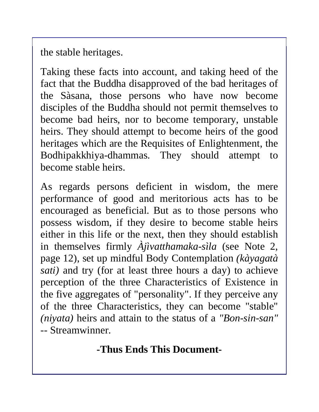the stable heritages.

Taking these facts into account, and taking heed of the fact that the Buddha disapproved of the bad heritages of the Sàsana, those persons who have now become disciples of the Buddha should not permit themselves to become bad heirs, nor to become temporary, unstable heirs. They should attempt to become heirs of the good heritages which are the Requisites of Enlightenment, the Bodhipakkhiya-dhammas. They should attempt to become stable heirs.

As regards persons deficient in wisdom, the mere performance of good and meritorious acts has to be encouraged as beneficial. But as to those persons who possess wisdom, if they desire to become stable heirs either in this life or the next, then they should establish in themselves firmly *Àjìvatthamaka-sìla* (see Note 2, page 12), set up mindful Body Contemplation *(kàyagatà sati)* and try (for at least three hours a day) to achieve perception of the three Characteristics of Existence in the five aggregates of "personality". If they perceive any of the three Characteristics, they can become "stable" *(niyata)* heirs and attain to the status of a *"Bon-sin-san" --* Streamwinner.

**-Thus Ends This Document-**